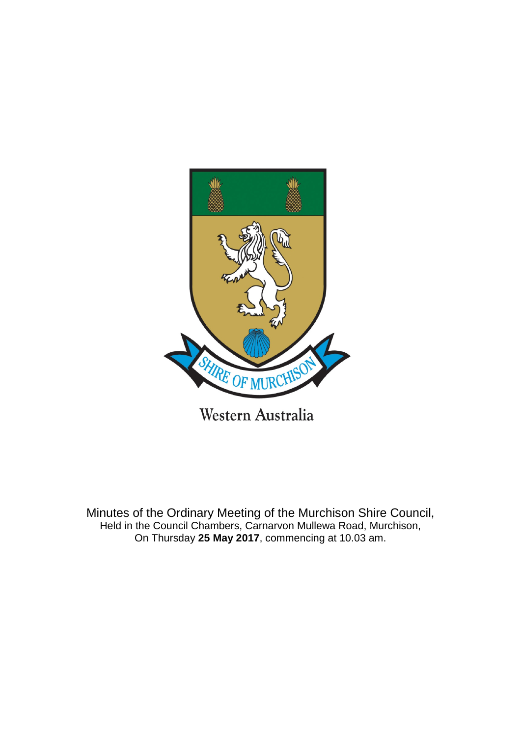

Minutes of the Ordinary Meeting of the Murchison Shire Council, Held in the Council Chambers, Carnarvon Mullewa Road, Murchison, On Thursday **25 May 2017**, commencing at 10.03 am.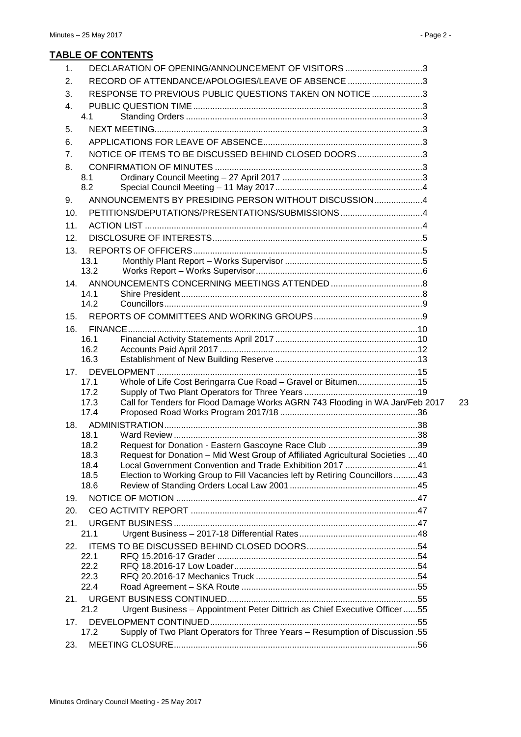# **TABLE OF CONTENTS**

| DECLARATION OF OPENING/ANNOUNCEMENT OF VISITORS 3<br>1.                                                                                               |    |
|-------------------------------------------------------------------------------------------------------------------------------------------------------|----|
| RECORD OF ATTENDANCE/APOLOGIES/LEAVE OF ABSENCE 3<br>2.                                                                                               |    |
| RESPONSE TO PREVIOUS PUBLIC QUESTIONS TAKEN ON NOTICE 3<br>3.                                                                                         |    |
| 4.                                                                                                                                                    |    |
| 4.1                                                                                                                                                   |    |
| 5.                                                                                                                                                    |    |
| 6.                                                                                                                                                    |    |
| NOTICE OF ITEMS TO BE DISCUSSED BEHIND CLOSED DOORS3<br>7 <sub>1</sub>                                                                                |    |
| 8.                                                                                                                                                    |    |
| 8.1                                                                                                                                                   |    |
| 8.2                                                                                                                                                   |    |
| ANNOUNCEMENTS BY PRESIDING PERSON WITHOUT DISCUSSION4<br>9.                                                                                           |    |
| PETITIONS/DEPUTATIONS/PRESENTATIONS/SUBMISSIONS4<br>10.                                                                                               |    |
| 11.                                                                                                                                                   |    |
| 12.                                                                                                                                                   |    |
| 13.                                                                                                                                                   |    |
| 13.1<br>13.2                                                                                                                                          |    |
| 14 <sub>1</sub>                                                                                                                                       |    |
| 14.1                                                                                                                                                  |    |
| 14.2                                                                                                                                                  |    |
| 15.                                                                                                                                                   |    |
| 16.                                                                                                                                                   |    |
| 16.1                                                                                                                                                  |    |
| 16.2                                                                                                                                                  |    |
| 16.3                                                                                                                                                  |    |
| 17.<br>17.1<br>Whole of Life Cost Beringarra Cue Road - Gravel or Bitumen15                                                                           |    |
| 17.2                                                                                                                                                  |    |
| Call for Tenders for Flood Damage Works AGRN 743 Flooding in WA Jan/Feb 2017<br>17.3                                                                  | 23 |
| 17.4                                                                                                                                                  |    |
|                                                                                                                                                       |    |
| 18.1                                                                                                                                                  |    |
| Request for Donation - Eastern Gascoyne Race Club 39<br>18.2<br>Request for Donation - Mid West Group of Affiliated Agricultural Societies 40<br>18.3 |    |
| Local Government Convention and Trade Exhibition 2017 41<br>18.4                                                                                      |    |
| Election to Working Group to Fill Vacancies left by Retiring Councillors43<br>18.5                                                                    |    |
| 18.6                                                                                                                                                  |    |
| 19.                                                                                                                                                   |    |
| 20.                                                                                                                                                   |    |
| 21.                                                                                                                                                   |    |
| 21.1                                                                                                                                                  |    |
| 22.                                                                                                                                                   |    |
| 22.1<br>22.2                                                                                                                                          |    |
| 22.3                                                                                                                                                  |    |
| 22.4                                                                                                                                                  |    |
| 21.                                                                                                                                                   |    |
| Urgent Business - Appointment Peter Dittrich as Chief Executive Officer55<br>21.2                                                                     |    |
| 17.                                                                                                                                                   |    |
| 55. Supply of Two Plant Operators for Three Years - Resumption of Discussion<br>17.2                                                                  |    |
| 23.                                                                                                                                                   |    |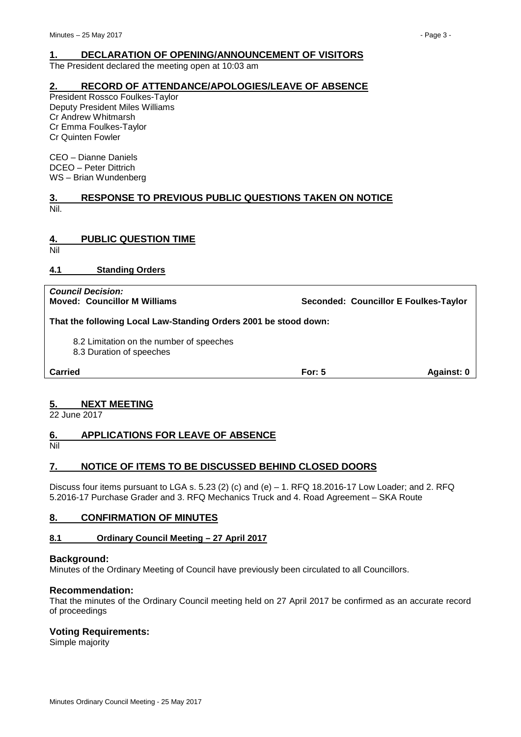# <span id="page-2-0"></span>**1. DECLARATION OF OPENING/ANNOUNCEMENT OF VISITORS**

The President declared the meeting open at 10:03 am

# <span id="page-2-1"></span>**2. RECORD OF ATTENDANCE/APOLOGIES/LEAVE OF ABSENCE**

President Rossco Foulkes-Taylor Deputy President Miles Williams Cr Andrew Whitmarsh Cr Emma Foulkes-Taylor Cr Quinten Fowler

CEO – Dianne Daniels DCEO – Peter Dittrich WS – Brian Wundenberg

# <span id="page-2-2"></span>**3. RESPONSE TO PREVIOUS PUBLIC QUESTIONS TAKEN ON NOTICE** Nil.

# <span id="page-2-3"></span>**4. PUBLIC QUESTION TIME**

Nil

# <span id="page-2-4"></span>**4.1 Standing Orders**

*Council Decision:*

**Moved: Councillor M Williams Seconded: Councillor E Foulkes-Taylor**

**That the following Local Law-Standing Orders 2001 be stood down:**

- 8.2 Limitation on the number of speeches
- 8.3 Duration of speeches

**Carried For: 5 Against: 0**

# <span id="page-2-5"></span>**5. NEXT MEETING**

22 June 2017

# <span id="page-2-6"></span>**6. APPLICATIONS FOR LEAVE OF ABSENCE**

Nil

# <span id="page-2-7"></span>**7. NOTICE OF ITEMS TO BE DISCUSSED BEHIND CLOSED DOORS**

Discuss four items pursuant to LGA s. 5.23 (2) (c) and (e)  $-1$ . RFQ 18.2016-17 Low Loader; and 2. RFQ 5.2016-17 Purchase Grader and 3. RFQ Mechanics Truck and 4. Road Agreement – SKA Route

# <span id="page-2-8"></span>**8. CONFIRMATION OF MINUTES**

# <span id="page-2-9"></span>**8.1 Ordinary Council Meeting – 27 April 2017**

# **Background:**

Minutes of the Ordinary Meeting of Council have previously been circulated to all Councillors.

# **Recommendation:**

That the minutes of the Ordinary Council meeting held on 27 April 2017 be confirmed as an accurate record of proceedings

# **Voting Requirements:**

Simple majority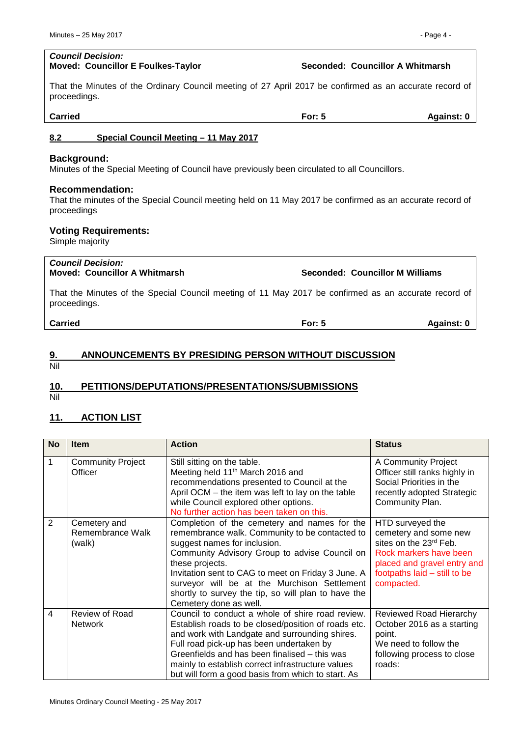#### *Council Decision:* **Moved: Councillor E Foulkes-Taylor Seconded: Councillor A Whitmarsh**

That the Minutes of the Ordinary Council meeting of 27 April 2017 be confirmed as an accurate record of proceedings.

| <b>Carried</b><br>∃or:<br>. . |
|-------------------------------|
|-------------------------------|

#### <span id="page-3-0"></span>**8.2 Special Council Meeting – 11 May 2017**

#### **Background:**

Minutes of the Special Meeting of Council have previously been circulated to all Councillors.

#### **Recommendation:**

That the minutes of the Special Council meeting held on 11 May 2017 be confirmed as an accurate record of proceedings

#### **Voting Requirements:**

Simple majority

*Council Decision:*

That the Minutes of the Special Council meeting of 11 May 2017 be confirmed as an accurate record of proceedings.

# <span id="page-3-1"></span>**9. ANNOUNCEMENTS BY PRESIDING PERSON WITHOUT DISCUSSION**

Nil

# <span id="page-3-2"></span>**10. PETITIONS/DEPUTATIONS/PRESENTATIONS/SUBMISSIONS**

Nil

# <span id="page-3-3"></span>**11. ACTION LIST**

| <b>No</b>      | <b>Item</b>                                | <b>Action</b>                                                                                                                                                                                                                                                                                                                                                                             | <b>Status</b>                                                                                                                                                                          |
|----------------|--------------------------------------------|-------------------------------------------------------------------------------------------------------------------------------------------------------------------------------------------------------------------------------------------------------------------------------------------------------------------------------------------------------------------------------------------|----------------------------------------------------------------------------------------------------------------------------------------------------------------------------------------|
| $\mathbf 1$    | <b>Community Project</b><br>Officer        | Still sitting on the table.<br>Meeting held 11 <sup>th</sup> March 2016 and<br>recommendations presented to Council at the<br>April OCM – the item was left to lay on the table<br>while Council explored other options.<br>No further action has been taken on this.                                                                                                                     | A Community Project<br>Officer still ranks highly in<br>Social Priorities in the<br>recently adopted Strategic<br>Community Plan.                                                      |
| 2              | Cemetery and<br>Remembrance Walk<br>(walk) | Completion of the cemetery and names for the<br>remembrance walk. Community to be contacted to<br>suggest names for inclusion.<br>Community Advisory Group to advise Council on<br>these projects.<br>Invitation sent to CAG to meet on Friday 3 June. A<br>surveyor will be at the Murchison Settlement<br>shortly to survey the tip, so will plan to have the<br>Cemetery done as well. | HTD surveyed the<br>cemetery and some new<br>sites on the 23 <sup>rd</sup> Feb.<br>Rock markers have been<br>placed and gravel entry and<br>footpaths laid - still to be<br>compacted. |
| $\overline{4}$ | Review of Road<br><b>Network</b>           | Council to conduct a whole of shire road review.<br>Establish roads to be closed/position of roads etc.<br>and work with Landgate and surrounding shires.<br>Full road pick-up has been undertaken by<br>Greenfields and has been finalised - this was<br>mainly to establish correct infrastructure values<br>but will form a good basis from which to start. As                         | Reviewed Road Hierarchy<br>October 2016 as a starting<br>point.<br>We need to follow the<br>following process to close<br>roads:                                                       |

**Moved: Councillor A Whitmarsh Seconded: Councillor M Williams**

**Carried For: 5 Against: 0**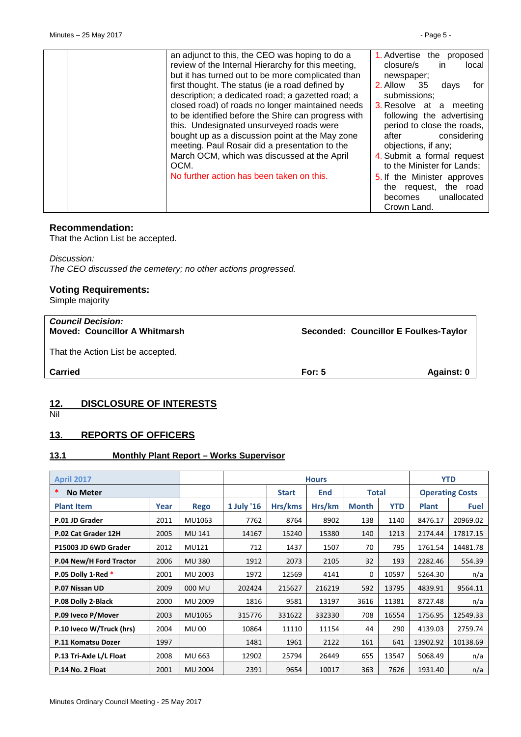| an adjunct to this, the CEO was hoping to do a                                                                                                                                                                                                                                                                                                               | 1. Advertise<br>the proposed                                                                                                                                                                                                                                                    |
|--------------------------------------------------------------------------------------------------------------------------------------------------------------------------------------------------------------------------------------------------------------------------------------------------------------------------------------------------------------|---------------------------------------------------------------------------------------------------------------------------------------------------------------------------------------------------------------------------------------------------------------------------------|
| review of the Internal Hierarchy for this meeting,                                                                                                                                                                                                                                                                                                           | closure/s<br>local<br>in.                                                                                                                                                                                                                                                       |
| but it has turned out to be more complicated than                                                                                                                                                                                                                                                                                                            | newspaper;                                                                                                                                                                                                                                                                      |
| first thought. The status (ie a road defined by                                                                                                                                                                                                                                                                                                              | <b>2. Allow</b> 35<br>for<br>days                                                                                                                                                                                                                                               |
| description; a dedicated road; a gazetted road; a                                                                                                                                                                                                                                                                                                            | submissions:                                                                                                                                                                                                                                                                    |
| closed road) of roads no longer maintained needs<br>to be identified before the Shire can progress with<br>this. Undesignated unsurveyed roads were<br>bought up as a discussion point at the May zone<br>meeting. Paul Rosair did a presentation to the<br>March OCM, which was discussed at the April<br>OCM.<br>No further action has been taken on this. | 3. Resolve at a meeting<br>following the advertising<br>period to close the roads,<br>considering<br>after<br>objections, if any;<br>4. Submit a formal request<br>to the Minister for Lands;<br>5. If the Minister approves<br>the request, the road<br>unallocated<br>becomes |
|                                                                                                                                                                                                                                                                                                                                                              | Crown Land.                                                                                                                                                                                                                                                                     |

#### **Recommendation:**

That the Action List be accepted.

*Discussion: The CEO discussed the cemetery; no other actions progressed.*

# **Voting Requirements:**

Simple majority

| <b>Council Decision:</b><br><b>Moved: Councillor A Whitmarsh</b> |          | Seconded: Councillor E Foulkes-Taylor |
|------------------------------------------------------------------|----------|---------------------------------------|
| That the Action List be accepted.                                |          |                                       |
| <b>Carried</b>                                                   | For: $5$ | Against: 0                            |
|                                                                  |          |                                       |

# <span id="page-4-0"></span>**12. DISCLOSURE OF INTERESTS**

Nil

# <span id="page-4-1"></span>**13. REPORTS OF OFFICERS**

<span id="page-4-2"></span>**13.1 Monthly Plant Report – Works Supervisor** 

| <b>April 2017</b>        |      |                | <b>Hours</b> |              |            |              |            | <b>YTD</b>             |             |
|--------------------------|------|----------------|--------------|--------------|------------|--------------|------------|------------------------|-------------|
| *<br><b>No Meter</b>     |      |                |              | <b>Start</b> | <b>End</b> | <b>Total</b> |            | <b>Operating Costs</b> |             |
| <b>Plant Item</b>        | Year | <b>Rego</b>    | 1 July '16   | Hrs/kms      | Hrs/km     | <b>Month</b> | <b>YTD</b> | <b>Plant</b>           | <b>Fuel</b> |
| P.01 JD Grader           | 2011 | MU1063         | 7762         | 8764         | 8902       | 138          | 1140       | 8476.17                | 20969.02    |
| P.02 Cat Grader 12H      | 2005 | <b>MU 141</b>  | 14167        | 15240        | 15380      | 140          | 1213       | 2174.44                | 17817.15    |
| P15003 JD 6WD Grader     | 2012 | MU121          | 712          | 1437         | 1507       | 70           | 795        | 1761.54                | 14481.78    |
| P.04 New/H Ford Tractor  | 2006 | <b>MU 380</b>  | 1912         | 2073         | 2105       | 32           | 193        | 2282.46                | 554.39      |
| P.05 Dolly 1-Red *       | 2001 | MU 2003        | 1972         | 12569        | 4141       | $\Omega$     | 10597      | 5264.30                | n/a         |
| P.07 Nissan UD           | 2009 | 000 MU         | 202424       | 215627       | 216219     | 592          | 13795      | 4839.91                | 9564.11     |
| P.08 Dolly 2-Black       | 2000 | MU 2009        | 1816         | 9581         | 13197      | 3616         | 11381      | 8727.48                | n/a         |
| P.09 Iveco P/Mover       | 2003 | MU1065         | 315776       | 331622       | 332330     | 708          | 16554      | 1756.95                | 12549.33    |
| P.10 Iveco W/Truck (hrs) | 2004 | <b>MU 00</b>   | 10864        | 11110        | 11154      | 44           | 290        | 4139.03                | 2759.74     |
| P.11 Komatsu Dozer       | 1997 |                | 1481         | 1961         | 2122       | 161          | 641        | 13902.92               | 10138.69    |
| P.13 Tri-Axle L/L Float  | 2008 | MU 663         | 12902        | 25794        | 26449      | 655          | 13547      | 5068.49                | n/a         |
| P.14 No. 2 Float         | 2001 | <b>MU 2004</b> | 2391         | 9654         | 10017      | 363          | 7626       | 1931.40                | n/a         |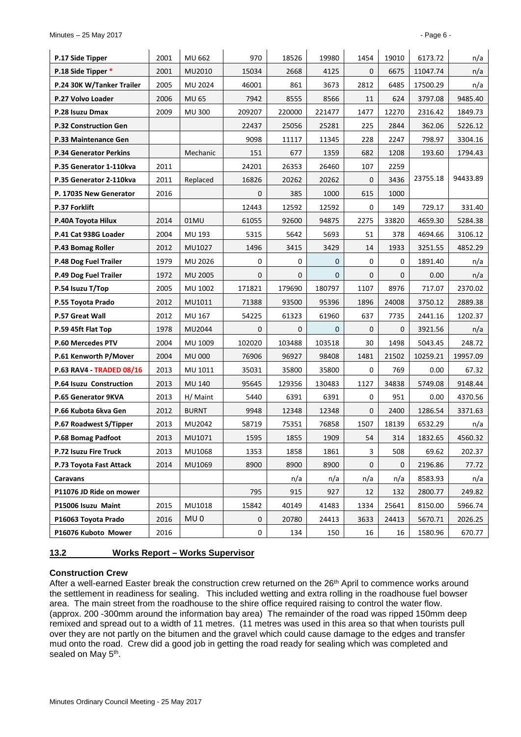| P.17 Side Tipper                | 2001 | MU 662          | 970          | 18526        | 19980        | 1454         | 19010        | 6173.72  | n/a      |
|---------------------------------|------|-----------------|--------------|--------------|--------------|--------------|--------------|----------|----------|
| P.18 Side Tipper *              | 2001 | MU2010          | 15034        | 2668         | 4125         | $\mathbf{0}$ | 6675         | 11047.74 | n/a      |
| P.24 30K W/Tanker Trailer       | 2005 | MU 2024         | 46001        | 861          | 3673         | 2812         | 6485         | 17500.29 | n/a      |
| P.27 Volvo Loader               | 2006 | <b>MU 65</b>    | 7942         | 8555         | 8566         | 11           | 624          | 3797.08  | 9485.40  |
| P.28 Isuzu Dmax                 | 2009 | <b>MU 300</b>   | 209207       | 220000       | 221477       | 1477         | 12270        | 2316.42  | 1849.73  |
| <b>P.32 Construction Gen</b>    |      |                 | 22437        | 25056        | 25281        | 225          | 2844         | 362.06   | 5226.12  |
| <b>P.33 Maintenance Gen</b>     |      |                 | 9098         | 11117        | 11345        | 228          | 2247         | 798.97   | 3304.16  |
| <b>P.34 Generator Perkins</b>   |      | Mechanic        | 151          | 677          | 1359         | 682          | 1208         | 193.60   | 1794.43  |
| P.35 Generator 1-110kva         | 2011 |                 | 24201        | 26353        | 26460        | 107          | 2259         |          |          |
| P.35 Generator 2-110kva         | 2011 | Replaced        | 16826        | 20262        | 20262        | 0            | 3436         | 23755.18 | 94433.89 |
| P. 17035 New Generator          | 2016 |                 | 0            | 385          | 1000         | 615          | 1000         |          |          |
| P.37 Forklift                   |      |                 | 12443        | 12592        | 12592        | 0            | 149          | 729.17   | 331.40   |
| P.40A Toyota Hilux              | 2014 | 01MU            | 61055        | 92600        | 94875        | 2275         | 33820        | 4659.30  | 5284.38  |
| P.41 Cat 938G Loader            | 2004 | MU 193          | 5315         | 5642         | 5693         | 51           | 378          | 4694.66  | 3106.12  |
| P.43 Bomag Roller               | 2012 | MU1027          | 1496         | 3415         | 3429         | 14           | 1933         | 3251.55  | 4852.29  |
| P.48 Dog Fuel Trailer           | 1979 | MU 2026         | 0            | $\mathbf 0$  | $\mathbf{0}$ | $\mathbf 0$  | 0            | 1891.40  | n/a      |
| P.49 Dog Fuel Trailer           | 1972 | <b>MU 2005</b>  | 0            | $\mathbf{0}$ | $\mathbf{0}$ | 0            | $\mathbf{0}$ | 0.00     | n/a      |
| P.54 Isuzu T/Top                | 2005 | MU 1002         | 171821       | 179690       | 180797       | 1107         | 8976         | 717.07   | 2370.02  |
| P.55 Toyota Prado               | 2012 | MU1011          | 71388        | 93500        | 95396        | 1896         | 24008        | 3750.12  | 2889.38  |
| P.57 Great Wall                 | 2012 | MU 167          | 54225        | 61323        | 61960        | 637          | 7735         | 2441.16  | 1202.37  |
| P.59 45ft Flat Top              | 1978 | MU2044          | $\mathbf{0}$ | $\mathbf 0$  | 0            | 0            | $\mathbf{0}$ | 3921.56  | n/a      |
| P.60 Mercedes PTV               | 2004 | MU 1009         | 102020       | 103488       | 103518       | 30           | 1498         | 5043.45  | 248.72   |
| P.61 Kenworth P/Mover           | 2004 | <b>MU 000</b>   | 76906        | 96927        | 98408        | 1481         | 21502        | 10259.21 | 19957.09 |
| <b>P.63 RAV4 - TRADED 08/16</b> | 2013 | MU 1011         | 35031        | 35800        | 35800        | 0            | 769          | 0.00     | 67.32    |
| P.64 Isuzu Construction         | 2013 | MU 140          | 95645        | 129356       | 130483       | 1127         | 34838        | 5749.08  | 9148.44  |
| P.65 Generator 9KVA             | 2013 | H/ Maint        | 5440         | 6391         | 6391         | $\mathbf{0}$ | 951          | 0.00     | 4370.56  |
| P.66 Kubota 6kva Gen            | 2012 | <b>BURNT</b>    | 9948         | 12348        | 12348        | $\mathbf{0}$ | 2400         | 1286.54  | 3371.63  |
| P.67 Roadwest S/Tipper          | 2013 | MU2042          | 58719        | 75351        | 76858        | 1507         | 18139        | 6532.29  | n/a      |
| P.68 Bomag Padfoot              | 2013 | MU1071          | 1595         | 1855         | 1909         | 54           | 314          | 1832.65  | 4560.32  |
| P.72 Isuzu Fire Truck           | 2013 | MU1068          | 1353         | 1858         | 1861         | 3            | 508          | 69.62    | 202.37   |
| P.73 Toyota Fast Attack         | 2014 | MU1069          | 8900         | 8900         | 8900         | 0            | 0            | 2196.86  | 77.72    |
| Caravans                        |      |                 |              | n/a          | n/a          | n/a          | n/a          | 8583.93  | n/a      |
| P11076 JD Ride on mower         |      |                 | 795          | 915          | 927          | 12           | 132          | 2800.77  | 249.82   |
| P15006 Isuzu Maint              | 2015 | MU1018          | 15842        | 40149        | 41483        | 1334         | 25641        | 8150.00  | 5966.74  |
| P16063 Toyota Prado             | 2016 | MU <sub>0</sub> | 0            | 20780        | 24413        | 3633         | 24413        | 5670.71  | 2026.25  |
| P16076 Kuboto Mower             | 2016 |                 | 0            | 134          | 150          | 16           | 16           | 1580.96  | 670.77   |

#### <span id="page-5-0"></span>**13.2 Works Report – Works Supervisor**

# **Construction Crew**

After a well-earned Easter break the construction crew returned on the 26<sup>th</sup> April to commence works around the settlement in readiness for sealing. This included wetting and extra rolling in the roadhouse fuel bowser area. The main street from the roadhouse to the shire office required raising to control the water flow. (approx. 200 -300mm around the information bay area) The remainder of the road was ripped 150mm deep remixed and spread out to a width of 11 metres. (11 metres was used in this area so that when tourists pull over they are not partly on the bitumen and the gravel which could cause damage to the edges and transfer mud onto the road. Crew did a good job in getting the road ready for sealing which was completed and sealed on May 5<sup>th</sup>.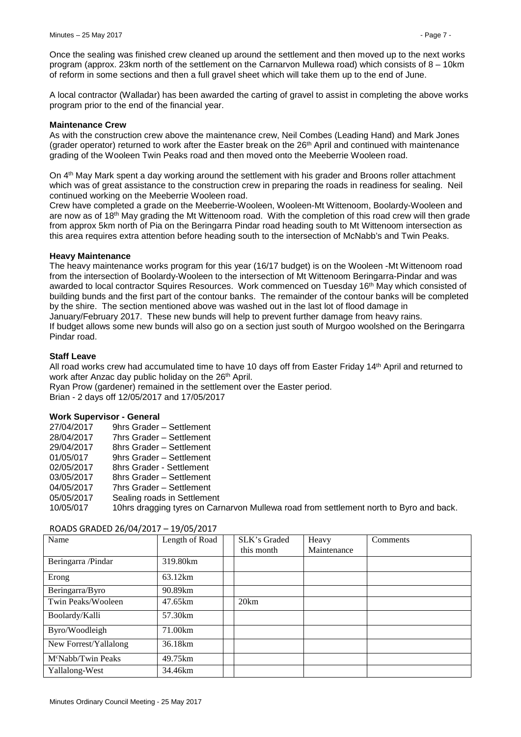A local contractor (Walladar) has been awarded the carting of gravel to assist in completing the above works program prior to the end of the financial year.

#### **Maintenance Crew**

As with the construction crew above the maintenance crew, Neil Combes (Leading Hand) and Mark Jones (grader operator) returned to work after the Easter break on the 26th April and continued with maintenance grading of the Wooleen Twin Peaks road and then moved onto the Meeberrie Wooleen road.

On 4th May Mark spent a day working around the settlement with his grader and Broons roller attachment which was of great assistance to the construction crew in preparing the roads in readiness for sealing. Neil continued working on the Meeberrie Wooleen road.

Crew have completed a grade on the Meeberrie-Wooleen, Wooleen-Mt Wittenoom, Boolardy-Wooleen and are now as of 18<sup>th</sup> May grading the Mt Wittenoom road. With the completion of this road crew will then grade from approx 5km north of Pia on the Beringarra Pindar road heading south to Mt Wittenoom intersection as this area requires extra attention before heading south to the intersection of McNabb's and Twin Peaks.

# **Heavy Maintenance**

The heavy maintenance works program for this year (16/17 budget) is on the Wooleen -Mt Wittenoom road from the intersection of Boolardy-Wooleen to the intersection of Mt Wittenoom Beringarra-Pindar and was awarded to local contractor Squires Resources. Work commenced on Tuesday 16<sup>th</sup> May which consisted of building bunds and the first part of the contour banks. The remainder of the contour banks will be completed by the shire. The section mentioned above was washed out in the last lot of flood damage in January/February 2017. These new bunds will help to prevent further damage from heavy rains. If budget allows some new bunds will also go on a section just south of Murgoo woolshed on the Beringarra Pindar road.

#### **Staff Leave**

All road works crew had accumulated time to have 10 days off from Easter Friday 14th April and returned to work after Anzac day public holiday on the 26<sup>th</sup> April.

Ryan Prow (gardener) remained in the settlement over the Easter period. Brian - 2 days off 12/05/2017 and 17/05/2017

#### **Work Supervisor - General**

| 27/04/2017 | 9hrs Grader - Settlement                                                               |
|------------|----------------------------------------------------------------------------------------|
| 28/04/2017 | 7hrs Grader - Settlement                                                               |
| 29/04/2017 | 8hrs Grader - Settlement                                                               |
| 01/05/017  | 9hrs Grader - Settlement                                                               |
| 02/05/2017 | 8hrs Grader - Settlement                                                               |
| 03/05/2017 | 8hrs Grader - Settlement                                                               |
| 04/05/2017 | 7hrs Grader - Settlement                                                               |
| 05/05/2017 | Sealing roads in Settlement                                                            |
| 10/05/017  | 10hrs dragging tyres on Carnarvon Mullewa road from settlement north to Byro and back. |
|            |                                                                                        |

| Name                           | Length of Road | SLK's Graded<br>this month | Heavy<br>Maintenance | Comments |
|--------------------------------|----------------|----------------------------|----------------------|----------|
| Beringarra /Pindar             | 319.80km       |                            |                      |          |
| Erong                          | 63.12km        |                            |                      |          |
| Beringarra/Byro                | 90.89km        |                            |                      |          |
| Twin Peaks/Wooleen             | 47.65km        | 20km                       |                      |          |
| Boolardy/Kalli                 | 57.30km        |                            |                      |          |
| Byro/Woodleigh                 | 71.00km        |                            |                      |          |
| New Forrest/Yallalong          | 36.18km        |                            |                      |          |
| M <sup>c</sup> Nabb/Twin Peaks | 49.75km        |                            |                      |          |
| Yallalong-West                 | 34.46km        |                            |                      |          |

#### ROADS GRADED 26/04/2017 – 19/05/2017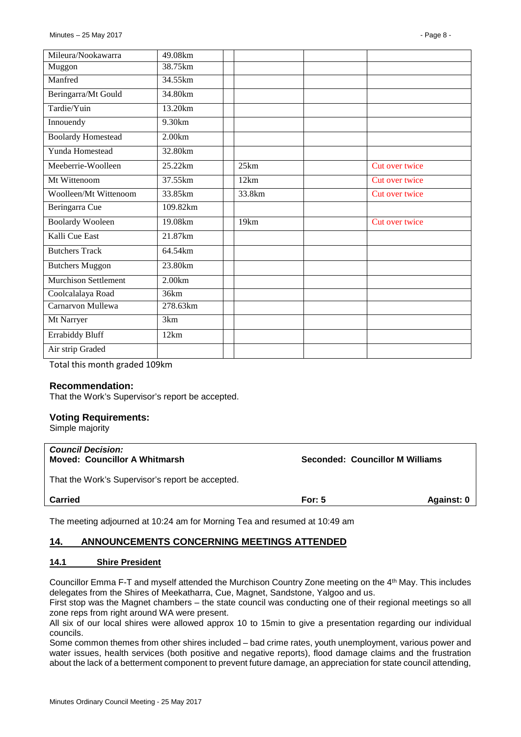| Mileura/Nookawarra          | 49.08km  |        |                |
|-----------------------------|----------|--------|----------------|
| Muggon                      | 38.75km  |        |                |
| Manfred                     | 34.55km  |        |                |
| Beringarra/Mt Gould         | 34.80km  |        |                |
| Tardie/Yuin                 | 13.20km  |        |                |
| Innouendy                   | 9.30km   |        |                |
| <b>Boolardy Homestead</b>   | 2.00km   |        |                |
| Yunda Homestead             | 32.80km  |        |                |
| Meeberrie-Woolleen          | 25.22km  | 25km   | Cut over twice |
| Mt Wittenoom                | 37.55km  | 12km   | Cut over twice |
| Woolleen/Mt Wittenoom       | 33.85km  | 33.8km | Cut over twice |
| Beringarra Cue              | 109.82km |        |                |
| <b>Boolardy Wooleen</b>     | 19.08km  | 19km   | Cut over twice |
| Kalli Cue East              | 21.87km  |        |                |
| <b>Butchers Track</b>       | 64.54km  |        |                |
| <b>Butchers Muggon</b>      | 23.80km  |        |                |
| <b>Murchison Settlement</b> | 2.00km   |        |                |
| Coolcalalaya Road           | 36km     |        |                |
| Carnarvon Mullewa           | 278.63km |        |                |
| Mt Narryer                  | 3km      |        |                |
| <b>Errabiddy Bluff</b>      | 12km     |        |                |
| Air strip Graded            |          |        |                |

Total this month graded 109km

#### **Recommendation:**

That the Work's Supervisor's report be accepted.

#### **Voting Requirements:**

Simple majority

| <b>Council Decision:</b>             |
|--------------------------------------|
| <b>Moved: Councillor A Whitmarsh</b> |

**Moved: Councillor A Whitmarsh Seconded: Councillor M Williams**

That the Work's Supervisor's report be accepted.

**Carried For: 5 Against: 0**

The meeting adjourned at 10:24 am for Morning Tea and resumed at 10:49 am

# <span id="page-7-0"></span>**14. ANNOUNCEMENTS CONCERNING MEETINGS ATTENDED**

# <span id="page-7-1"></span>**14.1 Shire President**

Councillor Emma F-T and myself attended the Murchison Country Zone meeting on the 4th May. This includes delegates from the Shires of Meekatharra, Cue, Magnet, Sandstone, Yalgoo and us.

First stop was the Magnet chambers – the state council was conducting one of their regional meetings so all zone reps from right around WA were present.

All six of our local shires were allowed approx 10 to 15min to give a presentation regarding our individual councils.

Some common themes from other shires included – bad crime rates, youth unemployment, various power and water issues, health services (both positive and negative reports), flood damage claims and the frustration about the lack of a betterment component to prevent future damage, an appreciation for state council attending,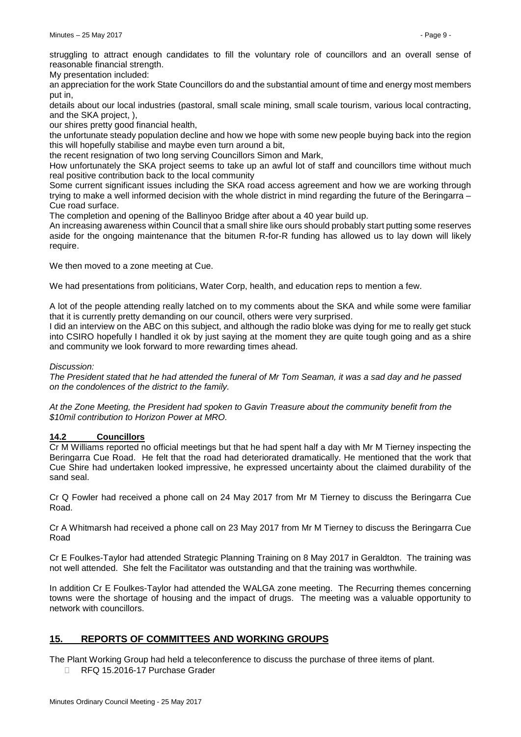struggling to attract enough candidates to fill the voluntary role of councillors and an overall sense of reasonable financial strength.

My presentation included:

an appreciation for the work State Councillors do and the substantial amount of time and energy most members put in,

details about our local industries (pastoral, small scale mining, small scale tourism, various local contracting, and the SKA project, ),

our shires pretty good financial health,

the unfortunate steady population decline and how we hope with some new people buying back into the region this will hopefully stabilise and maybe even turn around a bit,

the recent resignation of two long serving Councillors Simon and Mark,

How unfortunately the SKA project seems to take up an awful lot of staff and councillors time without much real positive contribution back to the local community

Some current significant issues including the SKA road access agreement and how we are working through trying to make a well informed decision with the whole district in mind regarding the future of the Beringarra – Cue road surface.

The completion and opening of the Ballinyoo Bridge after about a 40 year build up.

An increasing awareness within Council that a small shire like ours should probably start putting some reserves aside for the ongoing maintenance that the bitumen R-for-R funding has allowed us to lay down will likely require.

We then moved to a zone meeting at Cue.

We had presentations from politicians, Water Corp, health, and education reps to mention a few.

A lot of the people attending really latched on to my comments about the SKA and while some were familiar that it is currently pretty demanding on our council, others were very surprised.

I did an interview on the ABC on this subject, and although the radio bloke was dying for me to really get stuck into CSIRO hopefully I handled it ok by just saying at the moment they are quite tough going and as a shire and community we look forward to more rewarding times ahead.

#### *Discussion:*

*The President stated that he had attended the funeral of Mr Tom Seaman, it was a sad day and he passed on the condolences of the district to the family.*

*At the Zone Meeting, the President had spoken to Gavin Treasure about the community benefit from the \$10mil contribution to Horizon Power at MRO.*

# <span id="page-8-0"></span>**14.2 Councillors**

Cr M Williams reported no official meetings but that he had spent half a day with Mr M Tierney inspecting the Beringarra Cue Road. He felt that the road had deteriorated dramatically. He mentioned that the work that Cue Shire had undertaken looked impressive, he expressed uncertainty about the claimed durability of the sand seal.

Cr Q Fowler had received a phone call on 24 May 2017 from Mr M Tierney to discuss the Beringarra Cue Road.

Cr A Whitmarsh had received a phone call on 23 May 2017 from Mr M Tierney to discuss the Beringarra Cue Road

Cr E Foulkes-Taylor had attended Strategic Planning Training on 8 May 2017 in Geraldton. The training was not well attended. She felt the Facilitator was outstanding and that the training was worthwhile.

In addition Cr E Foulkes-Taylor had attended the WALGA zone meeting. The Recurring themes concerning towns were the shortage of housing and the impact of drugs. The meeting was a valuable opportunity to network with councillors.

# <span id="page-8-1"></span>**15. REPORTS OF COMMITTEES AND WORKING GROUPS**

The Plant Working Group had held a teleconference to discuss the purchase of three items of plant.

□ RFQ 15.2016-17 Purchase Grader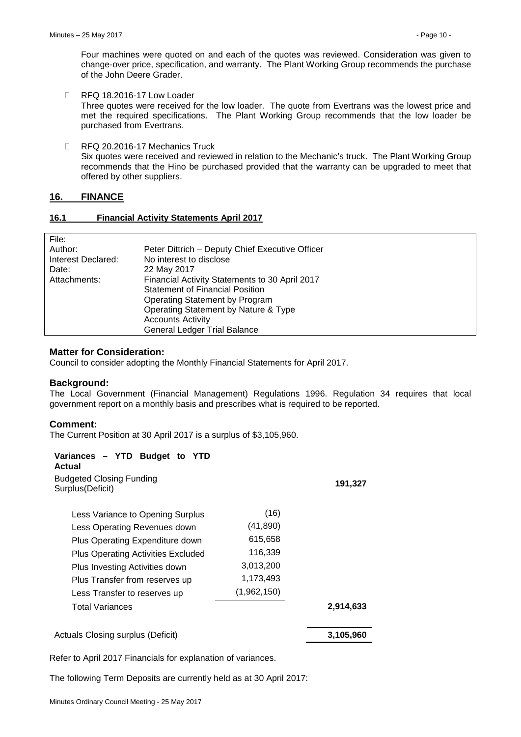Four machines were quoted on and each of the quotes was reviewed. Consideration was given to change-over price, specification, and warranty. The Plant Working Group recommends the purchase of the John Deere Grader.

- **E** RFQ 18.2016-17 Low Loader Three quotes were received for the low loader. The quote from Evertrans was the lowest price and met the required specifications. The Plant Working Group recommends that the low loader be purchased from Evertrans.
- □ RFQ 20.2016-17 Mechanics Truck Six quotes were received and reviewed in relation to the Mechanic's truck. The Plant Working Group recommends that the Hino be purchased provided that the warranty can be upgraded to meet that offered by other suppliers.

# <span id="page-9-0"></span>**16. FINANCE**

# <span id="page-9-1"></span>**16.1 Financial Activity Statements April 2017**

| File:              |                                                 |
|--------------------|-------------------------------------------------|
| Author:            | Peter Dittrich - Deputy Chief Executive Officer |
| Interest Declared: | No interest to disclose                         |
| Date:              | 22 May 2017                                     |
| Attachments:       | Financial Activity Statements to 30 April 2017  |
|                    | <b>Statement of Financial Position</b>          |
|                    | Operating Statement by Program                  |
|                    | Operating Statement by Nature & Type            |
|                    | <b>Accounts Activity</b>                        |
|                    | <b>General Ledger Trial Balance</b>             |

#### **Matter for Consideration:**

Council to consider adopting the Monthly Financial Statements for April 2017.

#### **Background:**

The Local Government (Financial Management) Regulations 1996. Regulation 34 requires that local government report on a monthly basis and prescribes what is required to be reported.

# **Comment:**

The Current Position at 30 April 2017 is a surplus of \$3,105,960.

| Variances - YTD Budget to YTD<br>Actual             |             |           |
|-----------------------------------------------------|-------------|-----------|
| <b>Budgeted Closing Funding</b><br>Surplus(Deficit) |             | 191,327   |
| Less Variance to Opening Surplus                    | (16)        |           |
| Less Operating Revenues down                        | (41, 890)   |           |
| Plus Operating Expenditure down                     | 615,658     |           |
| <b>Plus Operating Activities Excluded</b>           | 116,339     |           |
| Plus Investing Activities down                      | 3,013,200   |           |
| Plus Transfer from reserves up                      | 1,173,493   |           |
| Less Transfer to reserves up                        | (1,962,150) |           |
| Total Variances                                     |             | 2,914,633 |
| Actuals Closing surplus (Deficit)                   |             | 3,105,960 |

Refer to April 2017 Financials for explanation of variances.

The following Term Deposits are currently held as at 30 April 2017: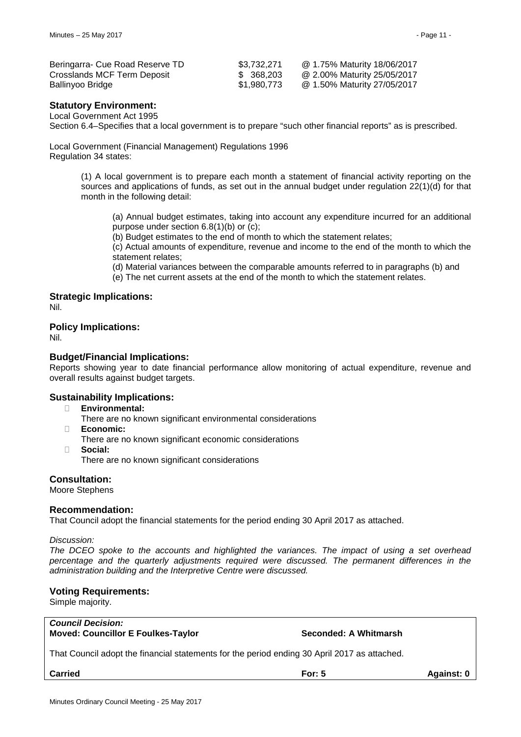| Beringarra- Cue Road Reserve TD | \$3,732,271 | @ 1.75% Maturity 18/06/2017 |
|---------------------------------|-------------|-----------------------------|
| Crosslands MCF Term Deposit     | \$ 368,203  | @ 2.00% Maturity 25/05/2017 |
| Ballinyoo Bridge                | \$1.980.773 | @ 1.50% Maturity 27/05/2017 |

# **Statutory Environment:**

Local Government Act 1995

Section 6.4–Specifies that a local government is to prepare "such other financial reports" as is prescribed.

Local Government (Financial Management) Regulations 1996 Regulation 34 states:

> (1) A local government is to prepare each month a statement of financial activity reporting on the sources and applications of funds, as set out in the annual budget under regulation 22(1)(d) for that month in the following detail:

(a) Annual budget estimates, taking into account any expenditure incurred for an additional purpose under section 6.8(1)(b) or (c);

(b) Budget estimates to the end of month to which the statement relates;

(c) Actual amounts of expenditure, revenue and income to the end of the month to which the statement relates;

(d) Material variances between the comparable amounts referred to in paragraphs (b) and (e) The net current assets at the end of the month to which the statement relates.

# **Strategic Implications:**

Nil.

# **Policy Implications:**

Nil.

# **Budget/Financial Implications:**

Reports showing year to date financial performance allow monitoring of actual expenditure, revenue and overall results against budget targets.

# **Sustainability Implications:**

- � **Environmental:**
	- There are no known significant environmental considerations
- � **Economic:**
	- There are no known significant economic considerations
- � **Social:**

There are no known significant considerations

# **Consultation:**

Moore Stephens

# **Recommendation:**

That Council adopt the financial statements for the period ending 30 April 2017 as attached.

#### *Discussion:*

*The DCEO spoke to the accounts and highlighted the variances. The impact of using a set overhead percentage and the quarterly adjustments required were discussed. The permanent differences in the administration building and the Interpretive Centre were discussed.*

# **Voting Requirements:**

Simple majority.

*Council Decision:* **Moved: Councillor E Foulkes-Taylor Seconded: A Whitmarsh**

That Council adopt the financial statements for the period ending 30 April 2017 as attached.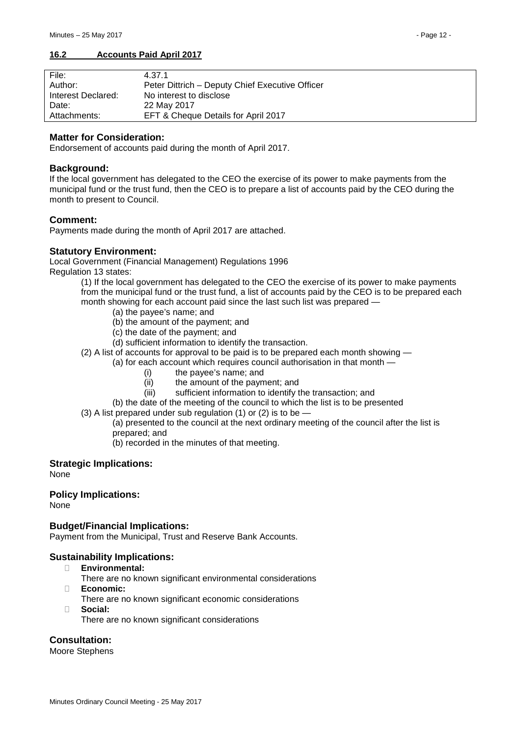# <span id="page-11-0"></span>**16.2 Accounts Paid April 2017**

| File:              | 4.37.1                                          |
|--------------------|-------------------------------------------------|
| Author:            | Peter Dittrich - Deputy Chief Executive Officer |
| Interest Declared: | No interest to disclose                         |
| Date:              | 22 May 2017                                     |
| Attachments:       | EFT & Cheque Details for April 2017             |
|                    |                                                 |

#### **Matter for Consideration:**

Endorsement of accounts paid during the month of April 2017.

#### **Background:**

If the local government has delegated to the CEO the exercise of its power to make payments from the municipal fund or the trust fund, then the CEO is to prepare a list of accounts paid by the CEO during the month to present to Council.

#### **Comment:**

Payments made during the month of April 2017 are attached.

# **Statutory Environment:**

Local Government (Financial Management) Regulations 1996 Regulation 13 states:

(1) If the local government has delegated to the CEO the exercise of its power to make payments from the municipal fund or the trust fund, a list of accounts paid by the CEO is to be prepared each month showing for each account paid since the last such list was prepared —

- (a) the payee's name; and
	- (b) the amount of the payment; and
	- (c) the date of the payment; and
	- (d) sufficient information to identify the transaction.
- (2) A list of accounts for approval to be paid is to be prepared each month showing
	- (a) for each account which requires council authorisation in that month
		- (i) the payee's name; and
		- (ii) the amount of the payment; and
		- (iii) sufficient information to identify the transaction; and
		- (b) the date of the meeting of the council to which the list is to be presented
- (3) A list prepared under sub regulation (1) or (2) is to be  $-$ 
	- (a) presented to the council at the next ordinary meeting of the council after the list is prepared; and

(b) recorded in the minutes of that meeting.

#### **Strategic Implications:**

None

# **Policy Implications:**

None

# **Budget/Financial Implications:**

Payment from the Municipal, Trust and Reserve Bank Accounts.

# **Sustainability Implications:**

- � **Environmental:**
	- There are no known significant environmental considerations
- � **Economic:**
	- There are no known significant economic considerations
- � **Social:**
	- There are no known significant considerations

# **Consultation:**

Moore Stephens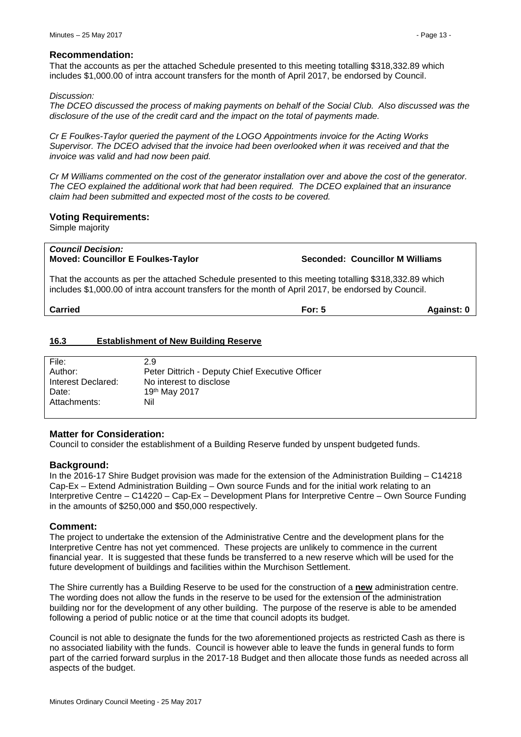That the accounts as per the attached Schedule presented to this meeting totalling \$318,332.89 which includes \$1,000.00 of intra account transfers for the month of April 2017, be endorsed by Council.

#### *Discussion:*

*The DCEO discussed the process of making payments on behalf of the Social Club. Also discussed was the disclosure of the use of the credit card and the impact on the total of payments made.*

*Cr E Foulkes-Taylor queried the payment of the LOGO Appointments invoice for the Acting Works Supervisor. The DCEO advised that the invoice had been overlooked when it was received and that the invoice was valid and had now been paid.*

*Cr M Williams commented on the cost of the generator installation over and above the cost of the generator. The CEO explained the additional work that had been required. The DCEO explained that an insurance claim had been submitted and expected most of the costs to be covered.*

# **Voting Requirements:**

Simple majority

*Council Decision:* **Moved: Councillor E Foulkes-Taylor Seconded: Councillor M Williams** That the accounts as per the attached Schedule presented to this meeting totalling \$318,332.89 which includes \$1,000.00 of intra account transfers for the month of April 2017, be endorsed by Council. **Carried For: 5 Against: 0**

# <span id="page-12-0"></span>**16.3 Establishment of New Building Reserve**

| File:              | 2.9                                             |
|--------------------|-------------------------------------------------|
| Author:            | Peter Dittrich - Deputy Chief Executive Officer |
| Interest Declared: | No interest to disclose                         |
| Date:              | 19th May 2017                                   |
| Attachments:       | Nil                                             |
|                    |                                                 |

# **Matter for Consideration:**

Council to consider the establishment of a Building Reserve funded by unspent budgeted funds.

# **Background:**

In the 2016-17 Shire Budget provision was made for the extension of the Administration Building – C14218 Cap-Ex – Extend Administration Building – Own source Funds and for the initial work relating to an Interpretive Centre – C14220 – Cap-Ex – Development Plans for Interpretive Centre – Own Source Funding in the amounts of \$250,000 and \$50,000 respectively.

# **Comment:**

The project to undertake the extension of the Administrative Centre and the development plans for the Interpretive Centre has not yet commenced. These projects are unlikely to commence in the current financial year. It is suggested that these funds be transferred to a new reserve which will be used for the future development of buildings and facilities within the Murchison Settlement.

The Shire currently has a Building Reserve to be used for the construction of a **new** administration centre. The wording does not allow the funds in the reserve to be used for the extension of the administration building nor for the development of any other building. The purpose of the reserve is able to be amended following a period of public notice or at the time that council adopts its budget.

Council is not able to designate the funds for the two aforementioned projects as restricted Cash as there is no associated liability with the funds. Council is however able to leave the funds in general funds to form part of the carried forward surplus in the 2017-18 Budget and then allocate those funds as needed across all aspects of the budget.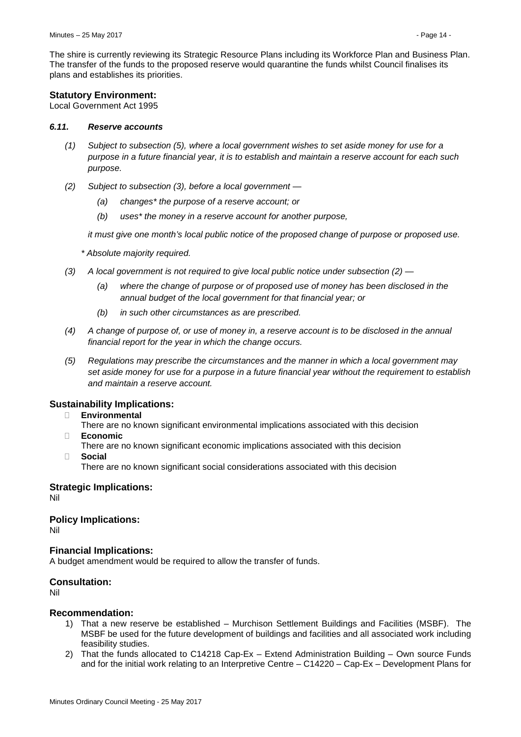The shire is currently reviewing its Strategic Resource Plans including its Workforce Plan and Business Plan. The transfer of the funds to the proposed reserve would quarantine the funds whilst Council finalises its plans and establishes its priorities.

# **Statutory Environment:**

Local Government Act 1995

#### *6.11. Reserve accounts*

- *(1) Subject to subsection (5), where a local government wishes to set aside money for use for a purpose in a future financial year, it is to establish and maintain a reserve account for each such purpose.*
- *(2) Subject to subsection (3), before a local government —*
	- *(a) changes\* the purpose of a reserve account; or*
	- *(b) uses\* the money in a reserve account for another purpose,*

*it must give one month's local public notice of the proposed change of purpose or proposed use.*

- *\* Absolute majority required.*
- *(3) A local government is not required to give local public notice under subsection (2) —*
	- *(a) where the change of purpose or of proposed use of money has been disclosed in the annual budget of the local government for that financial year; or*
	- *(b) in such other circumstances as are prescribed.*
- *(4) A change of purpose of, or use of money in, a reserve account is to be disclosed in the annual financial report for the year in which the change occurs.*
- *(5) Regulations may prescribe the circumstances and the manner in which a local government may set aside money for use for a purpose in a future financial year without the requirement to establish and maintain a reserve account.*

# **Sustainability Implications:**

- � **Environmental**
	- There are no known significant environmental implications associated with this decision
- � **Economic**
	- There are no known significant economic implications associated with this decision
- � **Social**

There are no known significant social considerations associated with this decision

# **Strategic Implications:**

Nil

# **Policy Implications:**

Nil

# **Financial Implications:**

A budget amendment would be required to allow the transfer of funds.

# **Consultation:**

Nil

#### **Recommendation:**

- 1) That a new reserve be established Murchison Settlement Buildings and Facilities (MSBF). The MSBF be used for the future development of buildings and facilities and all associated work including feasibility studies.
- 2) That the funds allocated to C14218 Cap-Ex Extend Administration Building Own source Funds and for the initial work relating to an Interpretive Centre – C14220 – Cap-Ex – Development Plans for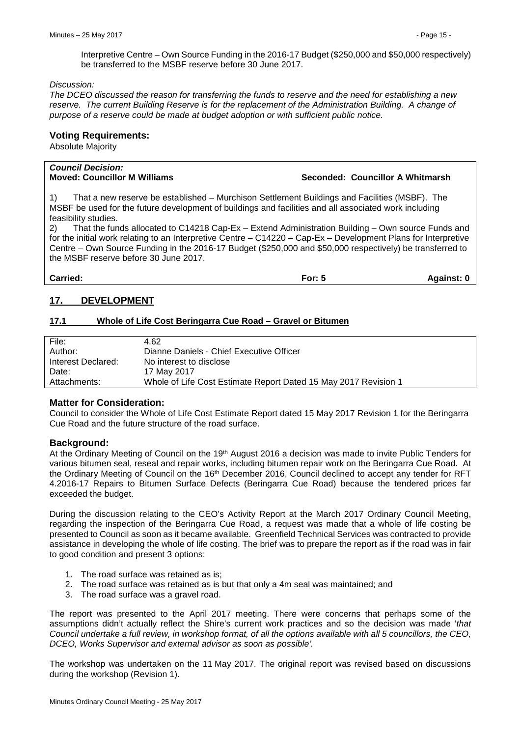Interpretive Centre – Own Source Funding in the 2016-17 Budget (\$250,000 and \$50,000 respectively) be transferred to the MSBF reserve before 30 June 2017.

#### *Discussion:*

*The DCEO discussed the reason for transferring the funds to reserve and the need for establishing a new reserve. The current Building Reserve is for the replacement of the Administration Building. A change of purpose of a reserve could be made at budget adoption or with sufficient public notice.*

#### **Voting Requirements:**

Absolute Majority

# *Council Decision:*

**Moved: Councillor M Williams Seconded: Councillor A Whitmarsh**

1) That a new reserve be established – Murchison Settlement Buildings and Facilities (MSBF). The MSBF be used for the future development of buildings and facilities and all associated work including feasibility studies.

2) That the funds allocated to C14218 Cap-Ex – Extend Administration Building – Own source Funds and for the initial work relating to an Interpretive Centre – C14220 – Cap-Ex – Development Plans for Interpretive Centre – Own Source Funding in the 2016-17 Budget (\$250,000 and \$50,000 respectively) be transferred to the MSBF reserve before 30 June 2017.

**Carried: For: 5 Against: 0**

# <span id="page-14-0"></span>**17. DEVELOPMENT**

# <span id="page-14-1"></span>**17.1 Whole of Life Cost Beringarra Cue Road – Gravel or Bitumen**

| File:              | 4.62                                                            |
|--------------------|-----------------------------------------------------------------|
| Author:            | Dianne Daniels - Chief Executive Officer                        |
| Interest Declared: | No interest to disclose                                         |
| Date:              | 17 May 2017                                                     |
| Attachments:       | Whole of Life Cost Estimate Report Dated 15 May 2017 Revision 1 |

#### **Matter for Consideration:**

Council to consider the Whole of Life Cost Estimate Report dated 15 May 2017 Revision 1 for the Beringarra Cue Road and the future structure of the road surface.

# **Background:**

At the Ordinary Meeting of Council on the 19<sup>th</sup> August 2016 a decision was made to invite Public Tenders for various bitumen seal, reseal and repair works, including bitumen repair work on the Beringarra Cue Road. At the Ordinary Meeting of Council on the 16th December 2016, Council declined to accept any tender for RFT 4.2016-17 Repairs to Bitumen Surface Defects (Beringarra Cue Road) because the tendered prices far exceeded the budget.

During the discussion relating to the CEO's Activity Report at the March 2017 Ordinary Council Meeting, regarding the inspection of the Beringarra Cue Road, a request was made that a whole of life costing be presented to Council as soon as it became available. Greenfield Technical Services was contracted to provide assistance in developing the whole of life costing. The brief was to prepare the report as if the road was in fair to good condition and present 3 options:

- 1. The road surface was retained as is;
- 2. The road surface was retained as is but that only a 4m seal was maintained; and
- 3. The road surface was a gravel road.

The report was presented to the April 2017 meeting. There were concerns that perhaps some of the assumptions didn't actually reflect the Shire's current work practices and so the decision was made '*that Council undertake a full review, in workshop format, of all the options available with all 5 councillors, the CEO, DCEO, Works Supervisor and external advisor as soon as possible'.*

The workshop was undertaken on the 11 May 2017. The original report was revised based on discussions during the workshop (Revision 1).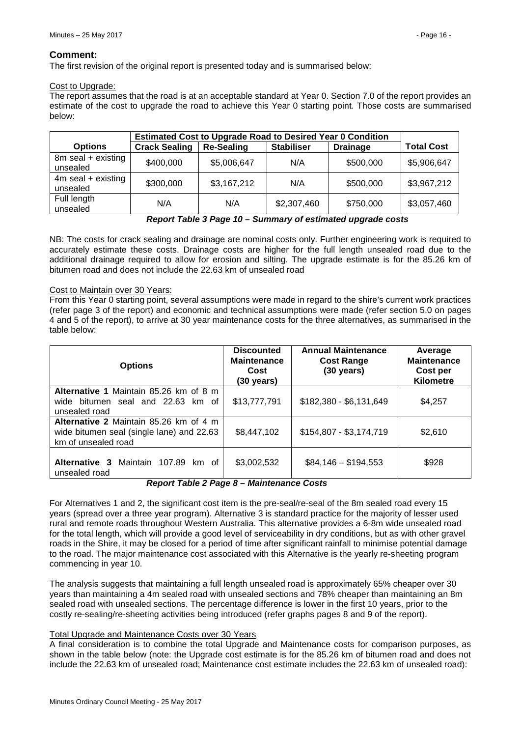# **Comment:**

The first revision of the original report is presented today and is summarised below:

# Cost to Upgrade:

The report assumes that the road is at an acceptable standard at Year 0. Section 7.0 of the report provides an estimate of the cost to upgrade the road to achieve this Year 0 starting point. Those costs are summarised below:

|                                  |                      | <b>Estimated Cost to Upgrade Road to Desired Year 0 Condition</b> |                   |                 |                   |
|----------------------------------|----------------------|-------------------------------------------------------------------|-------------------|-----------------|-------------------|
| <b>Options</b>                   | <b>Crack Sealing</b> | <b>Re-Sealing</b>                                                 | <b>Stabiliser</b> | <b>Drainage</b> | <b>Total Cost</b> |
| 8m seal + existing<br>unsealed   | \$400,000            | \$5,006,647                                                       | N/A               | \$500,000       | \$5,906,647       |
| $4m$ seal + existing<br>unsealed | \$300,000            | \$3,167,212                                                       | N/A               | \$500,000       | \$3,967,212       |
| Full length<br>unsealed          | N/A                  | N/A                                                               | \$2,307,460       | \$750,000       | \$3,057,460       |

*Report Table 3 Page 10 – Summary of estimated upgrade costs* 

NB: The costs for crack sealing and drainage are nominal costs only. Further engineering work is required to accurately estimate these costs. Drainage costs are higher for the full length unsealed road due to the additional drainage required to allow for erosion and silting. The upgrade estimate is for the 85.26 km of bitumen road and does not include the 22.63 km of unsealed road

# Cost to Maintain over 30 Years:

From this Year 0 starting point, several assumptions were made in regard to the shire's current work practices (refer page 3 of the report) and economic and technical assumptions were made (refer section 5.0 on pages 4 and 5 of the report), to arrive at 30 year maintenance costs for the three alternatives, as summarised in the table below:

| <b>Options</b>                                                                                             | <b>Discounted</b><br><b>Maintenance</b><br>Cost<br>(30 years) | <b>Annual Maintenance</b><br><b>Cost Range</b><br>(30 years) | Average<br><b>Maintenance</b><br>Cost per<br><b>Kilometre</b> |
|------------------------------------------------------------------------------------------------------------|---------------------------------------------------------------|--------------------------------------------------------------|---------------------------------------------------------------|
| Alternative 1 Maintain 85.26 km of 8 m<br>wide bitumen seal and 22.63 km of<br>unsealed road               | \$13,777,791                                                  | \$182,380 - \$6,131,649                                      | \$4,257                                                       |
| Alternative 2 Maintain 85.26 km of 4 m<br>wide bitumen seal (single lane) and 22.63<br>km of unsealed road | \$8,447,102                                                   | \$154,807 - \$3,174,719                                      | \$2,610                                                       |
| Alternative 3 Maintain 107.89 km of<br>unsealed road                                                       | \$3,002,532                                                   | $$84,146 - $194,553$                                         | \$928                                                         |

# *Report Table 2 Page 8 – Maintenance Costs*

For Alternatives 1 and 2, the significant cost item is the pre-seal/re-seal of the 8m sealed road every 15 years (spread over a three year program). Alternative 3 is standard practice for the majority of lesser used rural and remote roads throughout Western Australia. This alternative provides a 6-8m wide unsealed road for the total length, which will provide a good level of serviceability in dry conditions, but as with other gravel roads in the Shire, it may be closed for a period of time after significant rainfall to minimise potential damage to the road. The major maintenance cost associated with this Alternative is the yearly re-sheeting program commencing in year 10.

The analysis suggests that maintaining a full length unsealed road is approximately 65% cheaper over 30 years than maintaining a 4m sealed road with unsealed sections and 78% cheaper than maintaining an 8m sealed road with unsealed sections. The percentage difference is lower in the first 10 years, prior to the costly re-sealing/re-sheeting activities being introduced (refer graphs pages 8 and 9 of the report).

# Total Upgrade and Maintenance Costs over 30 Years

A final consideration is to combine the total Upgrade and Maintenance costs for comparison purposes, as shown in the table below (note: the Upgrade cost estimate is for the 85.26 km of bitumen road and does not include the 22.63 km of unsealed road; Maintenance cost estimate includes the 22.63 km of unsealed road):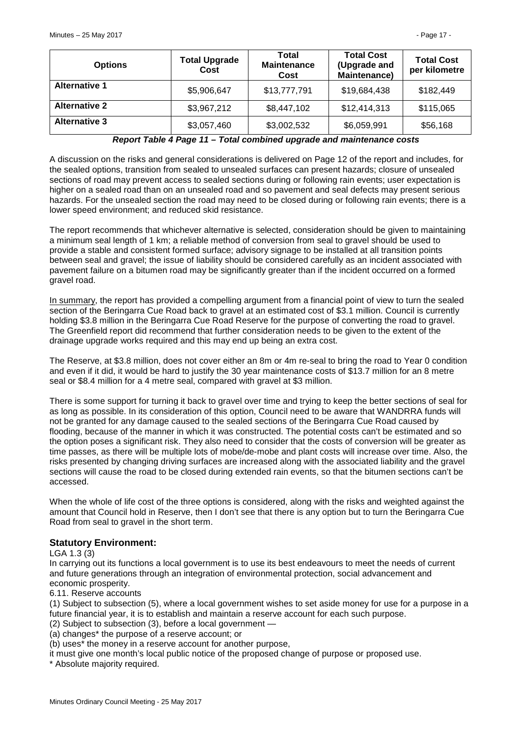| <b>Options</b>       | <b>Total Upgrade</b><br>Cost | Total<br><b>Maintenance</b><br>Cost | <b>Total Cost</b><br>(Upgrade and<br><b>Maintenance)</b> | <b>Total Cost</b><br>per kilometre |
|----------------------|------------------------------|-------------------------------------|----------------------------------------------------------|------------------------------------|
| <b>Alternative 1</b> | \$5,906,647                  | \$13,777,791                        | \$19,684,438                                             | \$182,449                          |
| <b>Alternative 2</b> | \$3,967,212                  | \$8,447,102                         | \$12,414,313                                             | \$115,065                          |
| <b>Alternative 3</b> | \$3,057,460                  | \$3,002,532                         | \$6,059,991                                              | \$56,168                           |

*Report Table 4 Page 11 – Total combined upgrade and maintenance costs* 

A discussion on the risks and general considerations is delivered on Page 12 of the report and includes, for the sealed options, transition from sealed to unsealed surfaces can present hazards; closure of unsealed sections of road may prevent access to sealed sections during or following rain events; user expectation is higher on a sealed road than on an unsealed road and so pavement and seal defects may present serious hazards. For the unsealed section the road may need to be closed during or following rain events; there is a lower speed environment; and reduced skid resistance.

The report recommends that whichever alternative is selected, consideration should be given to maintaining a minimum seal length of 1 km; a reliable method of conversion from seal to gravel should be used to provide a stable and consistent formed surface; advisory signage to be installed at all transition points between seal and gravel; the issue of liability should be considered carefully as an incident associated with pavement failure on a bitumen road may be significantly greater than if the incident occurred on a formed gravel road.

In summary, the report has provided a compelling argument from a financial point of view to turn the sealed section of the Beringarra Cue Road back to gravel at an estimated cost of \$3.1 million. Council is currently holding \$3.8 million in the Beringarra Cue Road Reserve for the purpose of converting the road to gravel. The Greenfield report did recommend that further consideration needs to be given to the extent of the drainage upgrade works required and this may end up being an extra cost.

The Reserve, at \$3.8 million, does not cover either an 8m or 4m re-seal to bring the road to Year 0 condition and even if it did, it would be hard to justify the 30 year maintenance costs of \$13.7 million for an 8 metre seal or \$8.4 million for a 4 metre seal, compared with gravel at \$3 million.

There is some support for turning it back to gravel over time and trying to keep the better sections of seal for as long as possible. In its consideration of this option, Council need to be aware that WANDRRA funds will not be granted for any damage caused to the sealed sections of the Beringarra Cue Road caused by flooding, because of the manner in which it was constructed. The potential costs can't be estimated and so the option poses a significant risk. They also need to consider that the costs of conversion will be greater as time passes, as there will be multiple lots of mobe/de-mobe and plant costs will increase over time. Also, the risks presented by changing driving surfaces are increased along with the associated liability and the gravel sections will cause the road to be closed during extended rain events, so that the bitumen sections can't be accessed.

When the whole of life cost of the three options is considered, along with the risks and weighted against the amount that Council hold in Reserve, then I don't see that there is any option but to turn the Beringarra Cue Road from seal to gravel in the short term.

# **Statutory Environment:**

LGA 1.3 (3)

In carrying out its functions a local government is to use its best endeavours to meet the needs of current and future generations through an integration of environmental protection, social advancement and economic prosperity.

6.11. Reserve accounts

(1) Subject to subsection (5), where a local government wishes to set aside money for use for a purpose in a future financial year, it is to establish and maintain a reserve account for each such purpose.

(2) Subject to subsection (3), before a local government —

(a) changes\* the purpose of a reserve account; or

(b) uses\* the money in a reserve account for another purpose,

it must give one month's local public notice of the proposed change of purpose or proposed use.

\* Absolute majority required.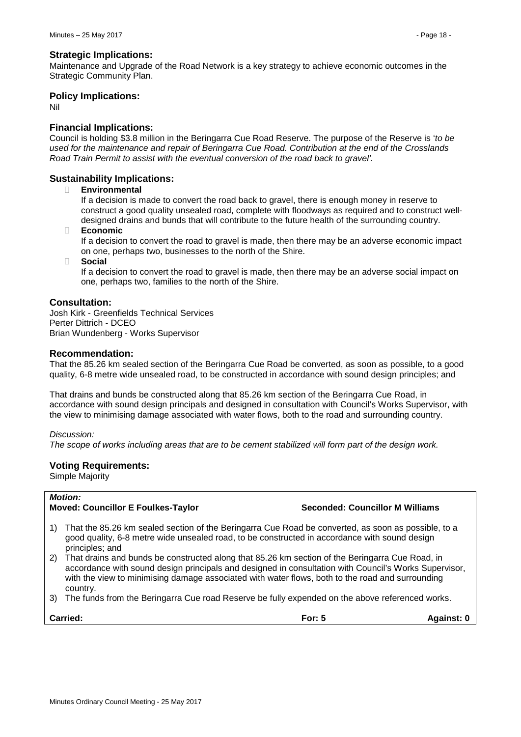#### **Strategic Implications:**

Maintenance and Upgrade of the Road Network is a key strategy to achieve economic outcomes in the Strategic Community Plan.

#### **Policy Implications:**

Nil

#### **Financial Implications:**

Council is holding \$3.8 million in the Beringarra Cue Road Reserve. The purpose of the Reserve is '*to be used for the maintenance and repair of Beringarra Cue Road. Contribution at the end of the Crosslands Road Train Permit to assist with the eventual conversion of the road back to gravel'.*

# **Sustainability Implications:**

� **Environmental** 

If a decision is made to convert the road back to gravel, there is enough money in reserve to construct a good quality unsealed road, complete with floodways as required and to construct welldesigned drains and bunds that will contribute to the future health of the surrounding country.

� **Economic**

If a decision to convert the road to gravel is made, then there may be an adverse economic impact on one, perhaps two, businesses to the north of the Shire.

� **Social**

If a decision to convert the road to gravel is made, then there may be an adverse social impact on one, perhaps two, families to the north of the Shire.

#### **Consultation:**

Josh Kirk - Greenfields Technical Services Perter Dittrich - DCEO Brian Wundenberg - Works Supervisor

#### **Recommendation:**

That the 85.26 km sealed section of the Beringarra Cue Road be converted, as soon as possible, to a good quality, 6-8 metre wide unsealed road, to be constructed in accordance with sound design principles; and

That drains and bunds be constructed along that 85.26 km section of the Beringarra Cue Road, in accordance with sound design principals and designed in consultation with Council's Works Supervisor, with the view to minimising damage associated with water flows, both to the road and surrounding country.

#### *Discussion:*

*The scope of works including areas that are to be cement stabilized will form part of the design work.*

#### **Voting Requirements:**

Simple Majority

#### *Motion:*

#### **Moved: Councillor E Foulkes-Taylor Seconded: Councillor M Williams**

- 1) That the 85.26 km sealed section of the Beringarra Cue Road be converted, as soon as possible, to a good quality, 6-8 metre wide unsealed road, to be constructed in accordance with sound design principles; and
- 2) That drains and bunds be constructed along that 85.26 km section of the Beringarra Cue Road, in accordance with sound design principals and designed in consultation with Council's Works Supervisor, with the view to minimising damage associated with water flows, both to the road and surrounding country.
- 3) The funds from the Beringarra Cue road Reserve be fully expended on the above referenced works.

| Carried: | For: 5 | <b>Against: 0</b> |
|----------|--------|-------------------|
|          |        |                   |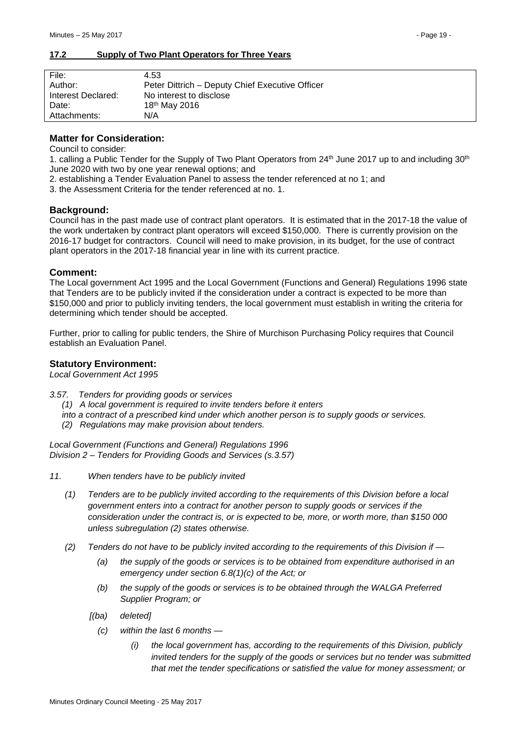#### <span id="page-18-0"></span>**17.2 Supply of Two Plant Operators for Three Years**

| File:              | 4.53                                            |
|--------------------|-------------------------------------------------|
| Author:            | Peter Dittrich - Deputy Chief Executive Officer |
| Interest Declared: | No interest to disclose                         |
| Date:              | 18 <sup>th</sup> May 2016                       |
| Attachments:       | N/A                                             |

# **Matter for Consideration:**

Council to consider:

1. calling a Public Tender for the Supply of Two Plant Operators from 24<sup>th</sup> June 2017 up to and including 30<sup>th</sup> June 2020 with two by one year renewal options; and

2. establishing a Tender Evaluation Panel to assess the tender referenced at no 1; and

3. the Assessment Criteria for the tender referenced at no. 1.

# **Background:**

Council has in the past made use of contract plant operators. It is estimated that in the 2017-18 the value of the work undertaken by contract plant operators will exceed \$150,000. There is currently provision on the 2016-17 budget for contractors. Council will need to make provision, in its budget, for the use of contract plant operators in the 2017-18 financial year in line with its current practice.

# **Comment:**

The Local government Act 1995 and the Local Government (Functions and General) Regulations 1996 state that Tenders are to be publicly invited if the consideration under a contract is expected to be more than \$150,000 and prior to publicly inviting tenders, the local government must establish in writing the criteria for determining which tender should be accepted.

Further, prior to calling for public tenders, the Shire of Murchison Purchasing Policy requires that Council establish an Evaluation Panel.

# **Statutory Environment:**

*Local Government Act 1995*

- *3.57. Tenders for providing goods or services* 
	- *(1) A local government is required to invite tenders before it enters*
	- *into a contract of a prescribed kind under which another person is to supply goods or services.*
	- *(2) Regulations may make provision about tenders.*

*Local Government (Functions and General) Regulations 1996 Division 2 – Tenders for Providing Goods and Services (s.3.57)*

- *11. When tenders have to be publicly invited*
	- *(1) Tenders are to be publicly invited according to the requirements of this Division before a local government enters into a contract for another person to supply goods or services if the consideration under the contract is, or is expected to be, more, or worth more, than \$150 000 unless subregulation (2) states otherwise.*
	- *(2) Tenders do not have to be publicly invited according to the requirements of this Division if —*
		- *(a) the supply of the goods or services is to be obtained from expenditure authorised in an emergency under section 6.8(1)(c) of the Act; or*
		- *(b) the supply of the goods or services is to be obtained through the WALGA Preferred Supplier Program; or*
		- *[(ba) deleted]*
			- *(c) within the last 6 months —*
				- *(i) the local government has, according to the requirements of this Division, publicly invited tenders for the supply of the goods or services but no tender was submitted that met the tender specifications or satisfied the value for money assessment; or*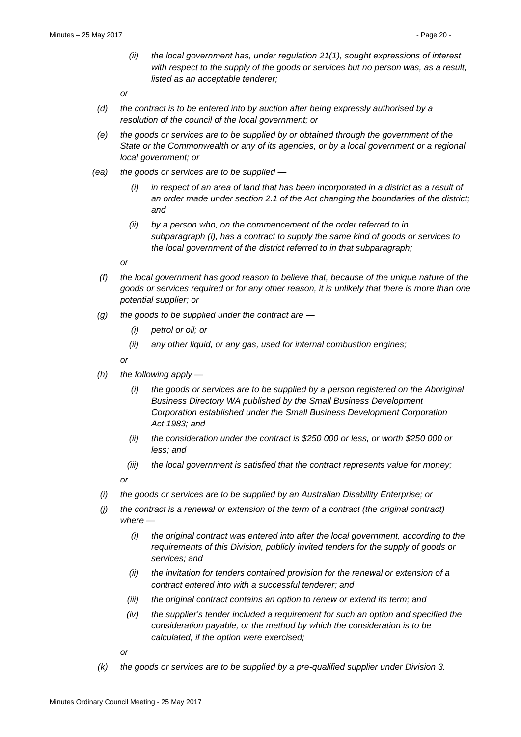*(ii) the local government has, under regulation 21(1), sought expressions of interest with respect to the supply of the goods or services but no person was, as a result, listed as an acceptable tenderer;*

*or*

- *(d) the contract is to be entered into by auction after being expressly authorised by a resolution of the council of the local government; or*
- *(e) the goods or services are to be supplied by or obtained through the government of the State or the Commonwealth or any of its agencies, or by a local government or a regional local government; or*
- *(ea) the goods or services are to be supplied —*
	- *(i) in respect of an area of land that has been incorporated in a district as a result of an order made under section 2.1 of the Act changing the boundaries of the district; and*
	- *(ii) by a person who, on the commencement of the order referred to in subparagraph (i), has a contract to supply the same kind of goods or services to the local government of the district referred to in that subparagraph;*

*or*

- *(f) the local government has good reason to believe that, because of the unique nature of the goods or services required or for any other reason, it is unlikely that there is more than one potential supplier; or*
- *(g) the goods to be supplied under the contract are —*
	- *(i) petrol or oil; or*
	- *(ii) any other liquid, or any gas, used for internal combustion engines;*

*or*

- *(h) the following apply —*
	- *(i) the goods or services are to be supplied by a person registered on the Aboriginal Business Directory WA published by the Small Business Development Corporation established under the Small Business Development Corporation Act 1983; and*
	- *(ii) the consideration under the contract is \$250 000 or less, or worth \$250 000 or less; and*
	- *(iii) the local government is satisfied that the contract represents value for money;*

*or*

- *(i) the goods or services are to be supplied by an Australian Disability Enterprise; or*
- *(j) the contract is a renewal or extension of the term of a contract (the original contract) where —*
	- *(i) the original contract was entered into after the local government, according to the requirements of this Division, publicly invited tenders for the supply of goods or services; and*
	- *(ii) the invitation for tenders contained provision for the renewal or extension of a contract entered into with a successful tenderer; and*
	- *(iii) the original contract contains an option to renew or extend its term; and*
	- *(iv) the supplier's tender included a requirement for such an option and specified the consideration payable, or the method by which the consideration is to be calculated, if the option were exercised;*

*or*

*(k) the goods or services are to be supplied by a pre-qualified supplier under Division 3.*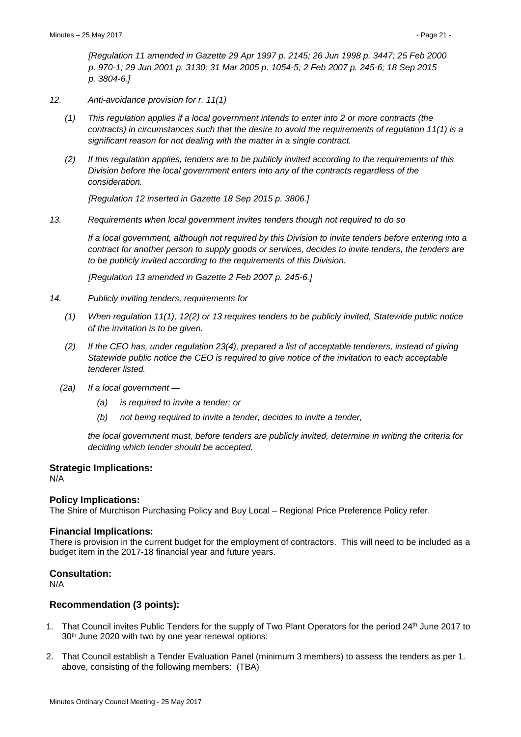*[Regulation 11 amended in Gazette 29 Apr 1997 p. 2145; 26 Jun 1998 p. 3447; 25 Feb 2000 p. 970-1; 29 Jun 2001 p. 3130; 31 Mar 2005 p. 1054-5; 2 Feb 2007 p. 245-6; 18 Sep 2015 p. 3804-6.]*

- *12. Anti-avoidance provision for r. 11(1)*
	- *(1) This regulation applies if a local government intends to enter into 2 or more contracts (the contracts) in circumstances such that the desire to avoid the requirements of regulation 11(1) is a significant reason for not dealing with the matter in a single contract.*
	- *(2) If this regulation applies, tenders are to be publicly invited according to the requirements of this Division before the local government enters into any of the contracts regardless of the consideration.*

*[Regulation 12 inserted in Gazette 18 Sep 2015 p. 3806.]* 

*13. Requirements when local government invites tenders though not required to do so*

*If a local government, although not required by this Division to invite tenders before entering into a contract for another person to supply goods or services, decides to invite tenders, the tenders are to be publicly invited according to the requirements of this Division.*

*[Regulation 13 amended in Gazette 2 Feb 2007 p. 245-6.]*

- *14. Publicly inviting tenders, requirements for*
	- *(1) When regulation 11(1), 12(2) or 13 requires tenders to be publicly invited, Statewide public notice of the invitation is to be given.*
	- *(2) If the CEO has, under regulation 23(4), prepared a list of acceptable tenderers, instead of giving Statewide public notice the CEO is required to give notice of the invitation to each acceptable tenderer listed.*
	- *(2a) If a local government —*
		- *(a) is required to invite a tender; or*
		- *(b) not being required to invite a tender, decides to invite a tender,*

*the local government must, before tenders are publicly invited, determine in writing the criteria for deciding which tender should be accepted.*

# **Strategic Implications:**

N/A

# **Policy Implications:**

The Shire of Murchison Purchasing Policy and Buy Local – Regional Price Preference Policy refer.

# **Financial Implications:**

There is provision in the current budget for the employment of contractors. This will need to be included as a budget item in the 2017-18 financial year and future years.

# **Consultation:**

N/A

# **Recommendation (3 points):**

- 1. That Council invites Public Tenders for the supply of Two Plant Operators for the period 24<sup>th</sup> June 2017 to 30<sup>th</sup> June 2020 with two by one year renewal options:
- 2. That Council establish a Tender Evaluation Panel (minimum 3 members) to assess the tenders as per 1. above, consisting of the following members: (TBA)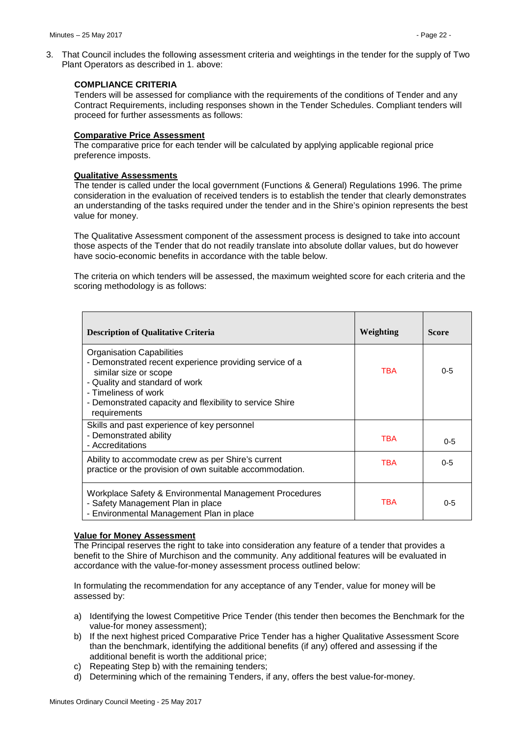# **COMPLIANCE CRITERIA**

Tenders will be assessed for compliance with the requirements of the conditions of Tender and any Contract Requirements, including responses shown in the Tender Schedules. Compliant tenders will proceed for further assessments as follows:

# **Comparative Price Assessment**

The comparative price for each tender will be calculated by applying applicable regional price preference imposts.

# **Qualitative Assessments**

The tender is called under the local government (Functions & General) Regulations 1996. The prime consideration in the evaluation of received tenders is to establish the tender that clearly demonstrates an understanding of the tasks required under the tender and in the Shire's opinion represents the best value for money.

The Qualitative Assessment component of the assessment process is designed to take into account those aspects of the Tender that do not readily translate into absolute dollar values, but do however have socio-economic benefits in accordance with the table below.

The criteria on which tenders will be assessed, the maximum weighted score for each criteria and the scoring methodology is as follows:

| <b>Description of Qualitative Criteria</b>                                                                                                                                                                                                                 | Weighting  | <b>Score</b> |
|------------------------------------------------------------------------------------------------------------------------------------------------------------------------------------------------------------------------------------------------------------|------------|--------------|
| <b>Organisation Capabilities</b><br>- Demonstrated recent experience providing service of a<br>similar size or scope<br>- Quality and standard of work<br>- Timeliness of work<br>- Demonstrated capacity and flexibility to service Shire<br>requirements | <b>TBA</b> | $0 - 5$      |
| Skills and past experience of key personnel<br>- Demonstrated ability<br>- Accreditations                                                                                                                                                                  | <b>TBA</b> | $0 - 5$      |
| Ability to accommodate crew as per Shire's current<br>practice or the provision of own suitable accommodation.                                                                                                                                             | <b>TBA</b> | $0 - 5$      |
| Workplace Safety & Environmental Management Procedures<br>- Safety Management Plan in place<br>- Environmental Management Plan in place                                                                                                                    | <b>TBA</b> | $0 - 5$      |

# **Value for Money Assessment**

The Principal reserves the right to take into consideration any feature of a tender that provides a benefit to the Shire of Murchison and the community. Any additional features will be evaluated in accordance with the value-for-money assessment process outlined below:

In formulating the recommendation for any acceptance of any Tender, value for money will be assessed by:

- a) Identifying the lowest Competitive Price Tender (this tender then becomes the Benchmark for the value-for money assessment);
- b) If the next highest priced Comparative Price Tender has a higher Qualitative Assessment Score than the benchmark, identifying the additional benefits (if any) offered and assessing if the additional benefit is worth the additional price;
- c) Repeating Step b) with the remaining tenders;
- d) Determining which of the remaining Tenders, if any, offers the best value-for-money.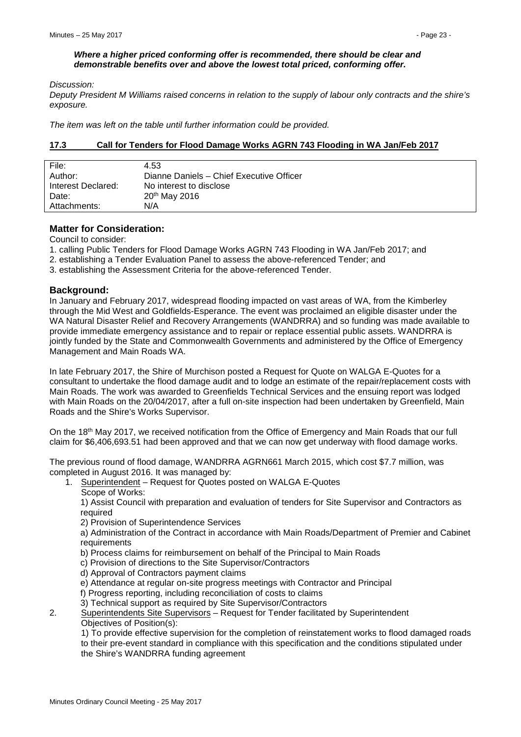#### *Where a higher priced conforming offer is recommended, there should be clear and demonstrable benefits over and above the lowest total priced, conforming offer.*

*Discussion:*

*Deputy President M Williams raised concerns in relation to the supply of labour only contracts and the shire's exposure.* 

*The item was left on the table until further information could be provided.*

#### <span id="page-22-0"></span>**17.3 Call for Tenders for Flood Damage Works AGRN 743 Flooding in WA Jan/Feb 2017**

| File:              | 4.53                                     |
|--------------------|------------------------------------------|
| Author:            | Dianne Daniels - Chief Executive Officer |
| Interest Declared: | No interest to disclose                  |
| Date:              | 20 <sup>th</sup> May 2016                |
| Attachments:       | N/A                                      |

# **Matter for Consideration:**

Council to consider:

1. calling Public Tenders for Flood Damage Works AGRN 743 Flooding in WA Jan/Feb 2017; and

2. establishing a Tender Evaluation Panel to assess the above-referenced Tender; and

3. establishing the Assessment Criteria for the above-referenced Tender.

# **Background:**

In January and February 2017, widespread flooding impacted on vast areas of WA, from the Kimberley through the Mid West and Goldfields-Esperance. The event was proclaimed an eligible disaster under the WA Natural Disaster Relief and Recovery Arrangements (WANDRRA) and so funding was made available to provide immediate emergency assistance and to repair or replace essential public assets. WANDRRA is jointly funded by the State and Commonwealth Governments and administered by the Office of Emergency Management and Main Roads WA.

In late February 2017, the Shire of Murchison posted a Request for Quote on WALGA E-Quotes for a consultant to undertake the flood damage audit and to lodge an estimate of the repair/replacement costs with Main Roads. The work was awarded to Greenfields Technical Services and the ensuing report was lodged with Main Roads on the 20/04/2017, after a full on-site inspection had been undertaken by Greenfield, Main Roads and the Shire's Works Supervisor.

On the 18<sup>th</sup> May 2017, we received notification from the Office of Emergency and Main Roads that our full claim for \$6,406,693.51 had been approved and that we can now get underway with flood damage works.

The previous round of flood damage, WANDRRA AGRN661 March 2015, which cost \$7.7 million, was completed in August 2016. It was managed by:

- 1. Superintendent Request for Quotes posted on WALGA E-Quotes
	- Scope of Works:

1) Assist Council with preparation and evaluation of tenders for Site Supervisor and Contractors as required

2) Provision of Superintendence Services

a) Administration of the Contract in accordance with Main Roads/Department of Premier and Cabinet requirements

b) Process claims for reimbursement on behalf of the Principal to Main Roads

- c) Provision of directions to the Site Supervisor/Contractors
- d) Approval of Contractors payment claims

e) Attendance at regular on-site progress meetings with Contractor and Principal

f) Progress reporting, including reconciliation of costs to claims

3) Technical support as required by Site Supervisor/Contractors

2. Superintendents Site Supervisors – Request for Tender facilitated by Superintendent Objectives of Position(s):

1) To provide effective supervision for the completion of reinstatement works to flood damaged roads to their pre-event standard in compliance with this specification and the conditions stipulated under the Shire's WANDRRA funding agreement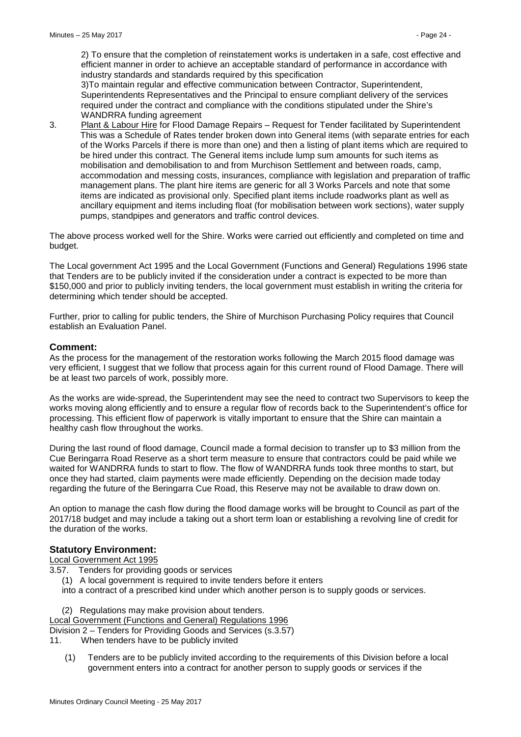2) To ensure that the completion of reinstatement works is undertaken in a safe, cost effective and efficient manner in order to achieve an acceptable standard of performance in accordance with industry standards and standards required by this specification

3)To maintain regular and effective communication between Contractor, Superintendent, Superintendents Representatives and the Principal to ensure compliant delivery of the services required under the contract and compliance with the conditions stipulated under the Shire's WANDRRA funding agreement

3. Plant & Labour Hire for Flood Damage Repairs – Request for Tender facilitated by Superintendent This was a Schedule of Rates tender broken down into General items (with separate entries for each of the Works Parcels if there is more than one) and then a listing of plant items which are required to be hired under this contract. The General items include lump sum amounts for such items as mobilisation and demobilisation to and from Murchison Settlement and between roads, camp, accommodation and messing costs, insurances, compliance with legislation and preparation of traffic management plans. The plant hire items are generic for all 3 Works Parcels and note that some items are indicated as provisional only. Specified plant items include roadworks plant as well as ancillary equipment and items including float (for mobilisation between work sections), water supply pumps, standpipes and generators and traffic control devices.

The above process worked well for the Shire. Works were carried out efficiently and completed on time and budget.

The Local government Act 1995 and the Local Government (Functions and General) Regulations 1996 state that Tenders are to be publicly invited if the consideration under a contract is expected to be more than \$150,000 and prior to publicly inviting tenders, the local government must establish in writing the criteria for determining which tender should be accepted.

Further, prior to calling for public tenders, the Shire of Murchison Purchasing Policy requires that Council establish an Evaluation Panel.

#### **Comment:**

As the process for the management of the restoration works following the March 2015 flood damage was very efficient, I suggest that we follow that process again for this current round of Flood Damage. There will be at least two parcels of work, possibly more.

As the works are wide-spread, the Superintendent may see the need to contract two Supervisors to keep the works moving along efficiently and to ensure a regular flow of records back to the Superintendent's office for processing. This efficient flow of paperwork is vitally important to ensure that the Shire can maintain a healthy cash flow throughout the works.

During the last round of flood damage, Council made a formal decision to transfer up to \$3 million from the Cue Beringarra Road Reserve as a short term measure to ensure that contractors could be paid while we waited for WANDRRA funds to start to flow. The flow of WANDRRA funds took three months to start, but once they had started, claim payments were made efficiently. Depending on the decision made today regarding the future of the Beringarra Cue Road, this Reserve may not be available to draw down on.

An option to manage the cash flow during the flood damage works will be brought to Council as part of the 2017/18 budget and may include a taking out a short term loan or establishing a revolving line of credit for the duration of the works.

# **Statutory Environment:**

Local Government Act 1995

- 3.57. Tenders for providing goods or services
	- (1) A local government is required to invite tenders before it enters
	- into a contract of a prescribed kind under which another person is to supply goods or services.
	- (2) Regulations may make provision about tenders.

Local Government (Functions and General) Regulations 1996

Division 2 – Tenders for Providing Goods and Services (s.3.57)

- 11. When tenders have to be publicly invited
	- (1) Tenders are to be publicly invited according to the requirements of this Division before a local government enters into a contract for another person to supply goods or services if the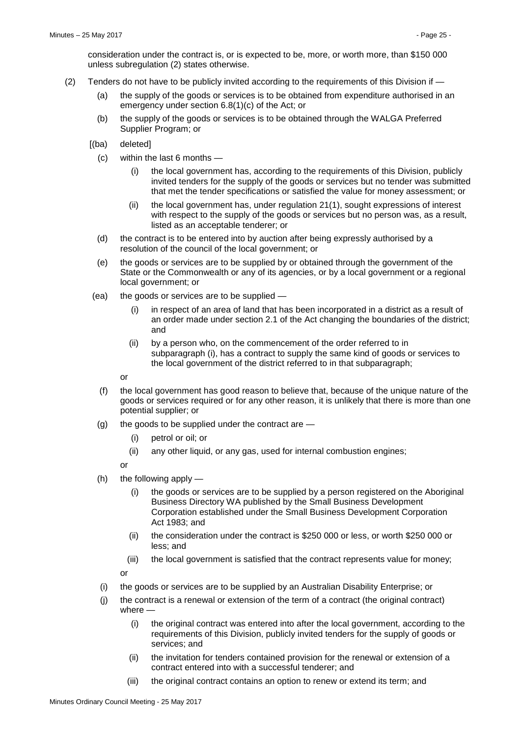- (2) Tenders do not have to be publicly invited according to the requirements of this Division if
	- (a) the supply of the goods or services is to be obtained from expenditure authorised in an emergency under section 6.8(1)(c) of the Act; or
	- (b) the supply of the goods or services is to be obtained through the WALGA Preferred Supplier Program; or
	- [(ba) deleted]
		- (c) within the last 6 months
			- the local government has, according to the requirements of this Division, publicly invited tenders for the supply of the goods or services but no tender was submitted that met the tender specifications or satisfied the value for money assessment; or
			- (ii) the local government has, under regulation 21(1), sought expressions of interest with respect to the supply of the goods or services but no person was, as a result, listed as an acceptable tenderer; or
		- (d) the contract is to be entered into by auction after being expressly authorised by a resolution of the council of the local government; or
		- (e) the goods or services are to be supplied by or obtained through the government of the State or the Commonwealth or any of its agencies, or by a local government or a regional local government; or
	- (ea) the goods or services are to be supplied
		- (i) in respect of an area of land that has been incorporated in a district as a result of an order made under section 2.1 of the Act changing the boundaries of the district; and
		- (ii) by a person who, on the commencement of the order referred to in subparagraph (i), has a contract to supply the same kind of goods or services to the local government of the district referred to in that subparagraph;

or

- (f) the local government has good reason to believe that, because of the unique nature of the goods or services required or for any other reason, it is unlikely that there is more than one potential supplier; or
- $(g)$  the goods to be supplied under the contract are  $-$ 
	- (i) petrol or oil; or
	- (ii) any other liquid, or any gas, used for internal combustion engines;

or

- $(h)$  the following apply
	- (i) the goods or services are to be supplied by a person registered on the Aboriginal Business Directory WA published by the Small Business Development Corporation established under the Small Business Development Corporation Act 1983; and
	- (ii) the consideration under the contract is \$250 000 or less, or worth \$250 000 or less; and
	- (iii) the local government is satisfied that the contract represents value for money;

or

- (i) the goods or services are to be supplied by an Australian Disability Enterprise; or
- (j) the contract is a renewal or extension of the term of a contract (the original contract) where -
	- (i) the original contract was entered into after the local government, according to the requirements of this Division, publicly invited tenders for the supply of goods or services; and
	- (ii) the invitation for tenders contained provision for the renewal or extension of a contract entered into with a successful tenderer; and
	- (iii) the original contract contains an option to renew or extend its term; and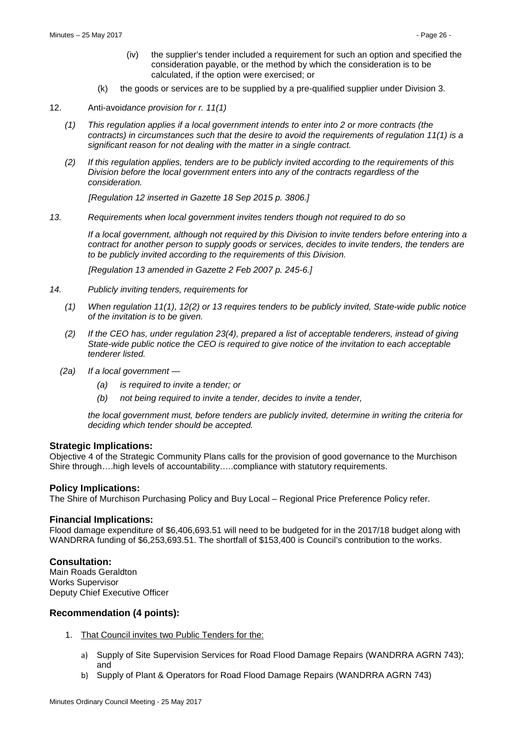- (iv) the supplier's tender included a requirement for such an option and specified the consideration payable, or the method by which the consideration is to be calculated, if the option were exercised; or
- (k) the goods or services are to be supplied by a pre-qualified supplier under Division 3.
- 12. Anti-avoi*dance provision for r. 11(1)*
	- *(1) This regulation applies if a local government intends to enter into 2 or more contracts (the contracts) in circumstances such that the desire to avoid the requirements of regulation 11(1) is a significant reason for not dealing with the matter in a single contract.*
	- *(2) If this regulation applies, tenders are to be publicly invited according to the requirements of this Division before the local government enters into any of the contracts regardless of the consideration.*

*[Regulation 12 inserted in Gazette 18 Sep 2015 p. 3806.]* 

*13. Requirements when local government invites tenders though not required to do so*

*If a local government, although not required by this Division to invite tenders before entering into a contract for another person to supply goods or services, decides to invite tenders, the tenders are to be publicly invited according to the requirements of this Division.*

*[Regulation 13 amended in Gazette 2 Feb 2007 p. 245-6.]*

- *14. Publicly inviting tenders, requirements for*
	- *(1) When regulation 11(1), 12(2) or 13 requires tenders to be publicly invited, State-wide public notice of the invitation is to be given.*
	- *(2) If the CEO has, under regulation 23(4), prepared a list of acceptable tenderers, instead of giving State-wide public notice the CEO is required to give notice of the invitation to each acceptable tenderer listed.*
	- *(2a) If a local government —*
		- *(a) is required to invite a tender; or*
		- *(b) not being required to invite a tender, decides to invite a tender,*

*the local government must, before tenders are publicly invited, determine in writing the criteria for deciding which tender should be accepted.*

#### **Strategic Implications:**

Objective 4 of the Strategic Community Plans calls for the provision of good governance to the Murchison Shire through….high levels of accountability…..compliance with statutory requirements.

# **Policy Implications:**

The Shire of Murchison Purchasing Policy and Buy Local – Regional Price Preference Policy refer.

#### **Financial Implications:**

Flood damage expenditure of \$6,406,693.51 will need to be budgeted for in the 2017/18 budget along with WANDRRA funding of \$6,253,693.51. The shortfall of \$153,400 is Council's contribution to the works.

# **Consultation:**

Main Roads Geraldton Works Supervisor Deputy Chief Executive Officer

# **Recommendation (4 points):**

- 1. That Council invites two Public Tenders for the:
	- a) Supply of Site Supervision Services for Road Flood Damage Repairs (WANDRRA AGRN 743); and
	- b) Supply of Plant & Operators for Road Flood Damage Repairs (WANDRRA AGRN 743)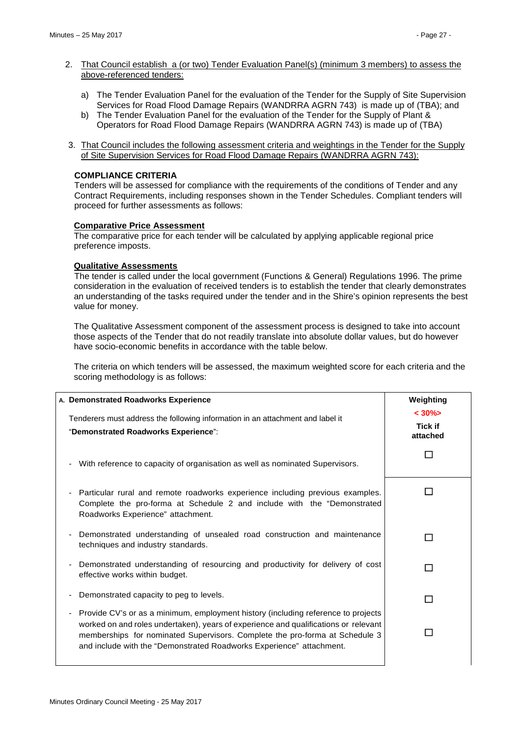- 2. That Council establish a (or two) Tender Evaluation Panel(s) (minimum 3 members) to assess the above-referenced tenders:
	- a) The Tender Evaluation Panel for the evaluation of the Tender for the Supply of Site Supervision Services for Road Flood Damage Repairs (WANDRRA AGRN 743) is made up of (TBA); and
	- b) The Tender Evaluation Panel for the evaluation of the Tender for the Supply of Plant & Operators for Road Flood Damage Repairs (WANDRRA AGRN 743) is made up of (TBA)
- 3. That Council includes the following assessment criteria and weightings in the Tender for the Supply of Site Supervision Services for Road Flood Damage Repairs (WANDRRA AGRN 743):

# **COMPLIANCE CRITERIA**

Tenders will be assessed for compliance with the requirements of the conditions of Tender and any Contract Requirements, including responses shown in the Tender Schedules. Compliant tenders will proceed for further assessments as follows:

#### **Comparative Price Assessment**

The comparative price for each tender will be calculated by applying applicable regional price preference imposts.

# **Qualitative Assessments**

The tender is called under the local government (Functions & General) Regulations 1996. The prime consideration in the evaluation of received tenders is to establish the tender that clearly demonstrates an understanding of the tasks required under the tender and in the Shire's opinion represents the best value for money.

The Qualitative Assessment component of the assessment process is designed to take into account those aspects of the Tender that do not readily translate into absolute dollar values, but do however have socio-economic benefits in accordance with the table below.

The criteria on which tenders will be assessed, the maximum weighted score for each criteria and the scoring methodology is as follows:

| A. Demonstrated Roadworks Experience                                                                                                                                                                                                                                                                                                              | Weighting                  |
|---------------------------------------------------------------------------------------------------------------------------------------------------------------------------------------------------------------------------------------------------------------------------------------------------------------------------------------------------|----------------------------|
| Tenderers must address the following information in an attachment and label it                                                                                                                                                                                                                                                                    | $< 30\%$<br><b>Tick if</b> |
| "Demonstrated Roadworks Experience":                                                                                                                                                                                                                                                                                                              | attached                   |
| With reference to capacity of organisation as well as nominated Supervisors.                                                                                                                                                                                                                                                                      |                            |
| Particular rural and remote roadworks experience including previous examples.<br>Complete the pro-forma at Schedule 2 and include with the "Demonstrated<br>Roadworks Experience" attachment.                                                                                                                                                     |                            |
| Demonstrated understanding of unsealed road construction and maintenance<br>techniques and industry standards.                                                                                                                                                                                                                                    |                            |
| Demonstrated understanding of resourcing and productivity for delivery of cost<br>$\overline{\phantom{a}}$<br>effective works within budget.                                                                                                                                                                                                      |                            |
| Demonstrated capacity to peg to levels.<br>$\overline{\phantom{a}}$                                                                                                                                                                                                                                                                               |                            |
| Provide CV's or as a minimum, employment history (including reference to projects<br>$\blacksquare$<br>worked on and roles undertaken), years of experience and qualifications or relevant<br>memberships for nominated Supervisors. Complete the pro-forma at Schedule 3<br>and include with the "Demonstrated Roadworks Experience" attachment. |                            |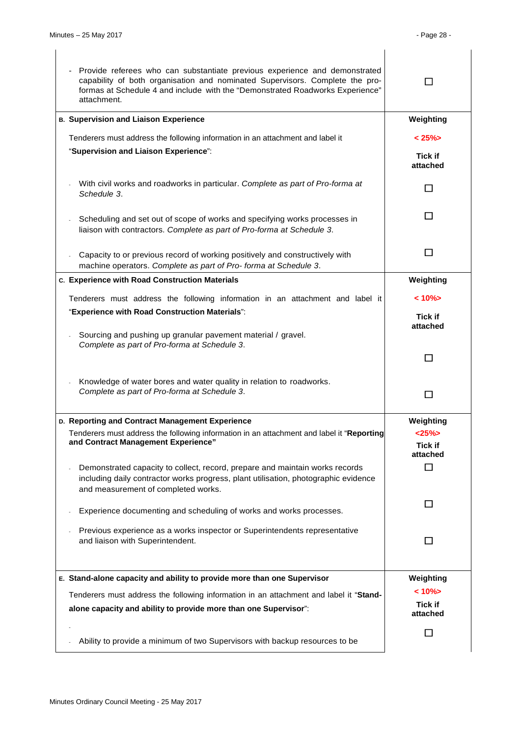| Provide referees who can substantiate previous experience and demonstrated<br>capability of both organisation and nominated Supervisors. Complete the pro-<br>formas at Schedule 4 and include with the "Demonstrated Roadworks Experience"<br>attachment. | $\blacksquare$                      |
|------------------------------------------------------------------------------------------------------------------------------------------------------------------------------------------------------------------------------------------------------------|-------------------------------------|
| <b>B. Supervision and Liaison Experience</b>                                                                                                                                                                                                               | Weighting                           |
| Tenderers must address the following information in an attachment and label it                                                                                                                                                                             | $< 25\%$                            |
| "Supervision and Liaison Experience":                                                                                                                                                                                                                      | <b>Tick if</b><br>attached          |
| With civil works and roadworks in particular. Complete as part of Pro-forma at<br>Schedule 3.                                                                                                                                                              | □                                   |
| Scheduling and set out of scope of works and specifying works processes in<br>liaison with contractors. Complete as part of Pro-forma at Schedule 3.                                                                                                       | П                                   |
| Capacity to or previous record of working positively and constructively with<br>machine operators. Complete as part of Pro-forma at Schedule 3.                                                                                                            | П                                   |
| c. Experience with Road Construction Materials                                                                                                                                                                                                             | Weighting                           |
| Tenderers must address the following information in an attachment and label it                                                                                                                                                                             | $< 10\%$                            |
| "Experience with Road Construction Materials":<br>Sourcing and pushing up granular pavement material / gravel.                                                                                                                                             | <b>Tick if</b><br>attached          |
| Complete as part of Pro-forma at Schedule 3.                                                                                                                                                                                                               | П                                   |
| Knowledge of water bores and water quality in relation to roadworks.<br>Complete as part of Pro-forma at Schedule 3.                                                                                                                                       | □                                   |
| D. Reporting and Contract Management Experience                                                                                                                                                                                                            | Weighting                           |
| Tenderers must address the following information in an attachment and label it "Reporting<br>and Contract Management Experience"                                                                                                                           | < 25%<br><b>Tick if</b><br>attached |
| Demonstrated capacity to collect, record, prepare and maintain works records<br>including daily contractor works progress, plant utilisation, photographic evidence<br>and measurement of completed works.                                                 | П                                   |
| Experience documenting and scheduling of works and works processes.                                                                                                                                                                                        | H                                   |
| Previous experience as a works inspector or Superintendents representative<br>and liaison with Superintendent.                                                                                                                                             | $\overline{\phantom{0}}$            |
| E. Stand-alone capacity and ability to provide more than one Supervisor                                                                                                                                                                                    | Weighting                           |
| Tenderers must address the following information in an attachment and label it "Stand-                                                                                                                                                                     | $< 10\%$                            |
| alone capacity and ability to provide more than one Supervisor":                                                                                                                                                                                           | <b>Tick if</b><br>attached          |
| Ability to provide a minimum of two Supervisors with backup resources to be                                                                                                                                                                                | П                                   |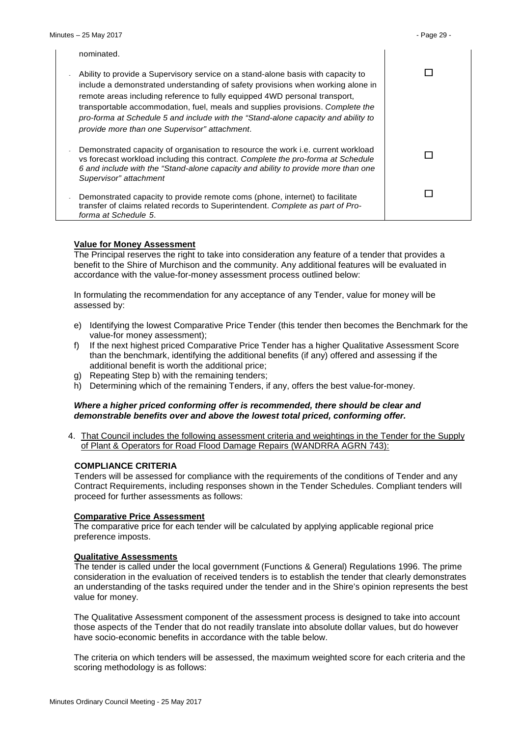| nominated.                                                                                                                                                                                                                                                                                                                                                                                                                                                                |  |
|---------------------------------------------------------------------------------------------------------------------------------------------------------------------------------------------------------------------------------------------------------------------------------------------------------------------------------------------------------------------------------------------------------------------------------------------------------------------------|--|
| Ability to provide a Supervisory service on a stand-alone basis with capacity to<br>include a demonstrated understanding of safety provisions when working alone in<br>remote areas including reference to fully equipped 4WD personal transport,<br>transportable accommodation, fuel, meals and supplies provisions. Complete the<br>pro-forma at Schedule 5 and include with the "Stand-alone capacity and ability to<br>provide more than one Supervisor" attachment. |  |
| Demonstrated capacity of organisation to resource the work i.e. current workload<br>vs forecast workload including this contract. Complete the pro-forma at Schedule<br>6 and include with the "Stand-alone capacity and ability to provide more than one<br>Supervisor" attachment                                                                                                                                                                                       |  |
| Demonstrated capacity to provide remote coms (phone, internet) to facilitate<br>transfer of claims related records to Superintendent. Complete as part of Pro-<br>forma at Schedule 5.                                                                                                                                                                                                                                                                                    |  |

#### **Value for Money Assessment**

The Principal reserves the right to take into consideration any feature of a tender that provides a benefit to the Shire of Murchison and the community. Any additional features will be evaluated in accordance with the value-for-money assessment process outlined below:

In formulating the recommendation for any acceptance of any Tender, value for money will be assessed by:

- e) Identifying the lowest Comparative Price Tender (this tender then becomes the Benchmark for the value-for money assessment);
- f) If the next highest priced Comparative Price Tender has a higher Qualitative Assessment Score than the benchmark, identifying the additional benefits (if any) offered and assessing if the additional benefit is worth the additional price;
- g) Repeating Step b) with the remaining tenders;
- h) Determining which of the remaining Tenders, if any, offers the best value-for-money.

#### *Where a higher priced conforming offer is recommended, there should be clear and demonstrable benefits over and above the lowest total priced, conforming offer.*

4. That Council includes the following assessment criteria and weightings in the Tender for the Supply of Plant & Operators for Road Flood Damage Repairs (WANDRRA AGRN 743):

# **COMPLIANCE CRITERIA**

Tenders will be assessed for compliance with the requirements of the conditions of Tender and any Contract Requirements, including responses shown in the Tender Schedules. Compliant tenders will proceed for further assessments as follows:

#### **Comparative Price Assessment**

The comparative price for each tender will be calculated by applying applicable regional price preference imposts.

#### **Qualitative Assessments**

The tender is called under the local government (Functions & General) Regulations 1996. The prime consideration in the evaluation of received tenders is to establish the tender that clearly demonstrates an understanding of the tasks required under the tender and in the Shire's opinion represents the best value for money.

The Qualitative Assessment component of the assessment process is designed to take into account those aspects of the Tender that do not readily translate into absolute dollar values, but do however have socio-economic benefits in accordance with the table below.

The criteria on which tenders will be assessed, the maximum weighted score for each criteria and the scoring methodology is as follows: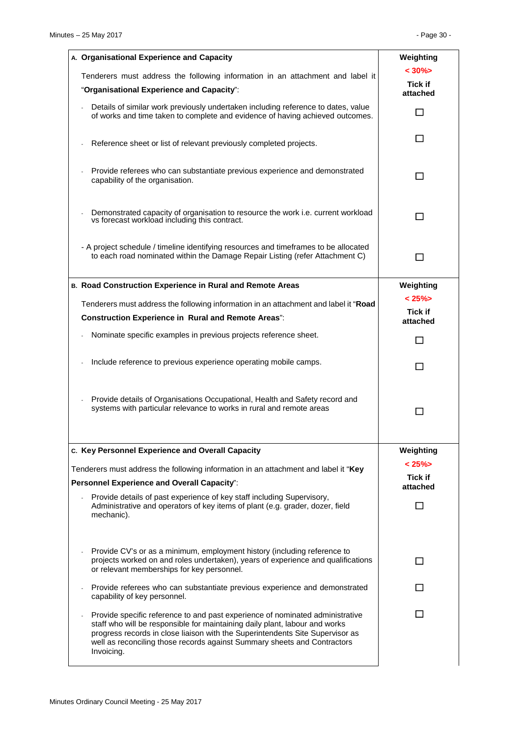| A. Organisational Experience and Capacity                                                                                                                                                                                                                                                                                               | Weighting                  |
|-----------------------------------------------------------------------------------------------------------------------------------------------------------------------------------------------------------------------------------------------------------------------------------------------------------------------------------------|----------------------------|
| Tenderers must address the following information in an attachment and label it                                                                                                                                                                                                                                                          | $< 30\%$                   |
| "Organisational Experience and Capacity":                                                                                                                                                                                                                                                                                               | Tick if<br>attached        |
| Details of similar work previously undertaken including reference to dates, value<br>of works and time taken to complete and evidence of having achieved outcomes.                                                                                                                                                                      | П                          |
| Reference sheet or list of relevant previously completed projects.                                                                                                                                                                                                                                                                      | l 1                        |
| Provide referees who can substantiate previous experience and demonstrated<br>capability of the organisation.                                                                                                                                                                                                                           | П                          |
| Demonstrated capacity of organisation to resource the work i.e. current workload<br>vs forecast workload including this contract.                                                                                                                                                                                                       | П                          |
| - A project schedule / timeline identifying resources and timeframes to be allocated<br>to each road nominated within the Damage Repair Listing (refer Attachment C)                                                                                                                                                                    | ⊓                          |
| B. Road Construction Experience in Rural and Remote Areas                                                                                                                                                                                                                                                                               | Weighting                  |
| Tenderers must address the following information in an attachment and label it "Road                                                                                                                                                                                                                                                    | $< 25\%$                   |
| <b>Construction Experience in Rural and Remote Areas":</b>                                                                                                                                                                                                                                                                              | <b>Tick if</b><br>attached |
| Nominate specific examples in previous projects reference sheet.                                                                                                                                                                                                                                                                        | <b>COL</b>                 |
|                                                                                                                                                                                                                                                                                                                                         |                            |
| Include reference to previous experience operating mobile camps.                                                                                                                                                                                                                                                                        | П                          |
| Provide details of Organisations Occupational, Health and Safety record and<br>systems with particular relevance to works in rural and remote areas                                                                                                                                                                                     | П                          |
| c. Key Personnel Experience and Overall Capacity                                                                                                                                                                                                                                                                                        | Weighting                  |
| Tenderers must address the following information in an attachment and label it "Key                                                                                                                                                                                                                                                     | $< 25\%$                   |
| Personnel Experience and Overall Capacity":                                                                                                                                                                                                                                                                                             | <b>Tick if</b><br>attached |
| Provide details of past experience of key staff including Supervisory,<br>Administrative and operators of key items of plant (e.g. grader, dozer, field<br>mechanic).                                                                                                                                                                   | <b>Tale</b>                |
| Provide CV's or as a minimum, employment history (including reference to<br>projects worked on and roles undertaken), years of experience and qualifications<br>or relevant memberships for key personnel.                                                                                                                              | П                          |
| Provide referees who can substantiate previous experience and demonstrated<br>capability of key personnel.                                                                                                                                                                                                                              | П                          |
| Provide specific reference to and past experience of nominated administrative<br>staff who will be responsible for maintaining daily plant, labour and works<br>progress records in close liaison with the Superintendents Site Supervisor as<br>well as reconciling those records against Summary sheets and Contractors<br>Invoicing. | Γι                         |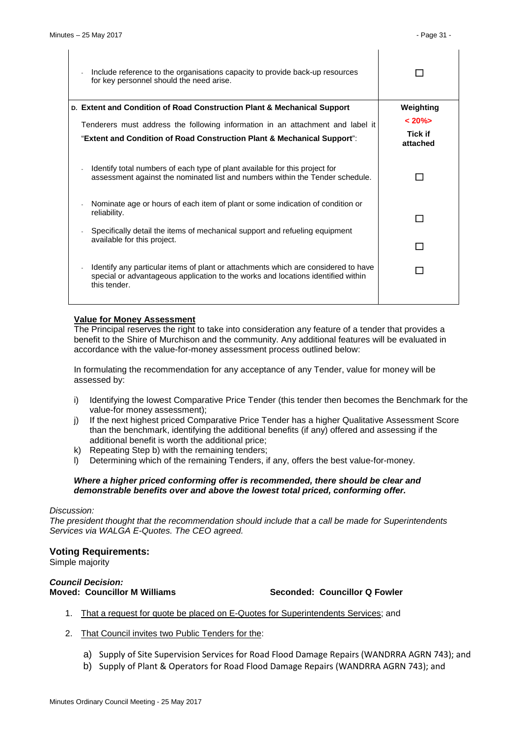$\overline{\phantom{a}}$ 

 $\overline{1}$ 

 $\overline{1}$ 

| Include reference to the organisations capacity to provide back-up resources<br>$\overline{a}$<br>for key personnel should the need arise.                                                                                           |                                                     |
|--------------------------------------------------------------------------------------------------------------------------------------------------------------------------------------------------------------------------------------|-----------------------------------------------------|
| D. Extent and Condition of Road Construction Plant & Mechanical Support<br>Tenderers must address the following information in an attachment and label it<br>"Extent and Condition of Road Construction Plant & Mechanical Support": | Weighting<br>$< 20\%$<br><b>Tick if</b><br>attached |
| Identify total numbers of each type of plant available for this project for<br>assessment against the nominated list and numbers within the Tender schedule.                                                                         |                                                     |
| Nominate age or hours of each item of plant or some indication of condition or<br>÷,<br>reliability.<br>Specifically detail the items of mechanical support and refueling equipment<br>available for this project.                   |                                                     |
|                                                                                                                                                                                                                                      |                                                     |
| Identify any particular items of plant or attachments which are considered to have<br>special or advantageous application to the works and locations identified within<br>this tender.                                               |                                                     |

# **Value for Money Assessment**

The Principal reserves the right to take into consideration any feature of a tender that provides a benefit to the Shire of Murchison and the community. Any additional features will be evaluated in accordance with the value-for-money assessment process outlined below:

In formulating the recommendation for any acceptance of any Tender, value for money will be assessed by:

- i) Identifying the lowest Comparative Price Tender (this tender then becomes the Benchmark for the value-for money assessment);
- j) If the next highest priced Comparative Price Tender has a higher Qualitative Assessment Score than the benchmark, identifying the additional benefits (if any) offered and assessing if the additional benefit is worth the additional price;
- k) Repeating Step b) with the remaining tenders;
- l) Determining which of the remaining Tenders, if any, offers the best value-for-money.

#### *Where a higher priced conforming offer is recommended, there should be clear and demonstrable benefits over and above the lowest total priced, conforming offer.*

#### *Discussion:*

*The president thought that the recommendation should include that a call be made for Superintendents Services via WALGA E-Quotes. The CEO agreed.*

# **Voting Requirements:**

Simple majority

# *Council Decision:*

# **Moved: Councillor M Williams Seconded: Councillor Q Fowler**

- 1. That a request for quote be placed on E-Quotes for Superintendents Services; and
- 2. That Council invites two Public Tenders for the:
	- a) Supply of Site Supervision Services for Road Flood Damage Repairs (WANDRRA AGRN 743); and
	- b) Supply of Plant & Operators for Road Flood Damage Repairs (WANDRRA AGRN 743); and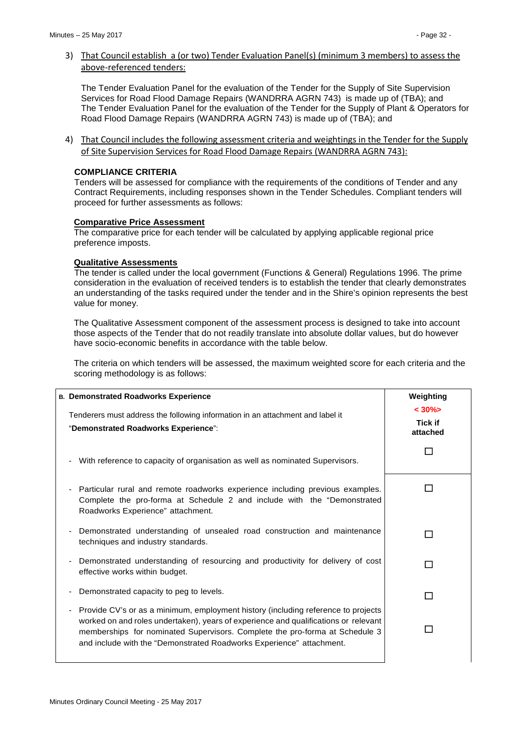3) That Council establish a (or two) Tender Evaluation Panel(s) (minimum 3 members) to assess the above-referenced tenders:

The Tender Evaluation Panel for the evaluation of the Tender for the Supply of Site Supervision Services for Road Flood Damage Repairs (WANDRRA AGRN 743) is made up of (TBA); and The Tender Evaluation Panel for the evaluation of the Tender for the Supply of Plant & Operators for Road Flood Damage Repairs (WANDRRA AGRN 743) is made up of (TBA); and

4) That Council includes the following assessment criteria and weightings in the Tender for the Supply of Site Supervision Services for Road Flood Damage Repairs (WANDRRA AGRN 743):

#### **COMPLIANCE CRITERIA**

Tenders will be assessed for compliance with the requirements of the conditions of Tender and any Contract Requirements, including responses shown in the Tender Schedules. Compliant tenders will proceed for further assessments as follows:

#### **Comparative Price Assessment**

The comparative price for each tender will be calculated by applying applicable regional price preference imposts.

#### **Qualitative Assessments**

The tender is called under the local government (Functions & General) Regulations 1996. The prime consideration in the evaluation of received tenders is to establish the tender that clearly demonstrates an understanding of the tasks required under the tender and in the Shire's opinion represents the best value for money.

The Qualitative Assessment component of the assessment process is designed to take into account those aspects of the Tender that do not readily translate into absolute dollar values, but do however have socio-economic benefits in accordance with the table below.

The criteria on which tenders will be assessed, the maximum weighted score for each criteria and the scoring methodology is as follows:

| <b>B. Demonstrated Roadworks Experience</b><br>Tenderers must address the following information in an attachment and label it<br>"Demonstrated Roadworks Experience":                                                                                                                                                                     | Weighting<br>$< 30\%$<br><b>Tick if</b><br>attached |
|-------------------------------------------------------------------------------------------------------------------------------------------------------------------------------------------------------------------------------------------------------------------------------------------------------------------------------------------|-----------------------------------------------------|
| With reference to capacity of organisation as well as nominated Supervisors.                                                                                                                                                                                                                                                              |                                                     |
| Particular rural and remote roadworks experience including previous examples.<br>Complete the pro-forma at Schedule 2 and include with the "Demonstrated"<br>Roadworks Experience" attachment.                                                                                                                                            |                                                     |
| Demonstrated understanding of unsealed road construction and maintenance<br>$\sim$<br>techniques and industry standards.                                                                                                                                                                                                                  |                                                     |
| Demonstrated understanding of resourcing and productivity for delivery of cost<br>$\blacksquare$<br>effective works within budget.                                                                                                                                                                                                        |                                                     |
| Demonstrated capacity to peg to levels.                                                                                                                                                                                                                                                                                                   |                                                     |
| Provide CV's or as a minimum, employment history (including reference to projects<br>$\sim$<br>worked on and roles undertaken), years of experience and qualifications or relevant<br>memberships for nominated Supervisors. Complete the pro-forma at Schedule 3<br>and include with the "Demonstrated Roadworks Experience" attachment. |                                                     |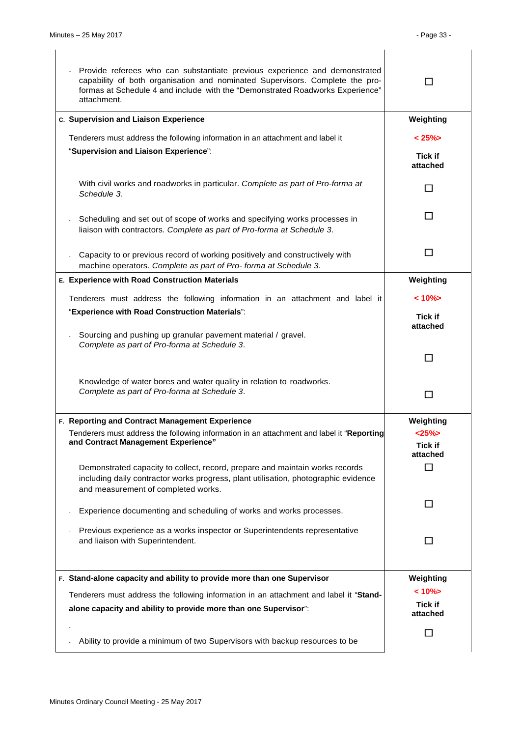| Provide referees who can substantiate previous experience and demonstrated<br>capability of both organisation and nominated Supervisors. Complete the pro-<br>formas at Schedule 4 and include with the "Demonstrated Roadworks Experience"<br>attachment. | П                                      |
|------------------------------------------------------------------------------------------------------------------------------------------------------------------------------------------------------------------------------------------------------------|----------------------------------------|
| c. Supervision and Liaison Experience                                                                                                                                                                                                                      | Weighting                              |
| Tenderers must address the following information in an attachment and label it                                                                                                                                                                             | $< 25\%$                               |
| "Supervision and Liaison Experience":                                                                                                                                                                                                                      | <b>Tick if</b><br>attached             |
| With civil works and roadworks in particular. Complete as part of Pro-forma at<br>Schedule 3.                                                                                                                                                              | П                                      |
| Scheduling and set out of scope of works and specifying works processes in<br>liaison with contractors. Complete as part of Pro-forma at Schedule 3.                                                                                                       | □                                      |
| Capacity to or previous record of working positively and constructively with<br>machine operators. Complete as part of Pro-forma at Schedule 3.                                                                                                            | □                                      |
| E. Experience with Road Construction Materials                                                                                                                                                                                                             | Weighting                              |
| Tenderers must address the following information in an attachment and label it                                                                                                                                                                             | $< 10\%$                               |
| "Experience with Road Construction Materials":<br>Sourcing and pushing up granular pavement material / gravel.                                                                                                                                             | <b>Tick if</b><br>attached             |
| Complete as part of Pro-forma at Schedule 3.                                                                                                                                                                                                               | П                                      |
| Knowledge of water bores and water quality in relation to roadworks.<br>Complete as part of Pro-forma at Schedule 3.                                                                                                                                       | □                                      |
| F. Reporting and Contract Management Experience                                                                                                                                                                                                            | Weighting                              |
| Tenderers must address the following information in an attachment and label it "Reporting<br>and Contract Management Experience"                                                                                                                           | $<$ 25%><br><b>Tick if</b><br>attached |
| Demonstrated capacity to collect, record, prepare and maintain works records<br>including daily contractor works progress, plant utilisation, photographic evidence<br>and measurement of completed works.                                                 | □                                      |
| Experience documenting and scheduling of works and works processes.                                                                                                                                                                                        | П                                      |
| Previous experience as a works inspector or Superintendents representative<br>and liaison with Superintendent.                                                                                                                                             | П                                      |
| F. Stand-alone capacity and ability to provide more than one Supervisor                                                                                                                                                                                    | Weighting                              |
| Tenderers must address the following information in an attachment and label it "Stand-                                                                                                                                                                     | $< 10\%$                               |
| alone capacity and ability to provide more than one Supervisor":                                                                                                                                                                                           | <b>Tick if</b><br>attached             |
| Ability to provide a minimum of two Supervisors with backup resources to be                                                                                                                                                                                | □                                      |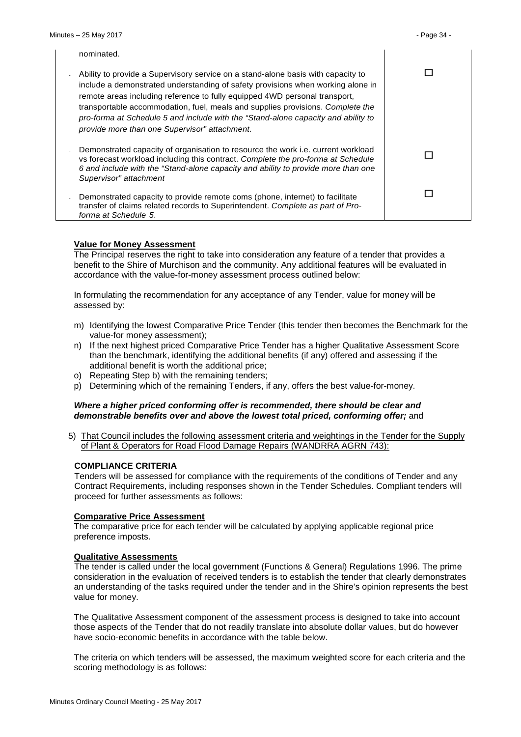| nominated.                                                                                                                                                                                                                                                                                                                                                                                                                                                                |  |
|---------------------------------------------------------------------------------------------------------------------------------------------------------------------------------------------------------------------------------------------------------------------------------------------------------------------------------------------------------------------------------------------------------------------------------------------------------------------------|--|
| Ability to provide a Supervisory service on a stand-alone basis with capacity to<br>include a demonstrated understanding of safety provisions when working alone in<br>remote areas including reference to fully equipped 4WD personal transport,<br>transportable accommodation, fuel, meals and supplies provisions. Complete the<br>pro-forma at Schedule 5 and include with the "Stand-alone capacity and ability to<br>provide more than one Supervisor" attachment. |  |
| Demonstrated capacity of organisation to resource the work i.e. current workload<br>vs forecast workload including this contract. Complete the pro-forma at Schedule<br>6 and include with the "Stand-alone capacity and ability to provide more than one<br>Supervisor" attachment                                                                                                                                                                                       |  |
| Demonstrated capacity to provide remote coms (phone, internet) to facilitate<br>transfer of claims related records to Superintendent. Complete as part of Pro-<br>forma at Schedule 5.                                                                                                                                                                                                                                                                                    |  |

#### **Value for Money Assessment**

The Principal reserves the right to take into consideration any feature of a tender that provides a benefit to the Shire of Murchison and the community. Any additional features will be evaluated in accordance with the value-for-money assessment process outlined below:

In formulating the recommendation for any acceptance of any Tender, value for money will be assessed by:

- m) Identifying the lowest Comparative Price Tender (this tender then becomes the Benchmark for the value-for money assessment);
- n) If the next highest priced Comparative Price Tender has a higher Qualitative Assessment Score than the benchmark, identifying the additional benefits (if any) offered and assessing if the additional benefit is worth the additional price;
- o) Repeating Step b) with the remaining tenders;
- p) Determining which of the remaining Tenders, if any, offers the best value-for-money.

#### *Where a higher priced conforming offer is recommended, there should be clear and demonstrable benefits over and above the lowest total priced, conforming offer;* and

5) That Council includes the following assessment criteria and weightings in the Tender for the Supply of Plant & Operators for Road Flood Damage Repairs (WANDRRA AGRN 743):

# **COMPLIANCE CRITERIA**

Tenders will be assessed for compliance with the requirements of the conditions of Tender and any Contract Requirements, including responses shown in the Tender Schedules. Compliant tenders will proceed for further assessments as follows:

#### **Comparative Price Assessment**

The comparative price for each tender will be calculated by applying applicable regional price preference imposts.

#### **Qualitative Assessments**

The tender is called under the local government (Functions & General) Regulations 1996. The prime consideration in the evaluation of received tenders is to establish the tender that clearly demonstrates an understanding of the tasks required under the tender and in the Shire's opinion represents the best value for money.

The Qualitative Assessment component of the assessment process is designed to take into account those aspects of the Tender that do not readily translate into absolute dollar values, but do however have socio-economic benefits in accordance with the table below.

The criteria on which tenders will be assessed, the maximum weighted score for each criteria and the scoring methodology is as follows: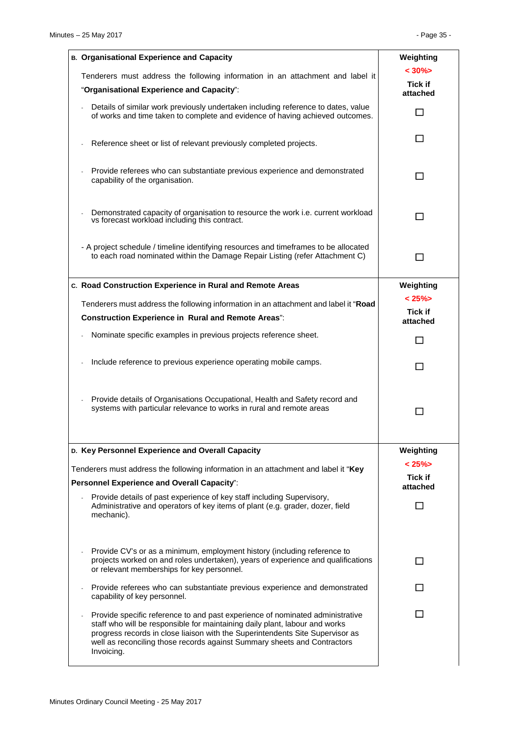| B. Organisational Experience and Capacity<br>Tenderers must address the following information in an attachment and label it<br>"Organisational Experience and Capacity":                                                                                                                                                                | Weighting<br>$< 30\%$<br>Tick if<br>attached |
|-----------------------------------------------------------------------------------------------------------------------------------------------------------------------------------------------------------------------------------------------------------------------------------------------------------------------------------------|----------------------------------------------|
| Details of similar work previously undertaken including reference to dates, value<br>of works and time taken to complete and evidence of having achieved outcomes.                                                                                                                                                                      | ΙI                                           |
| Reference sheet or list of relevant previously completed projects.                                                                                                                                                                                                                                                                      | l 1                                          |
| Provide referees who can substantiate previous experience and demonstrated<br>capability of the organisation.                                                                                                                                                                                                                           | П                                            |
| Demonstrated capacity of organisation to resource the work i.e. current workload<br>vs forecast workload including this contract.                                                                                                                                                                                                       | □                                            |
| - A project schedule / timeline identifying resources and timeframes to be allocated<br>to each road nominated within the Damage Repair Listing (refer Attachment C)                                                                                                                                                                    | П                                            |
| c. Road Construction Experience in Rural and Remote Areas                                                                                                                                                                                                                                                                               | Weighting                                    |
| Tenderers must address the following information in an attachment and label it "Road                                                                                                                                                                                                                                                    | $< 25\%$                                     |
| <b>Construction Experience in Rural and Remote Areas":</b>                                                                                                                                                                                                                                                                              | <b>Tick if</b><br>attached                   |
| Nominate specific examples in previous projects reference sheet.                                                                                                                                                                                                                                                                        | П                                            |
| Include reference to previous experience operating mobile camps.                                                                                                                                                                                                                                                                        | П                                            |
| Provide details of Organisations Occupational, Health and Safety record and<br>systems with particular relevance to works in rural and remote areas                                                                                                                                                                                     | l.                                           |
| D. Key Personnel Experience and Overall Capacity                                                                                                                                                                                                                                                                                        | Weighting                                    |
| Tenderers must address the following information in an attachment and label it "Key                                                                                                                                                                                                                                                     | $< 25\%$                                     |
| <b>Personnel Experience and Overall Capacity":</b>                                                                                                                                                                                                                                                                                      | <b>Tick if</b><br>attached                   |
| Provide details of past experience of key staff including Supervisory,<br>Administrative and operators of key items of plant (e.g. grader, dozer, field<br>mechanic).                                                                                                                                                                   | П                                            |
| Provide CV's or as a minimum, employment history (including reference to<br>projects worked on and roles undertaken), years of experience and qualifications<br>or relevant memberships for key personnel.                                                                                                                              | П                                            |
| Provide referees who can substantiate previous experience and demonstrated<br>capability of key personnel.                                                                                                                                                                                                                              | П                                            |
| Provide specific reference to and past experience of nominated administrative<br>staff who will be responsible for maintaining daily plant, labour and works<br>progress records in close liaison with the Superintendents Site Supervisor as<br>well as reconciling those records against Summary sheets and Contractors<br>Invoicing. | П                                            |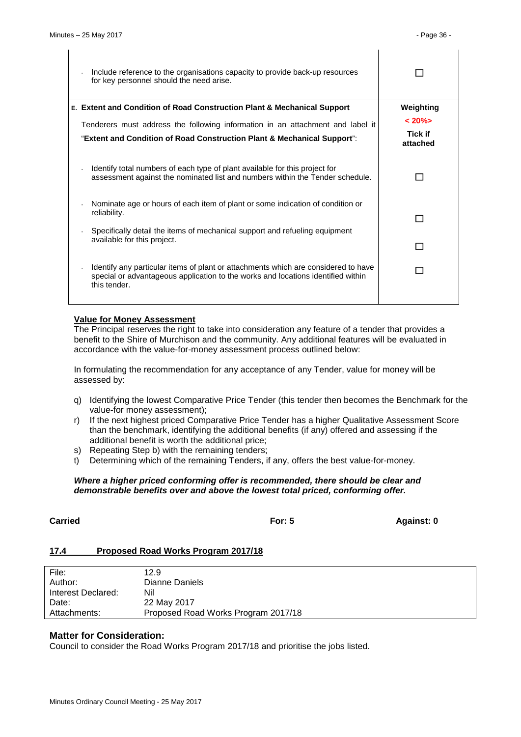$\overline{1}$ 

 $\overline{1}$ 

 $\overline{1}$ 

| Include reference to the organisations capacity to provide back-up resources<br>$\overline{\phantom{a}}$<br>for key personnel should the need arise.                                   |                                        |
|----------------------------------------------------------------------------------------------------------------------------------------------------------------------------------------|----------------------------------------|
| E. Extent and Condition of Road Construction Plant & Mechanical Support                                                                                                                | Weighting                              |
| Tenderers must address the following information in an attachment and label it<br>"Extent and Condition of Road Construction Plant & Mechanical Support":                              | $< 20\%$<br><b>Tick if</b><br>attached |
| Identify total numbers of each type of plant available for this project for<br>assessment against the nominated list and numbers within the Tender schedule.                           |                                        |
| Nominate age or hours of each item of plant or some indication of condition or<br>reliability.                                                                                         |                                        |
| Specifically detail the items of mechanical support and refueling equipment                                                                                                            |                                        |
| available for this project.                                                                                                                                                            |                                        |
| Identify any particular items of plant or attachments which are considered to have<br>special or advantageous application to the works and locations identified within<br>this tender. |                                        |

# **Value for Money Assessment**

The Principal reserves the right to take into consideration any feature of a tender that provides a benefit to the Shire of Murchison and the community. Any additional features will be evaluated in accordance with the value-for-money assessment process outlined below:

In formulating the recommendation for any acceptance of any Tender, value for money will be assessed by:

- q) Identifying the lowest Comparative Price Tender (this tender then becomes the Benchmark for the value-for money assessment);
- r) If the next highest priced Comparative Price Tender has a higher Qualitative Assessment Score than the benchmark, identifying the additional benefits (if any) offered and assessing if the additional benefit is worth the additional price;
- s) Repeating Step b) with the remaining tenders;
- t) Determining which of the remaining Tenders, if any, offers the best value-for-money.

# *Where a higher priced conforming offer is recommended, there should be clear and demonstrable benefits over and above the lowest total priced, conforming offer.*

**Carried For: 5 Against: 0**

# <span id="page-35-0"></span>**17.4 Proposed Road Works Program 2017/18**

| File:              | 12.9                                |
|--------------------|-------------------------------------|
| Author:            | Dianne Daniels                      |
| Interest Declared: | Nil                                 |
| Date:              | 22 May 2017                         |
| Attachments:       | Proposed Road Works Program 2017/18 |

# **Matter for Consideration:**

Council to consider the Road Works Program 2017/18 and prioritise the jobs listed.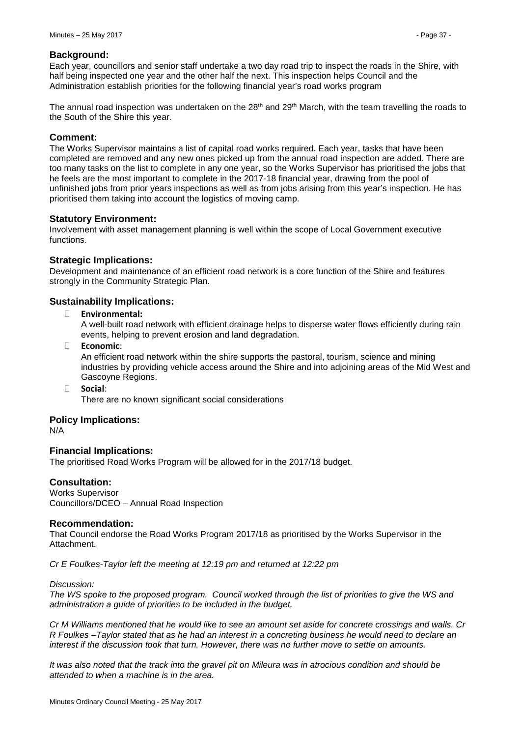#### **Background:**

Each year, councillors and senior staff undertake a two day road trip to inspect the roads in the Shire, with half being inspected one year and the other half the next. This inspection helps Council and the Administration establish priorities for the following financial year's road works program

The annual road inspection was undertaken on the  $28<sup>th</sup>$  and  $29<sup>th</sup>$  March, with the team travelling the roads to the South of the Shire this year.

#### **Comment:**

The Works Supervisor maintains a list of capital road works required. Each year, tasks that have been completed are removed and any new ones picked up from the annual road inspection are added. There are too many tasks on the list to complete in any one year, so the Works Supervisor has prioritised the jobs that he feels are the most important to complete in the 2017-18 financial year, drawing from the pool of unfinished jobs from prior years inspections as well as from jobs arising from this year's inspection. He has prioritised them taking into account the logistics of moving camp.

#### **Statutory Environment:**

Involvement with asset management planning is well within the scope of Local Government executive functions.

#### **Strategic Implications:**

Development and maintenance of an efficient road network is a core function of the Shire and features strongly in the Community Strategic Plan.

# **Sustainability Implications:**

� **Environmental:**

A well-built road network with efficient drainage helps to disperse water flows efficiently during rain events, helping to prevent erosion and land degradation.

� **Economic**:

An efficient road network within the shire supports the pastoral, tourism, science and mining industries by providing vehicle access around the Shire and into adjoining areas of the Mid West and Gascoyne Regions.

� **Social**:

There are no known significant social considerations

# **Policy Implications:**

N/A

# **Financial Implications:**

The prioritised Road Works Program will be allowed for in the 2017/18 budget.

# **Consultation:**

Works Supervisor Councillors/DCEO – Annual Road Inspection

#### **Recommendation:**

That Council endorse the Road Works Program 2017/18 as prioritised by the Works Supervisor in the **Attachment** 

*Cr E Foulkes-Taylor left the meeting at 12:19 pm and returned at 12:22 pm*

#### *Discussion:*

*The WS spoke to the proposed program. Council worked through the list of priorities to give the WS and administration a guide of priorities to be included in the budget.*

*Cr M Williams mentioned that he would like to see an amount set aside for concrete crossings and walls. Cr R Foulkes –Taylor stated that as he had an interest in a concreting business he would need to declare an interest if the discussion took that turn. However, there was no further move to settle on amounts.*

*It was also noted that the track into the gravel pit on Mileura was in atrocious condition and should be attended to when a machine is in the area.*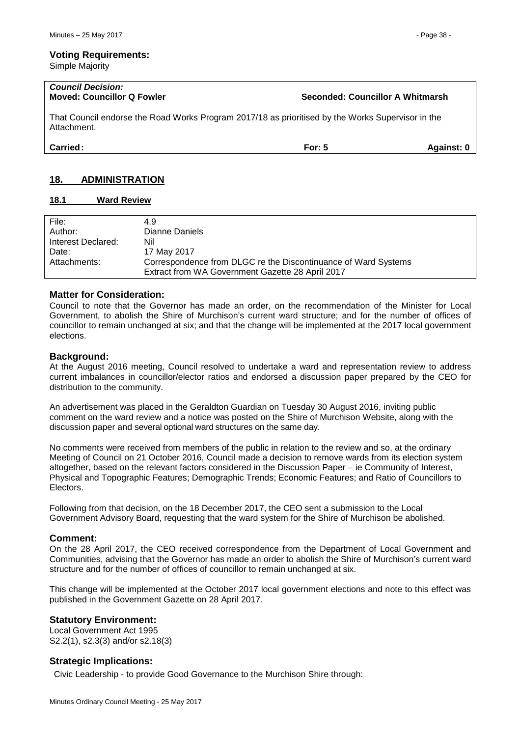Simple Majority

| <b>Council Decision:</b><br><b>Moved: Councillor Q Fowler</b>                                                    | Seconded: Councillor A Whitmarsh |
|------------------------------------------------------------------------------------------------------------------|----------------------------------|
| That Council endorse the Road Works Program 2017/18 as prioritised by the Works Supervisor in the<br>Attachment. |                                  |

**Carried: For: 5 Against: 0**

# <span id="page-37-0"></span>**18. ADMINISTRATION**

# <span id="page-37-1"></span>**18.1 Ward Review**

| File:              | 4.9                                                                                                                |
|--------------------|--------------------------------------------------------------------------------------------------------------------|
| Author:            | Dianne Daniels                                                                                                     |
| Interest Declared: | Nil                                                                                                                |
| Date:              | 17 May 2017                                                                                                        |
| Attachments:       | Correspondence from DLGC re the Discontinuance of Ward Systems<br>Extract from WA Government Gazette 28 April 2017 |

# **Matter for Consideration:**

Council to note that the Governor has made an order, on the recommendation of the Minister for Local Government, to abolish the Shire of Murchison's current ward structure; and for the number of offices of councillor to remain unchanged at six; and that the change will be implemented at the 2017 local government elections.

#### **Background:**

At the August 2016 meeting, Council resolved to undertake a ward and representation review to address current imbalances in councillor/elector ratios and endorsed a discussion paper prepared by the CEO for distribution to the community.

An advertisement was placed in the Geraldton Guardian on Tuesday 30 August 2016, inviting public comment on the ward review and a notice was posted on the Shire of Murchison Website, along with the discussion paper and several optional ward structures on the same day.

No comments were received from members of the public in relation to the review and so, at the ordinary Meeting of Council on 21 October 2016, Council made a decision to remove wards from its election system altogether, based on the relevant factors considered in the Discussion Paper – ie Community of Interest, Physical and Topographic Features; Demographic Trends; Economic Features; and Ratio of Councillors to Electors.

Following from that decision, on the 18 December 2017, the CEO sent a submission to the Local Government Advisory Board, requesting that the ward system for the Shire of Murchison be abolished.

#### **Comment:**

On the 28 April 2017, the CEO received correspondence from the Department of Local Government and Communities, advising that the Governor has made an order to abolish the Shire of Murchison's current ward structure and for the number of offices of councillor to remain unchanged at six.

This change will be implemented at the October 2017 local government elections and note to this effect was published in the Government Gazette on 28 April 2017.

# **Statutory Environment:**

Local Government Act 1995 S2.2(1), s2.3(3) and/or s2.18(3)

# **Strategic Implications:**

Civic Leadership - to provide Good Governance to the Murchison Shire through: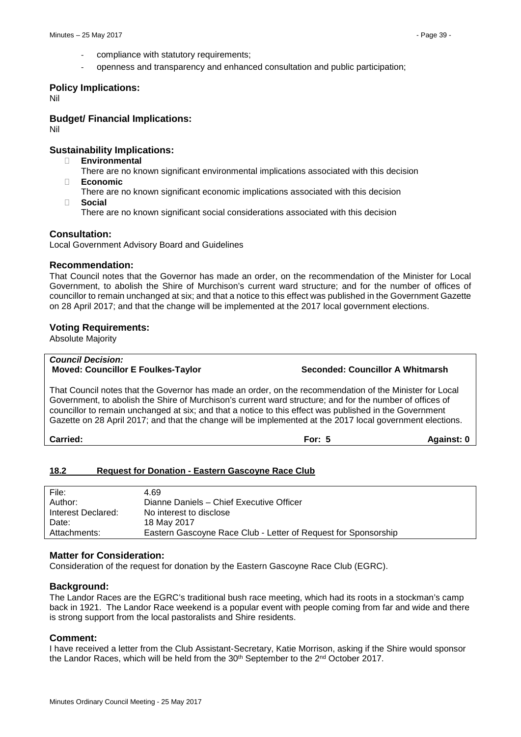- compliance with statutory requirements;
- openness and transparency and enhanced consultation and public participation;

**Policy Implications:** 

Nil

**Budget/ Financial Implications:** 

Nil

#### **Sustainability Implications:**

- � **Environmental**
- There are no known significant environmental implications associated with this decision � **Economic**
- There are no known significant economic implications associated with this decision � **Social**
	- There are no known significant social considerations associated with this decision

#### **Consultation:**

Local Government Advisory Board and Guidelines

#### **Recommendation:**

That Council notes that the Governor has made an order, on the recommendation of the Minister for Local Government, to abolish the Shire of Murchison's current ward structure; and for the number of offices of councillor to remain unchanged at six; and that a notice to this effect was published in the Government Gazette on 28 April 2017; and that the change will be implemented at the 2017 local government elections.

#### **Voting Requirements:**

Absolute Majority

# *Council Decision:*

**Moved: Councillor E Foulkes-Taylor Seconded: Councillor A Whitmarsh**

That Council notes that the Governor has made an order, on the recommendation of the Minister for Local Government, to abolish the Shire of Murchison's current ward structure; and for the number of offices of councillor to remain unchanged at six; and that a notice to this effect was published in the Government Gazette on 28 April 2017; and that the change will be implemented at the 2017 local government elections.

**Carried: For: 5 Against: 0**

# <span id="page-38-0"></span>**18.2 Request for Donation - Eastern Gascoyne Race Club**

| File:              | 4.69                                                           |
|--------------------|----------------------------------------------------------------|
| Author:            | Dianne Daniels - Chief Executive Officer                       |
| Interest Declared: | No interest to disclose                                        |
| Date:              | 18 May 2017                                                    |
| Attachments:       | Eastern Gascoyne Race Club - Letter of Request for Sponsorship |

#### **Matter for Consideration:**

Consideration of the request for donation by the Eastern Gascoyne Race Club (EGRC).

#### **Background:**

The Landor Races are the EGRC's traditional bush race meeting, which had its roots in a stockman's camp back in 1921. The Landor Race weekend is a popular event with people coming from far and wide and there is strong support from the local pastoralists and Shire residents.

#### **Comment:**

I have received a letter from the Club Assistant-Secretary, Katie Morrison, asking if the Shire would sponsor the Landor Races, which will be held from the 30<sup>th</sup> September to the 2<sup>nd</sup> October 2017.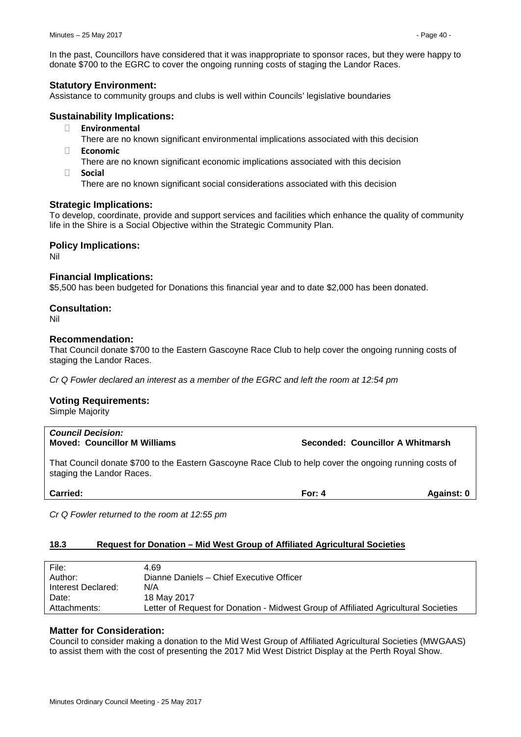In the past, Councillors have considered that it was inappropriate to sponsor races, but they were happy to donate \$700 to the EGRC to cover the ongoing running costs of staging the Landor Races.

# **Statutory Environment:**

Assistance to community groups and clubs is well within Councils' legislative boundaries

#### **Sustainability Implications:**

� **Environmental**

There are no known significant environmental implications associated with this decision

� **Economic**

There are no known significant economic implications associated with this decision

� **Social**

There are no known significant social considerations associated with this decision

#### **Strategic Implications:**

To develop, coordinate, provide and support services and facilities which enhance the quality of community life in the Shire is a Social Objective within the Strategic Community Plan.

# **Policy Implications:**

Nil

#### **Financial Implications:**

\$5,500 has been budgeted for Donations this financial year and to date \$2,000 has been donated.

#### **Consultation:**

Nil

#### **Recommendation:**

That Council donate \$700 to the Eastern Gascoyne Race Club to help cover the ongoing running costs of staging the Landor Races.

*Cr Q Fowler declared an interest as a member of the EGRC and left the room at 12:54 pm*

#### **Voting Requirements:**

Simple Majority

| <b>Council Decision:</b>            |                                  |
|-------------------------------------|----------------------------------|
| <b>Moved: Councillor M Williams</b> | Seconded: Councillor A Whitmarsh |

That Council donate \$700 to the Eastern Gascoyne Race Club to help cover the ongoing running costs of staging the Landor Races.

**Carried: For: 4 Against: 0**

*Cr Q Fowler returned to the room at 12:55 pm*

#### <span id="page-39-0"></span>**18.3 Request for Donation – Mid West Group of Affiliated Agricultural Societies**

| File:              | 4.69                                                                                |
|--------------------|-------------------------------------------------------------------------------------|
| Author:            | Dianne Daniels - Chief Executive Officer                                            |
| Interest Declared: | N/A                                                                                 |
| Date:              | 18 May 2017                                                                         |
| Attachments:       | Letter of Request for Donation - Midwest Group of Affiliated Agricultural Societies |
|                    |                                                                                     |

# **Matter for Consideration:**

Council to consider making a donation to the Mid West Group of Affiliated Agricultural Societies (MWGAAS) to assist them with the cost of presenting the 2017 Mid West District Display at the Perth Royal Show.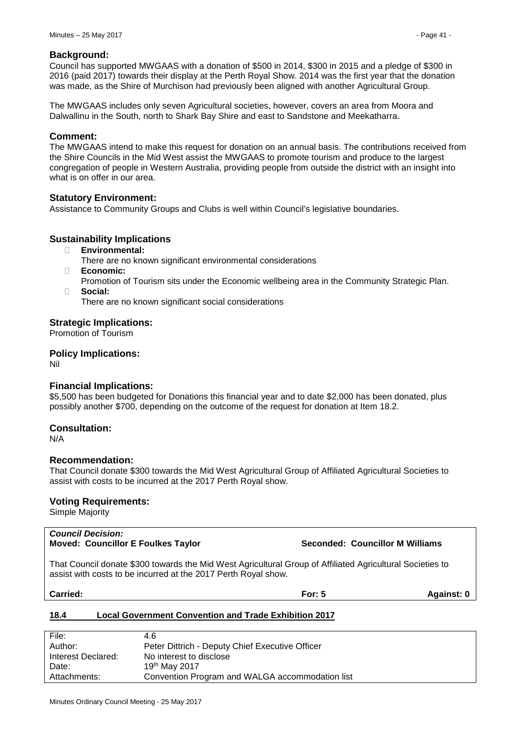# **Background:**

Council has supported MWGAAS with a donation of \$500 in 2014, \$300 in 2015 and a pledge of \$300 in 2016 (paid 2017) towards their display at the Perth Royal Show. 2014 was the first year that the donation was made, as the Shire of Murchison had previously been aligned with another Agricultural Group.

The MWGAAS includes only seven Agricultural societies, however, covers an area from Moora and Dalwallinu in the South, north to Shark Bay Shire and east to Sandstone and Meekatharra.

# **Comment:**

The MWGAAS intend to make this request for donation on an annual basis. The contributions received from the Shire Councils in the Mid West assist the MWGAAS to promote tourism and produce to the largest congregation of people in Western Australia, providing people from outside the district with an insight into what is on offer in our area.

#### **Statutory Environment:**

Assistance to Community Groups and Clubs is well within Council's legislative boundaries.

# **Sustainability Implications**

- � **Environmental:**
	- There are no known significant environmental considerations
- � **Economic:**
- Promotion of Tourism sits under the Economic wellbeing area in the Community Strategic Plan. � **Social:**
	- There are no known significant social considerations

#### **Strategic Implications:**

Promotion of Tourism

#### **Policy Implications:**

Nil

# **Financial Implications:**

\$5,500 has been budgeted for Donations this financial year and to date \$2,000 has been donated, plus possibly another \$700, depending on the outcome of the request for donation at Item 18.2.

# **Consultation:**

N/A

# **Recommendation:**

That Council donate \$300 towards the Mid West Agricultural Group of Affiliated Agricultural Societies to assist with costs to be incurred at the 2017 Perth Royal show.

#### **Voting Requirements:**

Simple Majority

#### *Council Decision:* **Moved: Councillor E Foulkes Taylor Seconded: Councillor M Williams**

That Council donate \$300 towards the Mid West Agricultural Group of Affiliated Agricultural Societies to assist with costs to be incurred at the 2017 Perth Royal show.

| Carried: |  |
|----------|--|
|          |  |

**Carried: For: 5 Against: 0**

# <span id="page-40-0"></span>**18.4 Local Government Convention and Trade Exhibition 2017**

| File:              | 4.6                                             |
|--------------------|-------------------------------------------------|
| Author:            | Peter Dittrich - Deputy Chief Executive Officer |
| Interest Declared: | No interest to disclose                         |
| Date:              | 19 <sup>th</sup> May 2017                       |
| Attachments:       | Convention Program and WALGA accommodation list |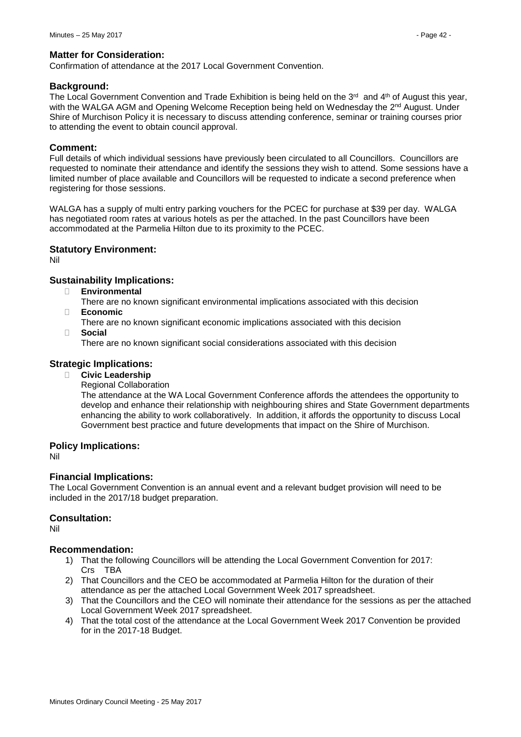Confirmation of attendance at the 2017 Local Government Convention.

# **Background:**

The Local Government Convention and Trade Exhibition is being held on the  $3<sup>rd</sup>$  and  $4<sup>th</sup>$  of August this year, with the WALGA AGM and Opening Welcome Reception being held on Wednesday the 2<sup>nd</sup> August. Under Shire of Murchison Policy it is necessary to discuss attending conference, seminar or training courses prior to attending the event to obtain council approval.

# **Comment:**

Full details of which individual sessions have previously been circulated to all Councillors. Councillors are requested to nominate their attendance and identify the sessions they wish to attend. Some sessions have a limited number of place available and Councillors will be requested to indicate a second preference when registering for those sessions.

WALGA has a supply of multi entry parking vouchers for the PCEC for purchase at \$39 per day. WALGA has negotiated room rates at various hotels as per the attached. In the past Councillors have been accommodated at the Parmelia Hilton due to its proximity to the PCEC.

# **Statutory Environment:**

Nil

# **Sustainability Implications:**

� **Environmental**

There are no known significant environmental implications associated with this decision

- � **Economic**
	- There are no known significant economic implications associated with this decision
- � **Social**

There are no known significant social considerations associated with this decision

# **Strategic Implications:**

- � **Civic Leadership**
	- Regional Collaboration

The attendance at the WA Local Government Conference affords the attendees the opportunity to develop and enhance their relationship with neighbouring shires and State Government departments enhancing the ability to work collaboratively. In addition, it affords the opportunity to discuss Local Government best practice and future developments that impact on the Shire of Murchison.

# **Policy Implications:**

Nil

# **Financial Implications:**

The Local Government Convention is an annual event and a relevant budget provision will need to be included in the 2017/18 budget preparation.

# **Consultation:**

Nil

# **Recommendation:**

- 1) That the following Councillors will be attending the Local Government Convention for 2017: Crs TBA
- 2) That Councillors and the CEO be accommodated at Parmelia Hilton for the duration of their attendance as per the attached Local Government Week 2017 spreadsheet.
- 3) That the Councillors and the CEO will nominate their attendance for the sessions as per the attached Local Government Week 2017 spreadsheet.
- 4) That the total cost of the attendance at the Local Government Week 2017 Convention be provided for in the 2017-18 Budget.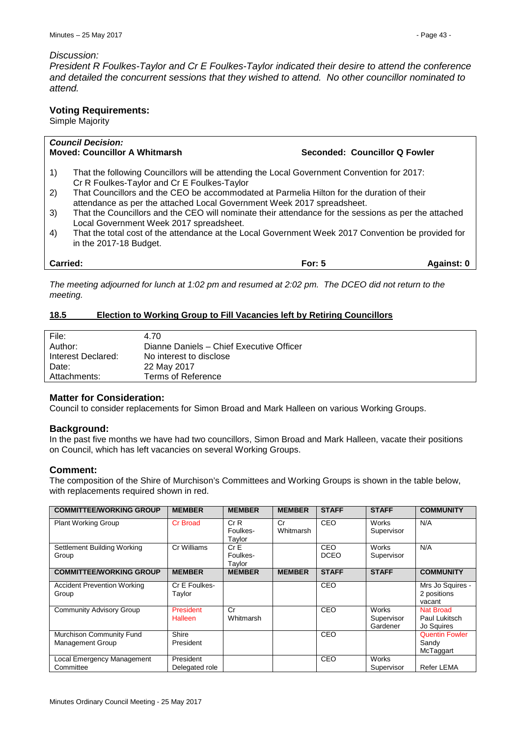#### *Discussion:*

*President R Foulkes-Taylor and Cr E Foulkes-Taylor indicated their desire to attend the conference and detailed the concurrent sessions that they wished to attend. No other councillor nominated to attend.*

# **Voting Requirements:**

Simple Majority

| <b>Council Decision:</b><br><b>Moved: Councillor A Whitmarsh</b><br>Seconded: Councillor Q Fowler |                                                                                                                                                                     |          |            |  |  |  |
|---------------------------------------------------------------------------------------------------|---------------------------------------------------------------------------------------------------------------------------------------------------------------------|----------|------------|--|--|--|
|                                                                                                   |                                                                                                                                                                     |          |            |  |  |  |
| 1)                                                                                                | That the following Councillors will be attending the Local Government Convention for 2017:<br>Cr R Foulkes-Taylor and Cr E Foulkes-Taylor                           |          |            |  |  |  |
| 2)                                                                                                | That Councillors and the CEO be accommodated at Parmelia Hilton for the duration of their<br>attendance as per the attached Local Government Week 2017 spreadsheet. |          |            |  |  |  |
| 3)                                                                                                | That the Councillors and the CEO will nominate their attendance for the sessions as per the attached<br>Local Government Week 2017 spreadsheet.                     |          |            |  |  |  |
| 4)                                                                                                | That the total cost of the attendance at the Local Government Week 2017 Convention be provided for<br>in the 2017-18 Budget.                                        |          |            |  |  |  |
| <b>Carried:</b>                                                                                   |                                                                                                                                                                     | For: $5$ | Against: 0 |  |  |  |

*The meeting adjourned for lunch at 1:02 pm and resumed at 2:02 pm. The DCEO did not return to the meeting.*

# <span id="page-42-0"></span>**18.5 Election to Working Group to Fill Vacancies left by Retiring Councillors**

| File:              | 4.70                                     |
|--------------------|------------------------------------------|
| Author:            | Dianne Daniels - Chief Executive Officer |
| Interest Declared: | No interest to disclose                  |
| Date:              | 22 May 2017                              |
| Attachments:       | Terms of Reference                       |

# **Matter for Consideration:**

Council to consider replacements for Simon Broad and Mark Halleen on various Working Groups.

# **Background:**

In the past five months we have had two councillors, Simon Broad and Mark Halleen, vacate their positions on Council, which has left vacancies on several Working Groups.

# **Comment:**

The composition of the Shire of Murchison's Committees and Working Groups is shown in the table below, with replacements required shown in red.

| <b>COMMITTEE/WORKING GROUP</b>               | <b>MEMBER</b>               | <b>MEMBER</b>             | <b>MEMBER</b>   | <b>STAFF</b>       | <b>STAFF</b>                           | <b>COMMUNITY</b>                            |
|----------------------------------------------|-----------------------------|---------------------------|-----------------|--------------------|----------------------------------------|---------------------------------------------|
| <b>Plant Working Group</b>                   | Cr Broad                    | CrR<br>Foulkes-<br>Taylor | Cr<br>Whitmarsh | CEO                | Works<br>Supervisor                    | N/A                                         |
| Settlement Building Working<br>Group         | Cr Williams                 | CrE<br>Foulkes-<br>Taylor |                 | CEO<br><b>DCEO</b> | <b>Works</b><br>Supervisor             | N/A                                         |
| <b>COMMITTEE/WORKING GROUP</b>               | <b>MEMBER</b>               | <b>MEMBER</b>             | <b>MEMBER</b>   | <b>STAFF</b>       | <b>STAFF</b>                           | <b>COMMUNITY</b>                            |
| <b>Accident Prevention Working</b><br>Group  | Cr E Foulkes-<br>Taylor     |                           |                 | CEO                |                                        | Mrs Jo Squires -<br>2 positions<br>vacant   |
| <b>Community Advisory Group</b>              | President<br>Halleen        | Cr<br>Whitmarsh           |                 | CEO                | <b>Works</b><br>Supervisor<br>Gardener | Nat Broad<br>Paul Lukitsch<br>Jo Squires    |
| Murchison Community Fund<br>Management Group | Shire<br>President          |                           |                 | CEO                |                                        | <b>Quentin Fowler</b><br>Sandy<br>McTaggart |
| Local Emergency Management<br>Committee      | President<br>Delegated role |                           |                 | CEO                | <b>Works</b><br>Supervisor             | Refer LEMA                                  |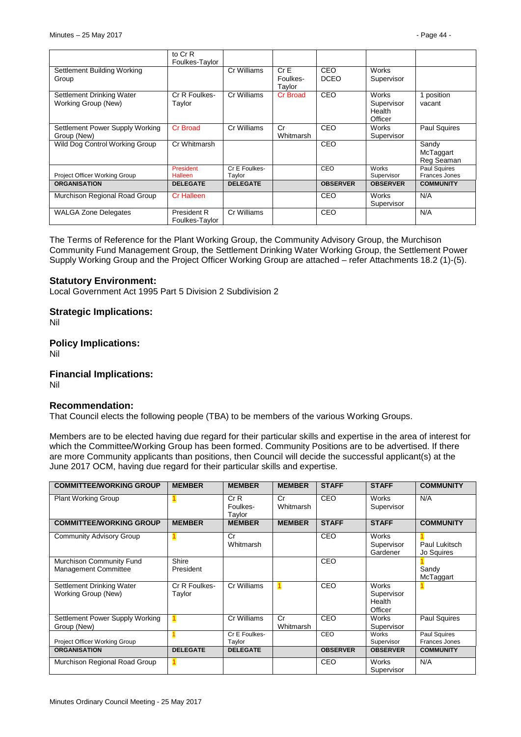|                                 | to Cr <sub>R</sub> |                 |                 |                 |                 |                     |
|---------------------------------|--------------------|-----------------|-----------------|-----------------|-----------------|---------------------|
|                                 | Foulkes-Taylor     |                 |                 |                 |                 |                     |
| Settlement Building Working     |                    | Cr Williams     | CrE             | CEO             | <b>Works</b>    |                     |
| Group                           |                    |                 | Foulkes-        | <b>DCEO</b>     | Supervisor      |                     |
|                                 |                    |                 | Taylor          |                 |                 |                     |
| Settlement Drinking Water       | Cr R Foulkes-      | Cr Williams     | <b>Cr Broad</b> | CEO             | Works           | 1 position          |
| Working Group (New)             | Taylor             |                 |                 |                 | Supervisor      | vacant              |
|                                 |                    |                 |                 |                 | Health          |                     |
|                                 |                    |                 |                 |                 | Officer         |                     |
| Settlement Power Supply Working | <b>Cr Broad</b>    | Cr Williams     | Cr              | CEO             | <b>Works</b>    | <b>Paul Squires</b> |
| Group (New)                     |                    |                 | Whitmarsh       |                 | Supervisor      |                     |
| Wild Dog Control Working Group  | Cr Whitmarsh       |                 |                 | CEO             |                 | Sandy               |
|                                 |                    |                 |                 |                 |                 | McTaggart           |
|                                 |                    |                 |                 |                 |                 | Reg Seaman          |
|                                 | President          | Cr E Foulkes-   |                 | CEO             | Works           | Paul Squires        |
| Project Officer Working Group   | <b>Halleen</b>     | Taylor          |                 |                 | Supervisor      | Frances Jones       |
| <b>ORGANISATION</b>             | <b>DELEGATE</b>    | <b>DELEGATE</b> |                 | <b>OBSERVER</b> | <b>OBSERVER</b> | <b>COMMUNITY</b>    |
| Murchison Regional Road Group   | <b>Cr Halleen</b>  |                 |                 | CEO             | Works           | N/A                 |
|                                 |                    |                 |                 |                 | Supervisor      |                     |
| <b>WALGA Zone Delegates</b>     | President R        | Cr Williams     |                 | CEO             |                 | N/A                 |
|                                 | Foulkes-Taylor     |                 |                 |                 |                 |                     |

The Terms of Reference for the Plant Working Group, the Community Advisory Group, the Murchison Community Fund Management Group, the Settlement Drinking Water Working Group, the Settlement Power Supply Working Group and the Project Officer Working Group are attached – refer Attachments 18.2 (1)-(5).

#### **Statutory Environment:**

Local Government Act 1995 Part 5 Division 2 Subdivision 2

#### **Strategic Implications:**

Nil

#### **Policy Implications:**

Nil

# **Financial Implications:**

Nil

# **Recommendation:**

That Council elects the following people (TBA) to be members of the various Working Groups.

Members are to be elected having due regard for their particular skills and expertise in the area of interest for which the Committee/Working Group has been formed. Community Positions are to be advertised. If there are more Community applicants than positions, then Council will decide the successful applicant(s) at the June 2017 OCM, having due regard for their particular skills and expertise.

| <b>COMMITTEE/WORKING GROUP</b>                          | <b>MEMBER</b>           | <b>MEMBER</b>             | <b>MEMBER</b>   | <b>STAFF</b>    | <b>STAFF</b>                                    | <b>COMMUNITY</b>              |
|---------------------------------------------------------|-------------------------|---------------------------|-----------------|-----------------|-------------------------------------------------|-------------------------------|
| <b>Plant Working Group</b>                              |                         | CrR<br>Foulkes-<br>Taylor | Cr<br>Whitmarsh | <b>CEO</b>      | Works<br>Supervisor                             | N/A                           |
| <b>COMMITTEE/WORKING GROUP</b>                          | <b>MEMBER</b>           | <b>MEMBER</b>             | <b>MEMBER</b>   | <b>STAFF</b>    | <b>STAFF</b>                                    | <b>COMMUNITY</b>              |
| <b>Community Advisory Group</b>                         |                         | Cr<br>Whitmarsh           |                 | <b>CEO</b>      | Works<br>Supervisor<br>Gardener                 | Paul Lukitsch<br>Jo Squires   |
| Murchison Community Fund<br><b>Management Committee</b> | Shire<br>President      |                           |                 | <b>CEO</b>      |                                                 | Sandy<br>McTaggart            |
| Settlement Drinking Water<br>Working Group (New)        | Cr R Foulkes-<br>Taylor | Cr Williams               | $\mathbf{1}$    | CEO             | <b>Works</b><br>Supervisor<br>Health<br>Officer |                               |
| Settlement Power Supply Working<br>Group (New)          |                         | Cr Williams               | Cr<br>Whitmarsh | <b>CEO</b>      | Works<br>Supervisor                             | Paul Squires                  |
| Project Officer Working Group                           |                         | Cr E Foulkes-<br>Taylor   |                 | CEO             | Works<br>Supervisor                             | Paul Squires<br>Frances Jones |
| <b>ORGANISATION</b>                                     | <b>DELEGATE</b>         | <b>DELEGATE</b>           |                 | <b>OBSERVER</b> | <b>OBSERVER</b>                                 | <b>COMMUNITY</b>              |
| Murchison Regional Road Group                           |                         |                           |                 | CEO             | Works<br>Supervisor                             | N/A                           |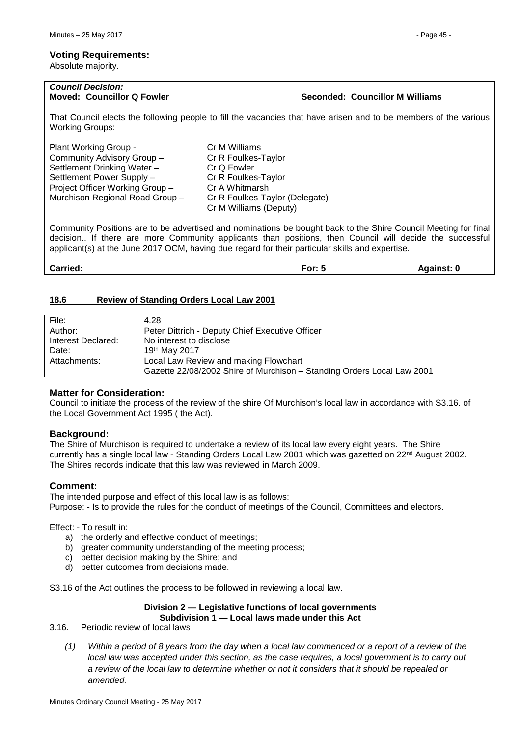Absolute majority.

# *Council Decision:*

#### **Seconded: Councillor M Williams**

That Council elects the following people to fill the vacancies that have arisen and to be members of the various Working Groups:

| Plant Working Group -           | Cr M Williams                  |
|---------------------------------|--------------------------------|
| Community Advisory Group -      | Cr R Foulkes-Taylor            |
| Settlement Drinking Water -     | Cr Q Fowler                    |
| Settlement Power Supply -       | Cr R Foulkes-Taylor            |
| Project Officer Working Group - | Cr A Whitmarsh                 |
| Murchison Regional Road Group - | Cr R Foulkes-Taylor (Delegate) |
|                                 | Cr M Williams (Deputy)         |
|                                 |                                |

Community Positions are to be advertised and nominations be bought back to the Shire Council Meeting for final decision.. If there are more Community applicants than positions, then Council will decide the successful applicant(s) at the June 2017 OCM, having due regard for their particular skills and expertise.

| <b>Carried:</b> | For: $5$ | Against: 0 |
|-----------------|----------|------------|
|                 |          |            |

# <span id="page-44-0"></span>**18.6 Review of Standing Orders Local Law 2001**

| File:              | 4.28                                                                   |
|--------------------|------------------------------------------------------------------------|
| Author:            | Peter Dittrich - Deputy Chief Executive Officer                        |
| Interest Declared: | No interest to disclose                                                |
| Date:              | 19th May 2017                                                          |
| Attachments:       | Local Law Review and making Flowchart                                  |
|                    | Gazette 22/08/2002 Shire of Murchison - Standing Orders Local Law 2001 |

# **Matter for Consideration:**

Council to initiate the process of the review of the shire Of Murchison's local law in accordance with S3.16. of the Local Government Act 1995 ( the Act).

# **Background:**

The Shire of Murchison is required to undertake a review of its local law every eight years. The Shire currently has a single local law - Standing Orders Local Law 2001 which was gazetted on 22<sup>nd</sup> August 2002. The Shires records indicate that this law was reviewed in March 2009.

# **Comment:**

The intended purpose and effect of this local law is as follows: Purpose: - Is to provide the rules for the conduct of meetings of the Council, Committees and electors.

Effect: - To result in:

- a) the orderly and effective conduct of meetings;
- b) greater community understanding of the meeting process;
- c) better decision making by the Shire; and
- d) better outcomes from decisions made.

S3.16 of the Act outlines the process to be followed in reviewing a local law.

# **Division 2 — Legislative functions of local governments Subdivision 1 — Local laws made under this Act**

- 3.16. Periodic review of local laws
	- *(1) Within a period of 8 years from the day when a local law commenced or a report of a review of the local law was accepted under this section, as the case requires, a local government is to carry out a review of the local law to determine whether or not it considers that it should be repealed or amended.*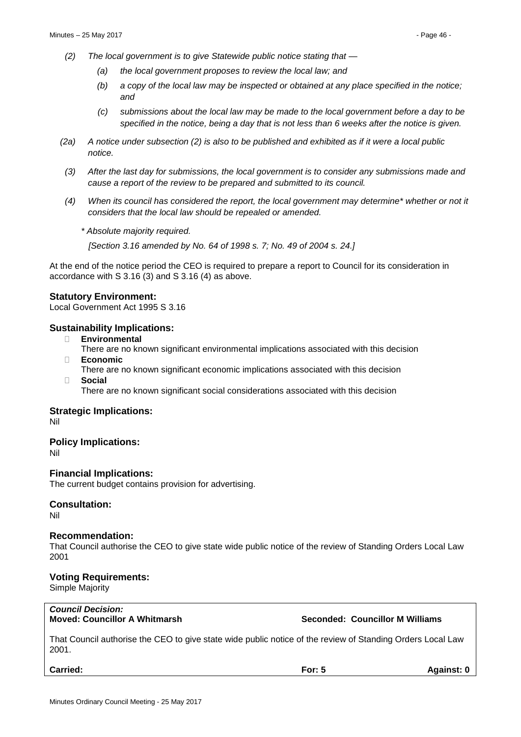- *(2) The local government is to give Statewide public notice stating that —*
	- *(a) the local government proposes to review the local law; and*
	- *(b) a copy of the local law may be inspected or obtained at any place specified in the notice; and*
	- *(c) submissions about the local law may be made to the local government before a day to be specified in the notice, being a day that is not less than 6 weeks after the notice is given.*
- *(2a) A notice under subsection (2) is also to be published and exhibited as if it were a local public notice.*
- *(3) After the last day for submissions, the local government is to consider any submissions made and cause a report of the review to be prepared and submitted to its council.*
- *(4) When its council has considered the report, the local government may determine\* whether or not it considers that the local law should be repealed or amended.*
	- *\* Absolute majority required.*

*[Section 3.16 amended by No. 64 of 1998 s. 7; No. 49 of 2004 s. 24.]*

At the end of the notice period the CEO is required to prepare a report to Council for its consideration in accordance with S 3.16 (3) and S 3.16 (4) as above.

#### **Statutory Environment:**

Local Government Act 1995 S 3.16

#### **Sustainability Implications:**

- � **Environmental**
	- There are no known significant environmental implications associated with this decision
- � **Economic**
- There are no known significant economic implications associated with this decision � **Social**
	- There are no known significant social considerations associated with this decision

#### **Strategic Implications:**

Nil

#### **Policy Implications:**

Nil

#### **Financial Implications:**

The current budget contains provision for advertising.

#### **Consultation:**

Nil

#### **Recommendation:**

That Council authorise the CEO to give state wide public notice of the review of Standing Orders Local Law 2001

#### **Voting Requirements:**

Simple Majority

# *Council Decision:*

**Moved: Councillor A Whitmarsh Seconded: Councillor M Williams**

That Council authorise the CEO to give state wide public notice of the review of Standing Orders Local Law 2001.

**Carried: For: 5 Against: 0**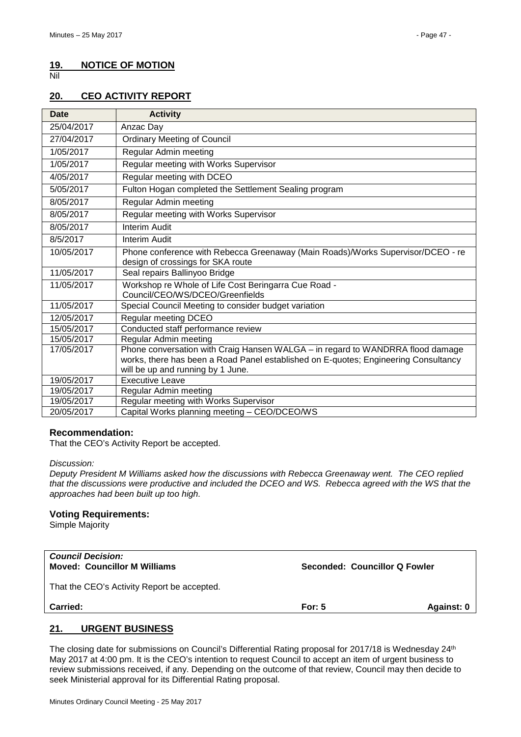# <span id="page-46-0"></span>**19. NOTICE OF MOTION**

Nil

# <span id="page-46-1"></span>**20. CEO ACTIVITY REPORT**

| <b>Date</b> | <b>Activity</b>                                                                                                      |
|-------------|----------------------------------------------------------------------------------------------------------------------|
| 25/04/2017  | Anzac Day                                                                                                            |
| 27/04/2017  | <b>Ordinary Meeting of Council</b>                                                                                   |
| 1/05/2017   | Regular Admin meeting                                                                                                |
| 1/05/2017   | Regular meeting with Works Supervisor                                                                                |
| 4/05/2017   | Regular meeting with DCEO                                                                                            |
| 5/05/2017   | Fulton Hogan completed the Settlement Sealing program                                                                |
| 8/05/2017   | Regular Admin meeting                                                                                                |
| 8/05/2017   | Regular meeting with Works Supervisor                                                                                |
| 8/05/2017   | Interim Audit                                                                                                        |
| 8/5/2017    | <b>Interim Audit</b>                                                                                                 |
| 10/05/2017  | Phone conference with Rebecca Greenaway (Main Roads)/Works Supervisor/DCEO - re<br>design of crossings for SKA route |
| 11/05/2017  | Seal repairs Ballinyoo Bridge                                                                                        |
| 11/05/2017  | Workshop re Whole of Life Cost Beringarra Cue Road -<br>Council/CEO/WS/DCEO/Greenfields                              |
| 11/05/2017  | Special Council Meeting to consider budget variation                                                                 |
| 12/05/2017  | Regular meeting DCEO                                                                                                 |
| 15/05/2017  | Conducted staff performance review                                                                                   |
| 15/05/2017  | Regular Admin meeting                                                                                                |
| 17/05/2017  | Phone conversation with Craig Hansen WALGA - in regard to WANDRRA flood damage                                       |
|             | works, there has been a Road Panel established on E-quotes; Engineering Consultancy                                  |
|             | will be up and running by 1 June.                                                                                    |
| 19/05/2017  | <b>Executive Leave</b>                                                                                               |
| 19/05/2017  | Regular Admin meeting                                                                                                |
| 19/05/2017  | Regular meeting with Works Supervisor                                                                                |
| 20/05/2017  | Capital Works planning meeting - CEO/DCEO/WS                                                                         |

# **Recommendation:**

That the CEO's Activity Report be accepted.

#### *Discussion:*

*Deputy President M Williams asked how the discussions with Rebecca Greenaway went. The CEO replied*  that the discussions were productive and included the DCEO and WS. Rebecca agreed with the WS that the *approaches had been built up too high.*

# **Voting Requirements:**

Simple Majority

| <b>Council Decision:</b><br><b>Moved: Councillor M Williams</b> | Seconded: Councillor Q Fowler |            |  |
|-----------------------------------------------------------------|-------------------------------|------------|--|
| That the CEO's Activity Report be accepted.                     |                               |            |  |
| <b>Carried:</b>                                                 | For: $5$                      | Against: 0 |  |

# <span id="page-46-2"></span>**21. URGENT BUSINESS**

The closing date for submissions on Council's Differential Rating proposal for 2017/18 is Wednesday 24<sup>th</sup> May 2017 at 4:00 pm. It is the CEO's intention to request Council to accept an item of urgent business to review submissions received, if any. Depending on the outcome of that review, Council may then decide to seek Ministerial approval for its Differential Rating proposal.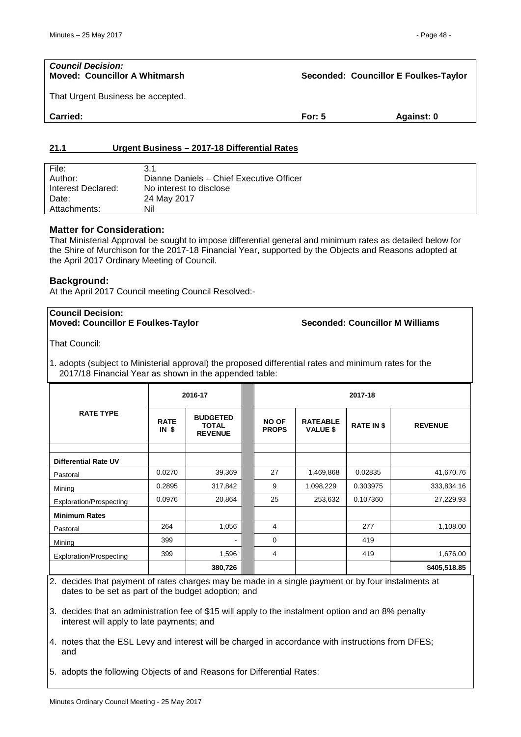| <b>Council Decision:</b><br><b>Moved: Councillor A Whitmarsh</b> | Seconded: Councillor E Foulkes-Taylor |            |  |
|------------------------------------------------------------------|---------------------------------------|------------|--|
| That Urgent Business be accepted.                                |                                       |            |  |
| <b>Carried:</b>                                                  | For: $5$                              | Against: 0 |  |
|                                                                  |                                       |            |  |

<span id="page-47-0"></span>

| 21.1 | Urgent Business - 2017-18 Differential Rates |
|------|----------------------------------------------|
|      |                                              |

| File:              |                                          |
|--------------------|------------------------------------------|
| Author:            | Dianne Daniels - Chief Executive Officer |
| Interest Declared: | No interest to disclose                  |
| Date:              | 24 May 2017                              |
| Attachments:       | Nil                                      |

# **Matter for Consideration:**

That Ministerial Approval be sought to impose differential general and minimum rates as detailed below for the Shire of Murchison for the 2017-18 Financial Year, supported by the Objects and Reasons adopted at the April 2017 Ordinary Meeting of Council.

# **Background:**

At the April 2017 Council meeting Council Resolved:-

# **Council Decision:**

# **Moved: Councillor E Foulkes-Taylor Seconded: Councillor M Williams**

That Council:

1. adopts (subject to Ministerial approval) the proposed differential rates and minimum rates for the 2017/18 Financial Year as shown in the appended table:

|                                | 2016-17                |                                                   | 2017-18                      |                                    |                   |                |
|--------------------------------|------------------------|---------------------------------------------------|------------------------------|------------------------------------|-------------------|----------------|
| <b>RATE TYPE</b>               | <b>RATE</b><br>$IN$ \$ | <b>BUDGETED</b><br><b>TOTAL</b><br><b>REVENUE</b> | <b>NO OF</b><br><b>PROPS</b> | <b>RATEABLE</b><br><b>VALUE \$</b> | <b>RATE IN \$</b> | <b>REVENUE</b> |
|                                |                        |                                                   |                              |                                    |                   |                |
| <b>Differential Rate UV</b>    |                        |                                                   |                              |                                    |                   |                |
| Pastoral                       | 0.0270                 | 39,369                                            | 27                           | 1,469,868                          | 0.02835           | 41,670.76      |
| Mining                         | 0.2895                 | 317,842                                           | 9                            | 1,098,229                          | 0.303975          | 333,834.16     |
| <b>Exploration/Prospecting</b> | 0.0976                 | 20,864                                            | 25                           | 253,632                            | 0.107360          | 27,229.93      |
| <b>Minimum Rates</b>           |                        |                                                   |                              |                                    |                   |                |
| Pastoral                       | 264                    | 1,056                                             | 4                            |                                    | 277               | 1,108.00       |
| Mining                         | 399                    | ۰                                                 | $\mathbf 0$                  |                                    | 419               |                |
| <b>Exploration/Prospecting</b> | 399                    | 1,596                                             | 4                            |                                    | 419               | 1,676.00       |
|                                |                        | 380,726                                           |                              |                                    |                   | \$405,518.85   |

2. decides that payment of rates charges may be made in a single payment or by four instalments at dates to be set as part of the budget adoption; and

3. decides that an administration fee of \$15 will apply to the instalment option and an 8% penalty interest will apply to late payments; and

- 4. notes that the ESL Levy and interest will be charged in accordance with instructions from DFES; and
- 5. adopts the following Objects of and Reasons for Differential Rates: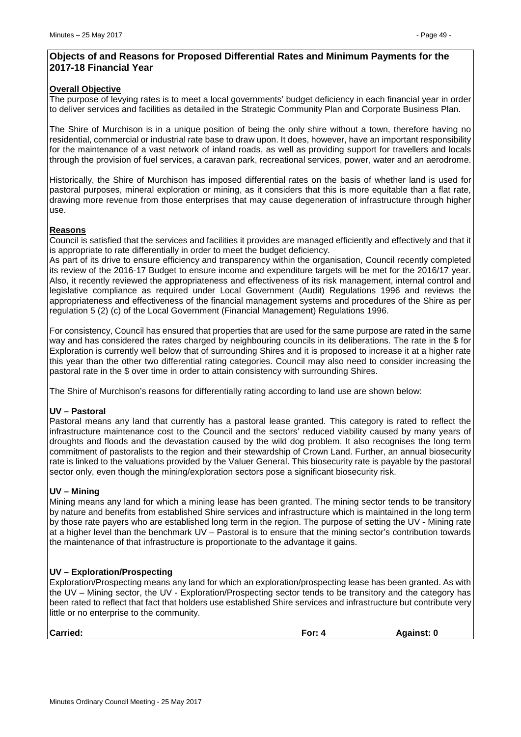# **Objects of and Reasons for Proposed Differential Rates and Minimum Payments for the 2017-18 Financial Year**

#### **Overall Objective**

The purpose of levying rates is to meet a local governments' budget deficiency in each financial year in order to deliver services and facilities as detailed in the Strategic Community Plan and Corporate Business Plan.

The Shire of Murchison is in a unique position of being the only shire without a town, therefore having no residential, commercial or industrial rate base to draw upon. It does, however, have an important responsibility for the maintenance of a vast network of inland roads, as well as providing support for travellers and locals through the provision of fuel services, a caravan park, recreational services, power, water and an aerodrome.

Historically, the Shire of Murchison has imposed differential rates on the basis of whether land is used for pastoral purposes, mineral exploration or mining, as it considers that this is more equitable than a flat rate, drawing more revenue from those enterprises that may cause degeneration of infrastructure through higher use.

#### **Reasons**

Council is satisfied that the services and facilities it provides are managed efficiently and effectively and that it is appropriate to rate differentially in order to meet the budget deficiency.

As part of its drive to ensure efficiency and transparency within the organisation, Council recently completed its review of the 2016-17 Budget to ensure income and expenditure targets will be met for the 2016/17 year. Also, it recently reviewed the appropriateness and effectiveness of its risk management, internal control and legislative compliance as required under Local Government (Audit) Regulations 1996 and reviews the appropriateness and effectiveness of the financial management systems and procedures of the Shire as per regulation 5 (2) (c) of the Local Government (Financial Management) Regulations 1996.

For consistency, Council has ensured that properties that are used for the same purpose are rated in the same way and has considered the rates charged by neighbouring councils in its deliberations. The rate in the \$ for Exploration is currently well below that of surrounding Shires and it is proposed to increase it at a higher rate this year than the other two differential rating categories. Council may also need to consider increasing the pastoral rate in the \$ over time in order to attain consistency with surrounding Shires.

The Shire of Murchison's reasons for differentially rating according to land use are shown below:

# **UV – Pastoral**

Pastoral means any land that currently has a pastoral lease granted. This category is rated to reflect the infrastructure maintenance cost to the Council and the sectors' reduced viability caused by many years of droughts and floods and the devastation caused by the wild dog problem. It also recognises the long term commitment of pastoralists to the region and their stewardship of Crown Land. Further, an annual biosecurity rate is linked to the valuations provided by the Valuer General. This biosecurity rate is payable by the pastoral sector only, even though the mining/exploration sectors pose a significant biosecurity risk.

#### **UV – Mining**

Mining means any land for which a mining lease has been granted. The mining sector tends to be transitory by nature and benefits from established Shire services and infrastructure which is maintained in the long term by those rate payers who are established long term in the region. The purpose of setting the UV - Mining rate at a higher level than the benchmark UV – Pastoral is to ensure that the mining sector's contribution towards the maintenance of that infrastructure is proportionate to the advantage it gains.

#### **UV – Exploration/Prospecting**

Exploration/Prospecting means any land for which an exploration/prospecting lease has been granted. As with the UV – Mining sector, the UV - Exploration/Prospecting sector tends to be transitory and the category has been rated to reflect that fact that holders use established Shire services and infrastructure but contribute very little or no enterprise to the community.

| Carried: | $T$ ari A<br>·υι.<br>. . | <b>Against: 0</b> |
|----------|--------------------------|-------------------|
|          |                          |                   |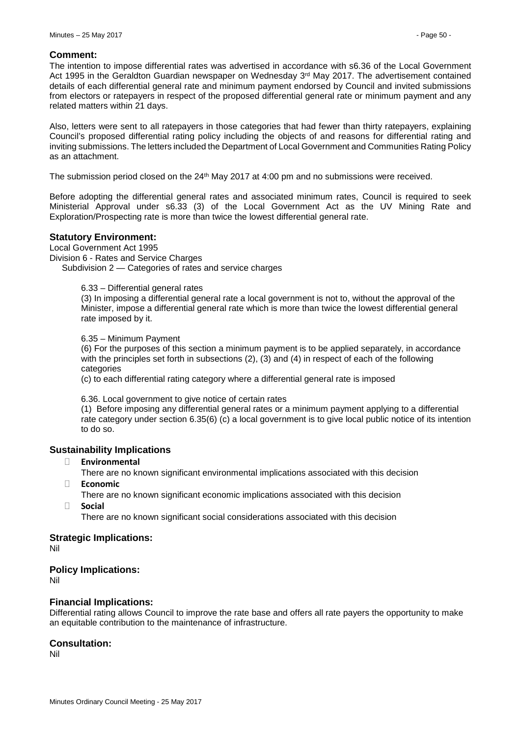#### **Comment:**

The intention to impose differential rates was advertised in accordance with s6.36 of the Local Government Act 1995 in the Geraldton Guardian newspaper on Wednesday 3<sup>rd</sup> May 2017. The advertisement contained details of each differential general rate and minimum payment endorsed by Council and invited submissions from electors or ratepayers in respect of the proposed differential general rate or minimum payment and any related matters within 21 days.

Also, letters were sent to all ratepayers in those categories that had fewer than thirty ratepayers, explaining Council's proposed differential rating policy including the objects of and reasons for differential rating and inviting submissions. The letters included the Department of Local Government and Communities Rating Policy as an attachment.

The submission period closed on the 24<sup>th</sup> May 2017 at 4:00 pm and no submissions were received.

Before adopting the differential general rates and associated minimum rates, Council is required to seek Ministerial Approval under s6.33 (3) of the Local Government Act as the UV Mining Rate and Exploration/Prospecting rate is more than twice the lowest differential general rate.

#### **Statutory Environment:**

Local Government Act 1995

Division 6 - Rates and Service Charges

Subdivision 2 — Categories of rates and service charges

#### 6.33 – Differential general rates

(3) In imposing a differential general rate a local government is not to, without the approval of the Minister, impose a differential general rate which is more than twice the lowest differential general rate imposed by it.

#### 6.35 – Minimum Payment

(6) For the purposes of this section a minimum payment is to be applied separately, in accordance with the principles set forth in subsections (2), (3) and (4) in respect of each of the following categories

(c) to each differential rating category where a differential general rate is imposed

6.36. Local government to give notice of certain rates

(1) Before imposing any differential general rates or a minimum payment applying to a differential rate category under section 6.35(6) (c) a local government is to give local public notice of its intention to do so.

# **Sustainability Implications**

� **Environmental**

There are no known significant environmental implications associated with this decision

� **Economic**

There are no known significant economic implications associated with this decision � **Social**

There are no known significant social considerations associated with this decision

#### **Strategic Implications:**

Nil

#### **Policy Implications:**

Nil

#### **Financial Implications:**

Differential rating allows Council to improve the rate base and offers all rate payers the opportunity to make an equitable contribution to the maintenance of infrastructure.

# **Consultation:**

Nil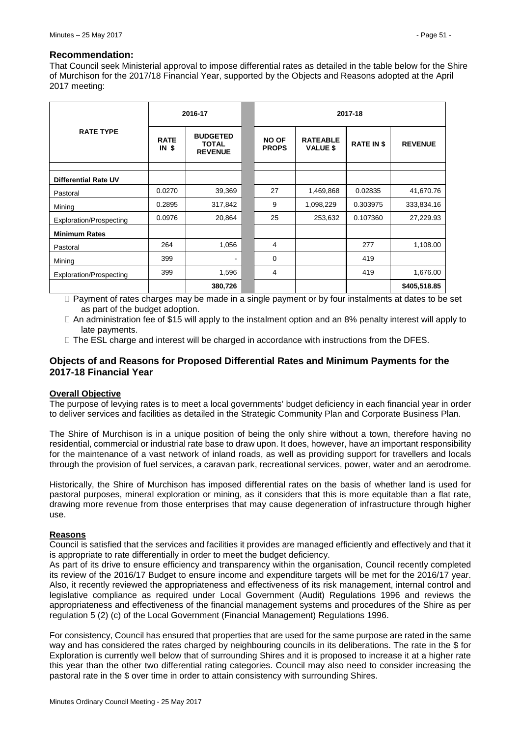#### **Recommendation:**

That Council seek Ministerial approval to impose differential rates as detailed in the table below for the Shire of Murchison for the 2017/18 Financial Year, supported by the Objects and Reasons adopted at the April 2017 meeting:

|                             | 2016-17                |                                                   |  | 2017-18                      |                                    |                   |                |  |
|-----------------------------|------------------------|---------------------------------------------------|--|------------------------------|------------------------------------|-------------------|----------------|--|
| <b>RATE TYPE</b>            | <b>RATE</b><br>$IN$ \$ | <b>BUDGETED</b><br><b>TOTAL</b><br><b>REVENUE</b> |  | <b>NO OF</b><br><b>PROPS</b> | <b>RATEABLE</b><br><b>VALUE \$</b> | <b>RATE IN \$</b> | <b>REVENUE</b> |  |
|                             |                        |                                                   |  |                              |                                    |                   |                |  |
| <b>Differential Rate UV</b> |                        |                                                   |  |                              |                                    |                   |                |  |
| Pastoral                    | 0.0270                 | 39,369                                            |  | 27                           | 1,469,868                          | 0.02835           | 41,670.76      |  |
| Mining                      | 0.2895                 | 317,842                                           |  | 9                            | 1,098,229                          | 0.303975          | 333,834.16     |  |
| Exploration/Prospecting     | 0.0976                 | 20,864                                            |  | 25                           | 253,632                            | 0.107360          | 27,229.93      |  |
| <b>Minimum Rates</b>        |                        |                                                   |  |                              |                                    |                   |                |  |
| Pastoral                    | 264                    | 1,056                                             |  | 4                            |                                    | 277               | 1,108.00       |  |
| Mining                      | 399                    | -                                                 |  | 0                            |                                    | 419               |                |  |
| Exploration/Prospecting     | 399                    | 1,596                                             |  | 4                            |                                    | 419               | 1,676.00       |  |
|                             |                        | 380,726                                           |  |                              |                                    |                   | \$405,518.85   |  |

 $\Box$  Payment of rates charges may be made in a single payment or by four instalments at dates to be set as part of the budget adoption.

- □ An administration fee of \$15 will apply to the instalment option and an 8% penalty interest will apply to late payments.
- $\Box$  The ESL charge and interest will be charged in accordance with instructions from the DFES.

# **Objects of and Reasons for Proposed Differential Rates and Minimum Payments for the 2017-18 Financial Year**

# **Overall Objective**

The purpose of levying rates is to meet a local governments' budget deficiency in each financial year in order to deliver services and facilities as detailed in the Strategic Community Plan and Corporate Business Plan.

The Shire of Murchison is in a unique position of being the only shire without a town, therefore having no residential, commercial or industrial rate base to draw upon. It does, however, have an important responsibility for the maintenance of a vast network of inland roads, as well as providing support for travellers and locals through the provision of fuel services, a caravan park, recreational services, power, water and an aerodrome.

Historically, the Shire of Murchison has imposed differential rates on the basis of whether land is used for pastoral purposes, mineral exploration or mining, as it considers that this is more equitable than a flat rate, drawing more revenue from those enterprises that may cause degeneration of infrastructure through higher use.

#### **Reasons**

Council is satisfied that the services and facilities it provides are managed efficiently and effectively and that it is appropriate to rate differentially in order to meet the budget deficiency.

As part of its drive to ensure efficiency and transparency within the organisation, Council recently completed its review of the 2016/17 Budget to ensure income and expenditure targets will be met for the 2016/17 year. Also, it recently reviewed the appropriateness and effectiveness of its risk management, internal control and legislative compliance as required under Local Government (Audit) Regulations 1996 and reviews the appropriateness and effectiveness of the financial management systems and procedures of the Shire as per regulation 5 (2) (c) of the Local Government (Financial Management) Regulations 1996.

For consistency, Council has ensured that properties that are used for the same purpose are rated in the same way and has considered the rates charged by neighbouring councils in its deliberations. The rate in the \$ for Exploration is currently well below that of surrounding Shires and it is proposed to increase it at a higher rate this year than the other two differential rating categories. Council may also need to consider increasing the pastoral rate in the \$ over time in order to attain consistency with surrounding Shires.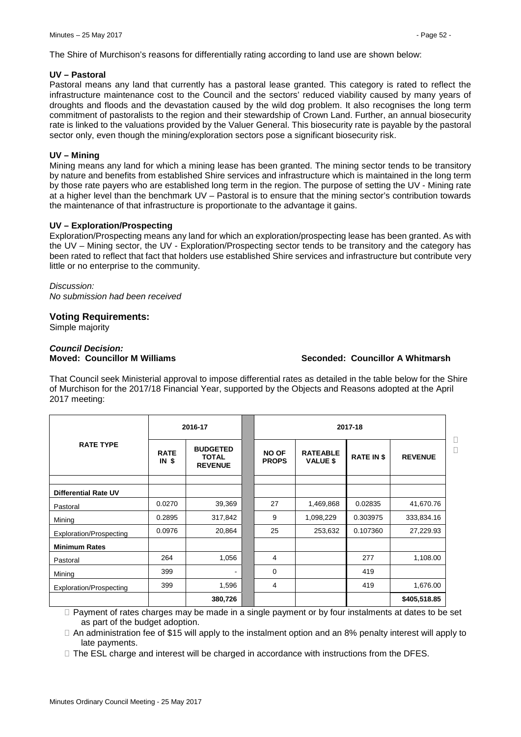The Shire of Murchison's reasons for differentially rating according to land use are shown below:

#### **UV – Pastoral**

Pastoral means any land that currently has a pastoral lease granted. This category is rated to reflect the infrastructure maintenance cost to the Council and the sectors' reduced viability caused by many years of droughts and floods and the devastation caused by the wild dog problem. It also recognises the long term commitment of pastoralists to the region and their stewardship of Crown Land. Further, an annual biosecurity rate is linked to the valuations provided by the Valuer General. This biosecurity rate is payable by the pastoral sector only, even though the mining/exploration sectors pose a significant biosecurity risk.

#### **UV – Mining**

Mining means any land for which a mining lease has been granted. The mining sector tends to be transitory by nature and benefits from established Shire services and infrastructure which is maintained in the long term by those rate payers who are established long term in the region. The purpose of setting the UV - Mining rate at a higher level than the benchmark UV – Pastoral is to ensure that the mining sector's contribution towards the maintenance of that infrastructure is proportionate to the advantage it gains.

#### **UV – Exploration/Prospecting**

Exploration/Prospecting means any land for which an exploration/prospecting lease has been granted. As with the UV – Mining sector, the UV - Exploration/Prospecting sector tends to be transitory and the category has been rated to reflect that fact that holders use established Shire services and infrastructure but contribute very little or no enterprise to the community.

#### *Discussion: No submission had been received*

#### **Voting Requirements:**

Simple majority

# *Council Decision:*

#### **Moved: Councillor M Williams Seconded: Councillor A Whitmarsh**

That Council seek Ministerial approval to impose differential rates as detailed in the table below for the Shire of Murchison for the 2017/18 Financial Year, supported by the Objects and Reasons adopted at the April 2017 meeting:

|                             |                                | 2016-17                                           |  |                              | 2017-18                     |                   |                |
|-----------------------------|--------------------------------|---------------------------------------------------|--|------------------------------|-----------------------------|-------------------|----------------|
| <b>RATE TYPE</b>            | <b>RATE</b><br>IN <sub>s</sub> | <b>BUDGETED</b><br><b>TOTAL</b><br><b>REVENUE</b> |  | <b>NO OF</b><br><b>PROPS</b> | <b>RATEABLE</b><br>VALUE \$ | <b>RATE IN \$</b> | <b>REVENUE</b> |
| <b>Differential Rate UV</b> |                                |                                                   |  |                              |                             |                   |                |
| Pastoral                    | 0.0270                         | 39,369                                            |  | 27                           | 1,469,868                   | 0.02835           | 41,670.76      |
| Mining                      | 0.2895                         | 317,842                                           |  | 9                            | 1,098,229                   | 0.303975          | 333,834.16     |
| Exploration/Prospecting     | 0.0976                         | 20,864                                            |  | 25                           | 253,632                     | 0.107360          | 27,229.93      |
| <b>Minimum Rates</b>        |                                |                                                   |  |                              |                             |                   |                |
| Pastoral                    | 264                            | 1,056                                             |  | 4                            |                             | 277               | 1,108.00       |
| Mining                      | 399                            | $\overline{\phantom{0}}$                          |  | $\Omega$                     |                             | 419               |                |
| Exploration/Prospecting     | 399                            | 1,596                                             |  | 4                            |                             | 419               | 1,676.00       |
|                             |                                | 380,726                                           |  |                              |                             |                   | \$405,518.85   |

 $\Box$  Payment of rates charges may be made in a single payment or by four instalments at dates to be set as part of the budget adoption.

□ An administration fee of \$15 will apply to the instalment option and an 8% penalty interest will apply to late payments.

 $\Box$  The ESL charge and interest will be charged in accordance with instructions from the DFES.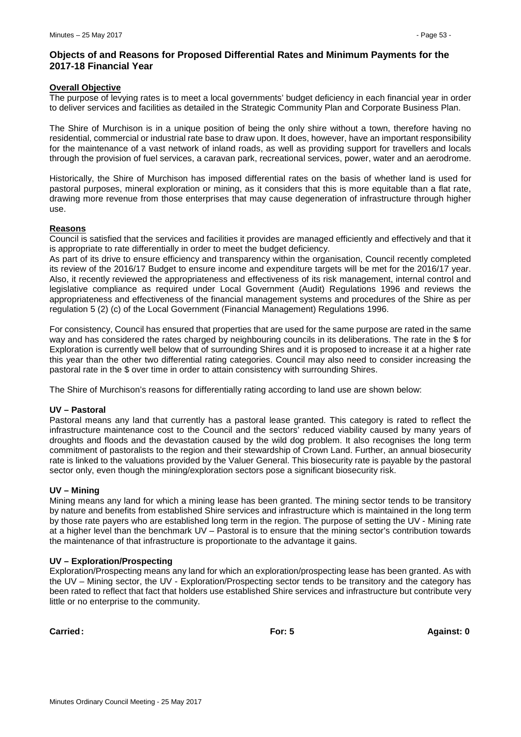# **Objects of and Reasons for Proposed Differential Rates and Minimum Payments for the 2017-18 Financial Year**

#### **Overall Objective**

The purpose of levying rates is to meet a local governments' budget deficiency in each financial year in order to deliver services and facilities as detailed in the Strategic Community Plan and Corporate Business Plan.

The Shire of Murchison is in a unique position of being the only shire without a town, therefore having no residential, commercial or industrial rate base to draw upon. It does, however, have an important responsibility for the maintenance of a vast network of inland roads, as well as providing support for travellers and locals through the provision of fuel services, a caravan park, recreational services, power, water and an aerodrome.

Historically, the Shire of Murchison has imposed differential rates on the basis of whether land is used for pastoral purposes, mineral exploration or mining, as it considers that this is more equitable than a flat rate, drawing more revenue from those enterprises that may cause degeneration of infrastructure through higher use.

#### **Reasons**

Council is satisfied that the services and facilities it provides are managed efficiently and effectively and that it is appropriate to rate differentially in order to meet the budget deficiency.

As part of its drive to ensure efficiency and transparency within the organisation, Council recently completed its review of the 2016/17 Budget to ensure income and expenditure targets will be met for the 2016/17 year. Also, it recently reviewed the appropriateness and effectiveness of its risk management, internal control and legislative compliance as required under Local Government (Audit) Regulations 1996 and reviews the appropriateness and effectiveness of the financial management systems and procedures of the Shire as per regulation 5 (2) (c) of the Local Government (Financial Management) Regulations 1996.

For consistency, Council has ensured that properties that are used for the same purpose are rated in the same way and has considered the rates charged by neighbouring councils in its deliberations. The rate in the \$ for Exploration is currently well below that of surrounding Shires and it is proposed to increase it at a higher rate this year than the other two differential rating categories. Council may also need to consider increasing the pastoral rate in the \$ over time in order to attain consistency with surrounding Shires.

The Shire of Murchison's reasons for differentially rating according to land use are shown below:

#### **UV – Pastoral**

Pastoral means any land that currently has a pastoral lease granted. This category is rated to reflect the infrastructure maintenance cost to the Council and the sectors' reduced viability caused by many years of droughts and floods and the devastation caused by the wild dog problem. It also recognises the long term commitment of pastoralists to the region and their stewardship of Crown Land. Further, an annual biosecurity rate is linked to the valuations provided by the Valuer General. This biosecurity rate is payable by the pastoral sector only, even though the mining/exploration sectors pose a significant biosecurity risk.

#### **UV – Mining**

Mining means any land for which a mining lease has been granted. The mining sector tends to be transitory by nature and benefits from established Shire services and infrastructure which is maintained in the long term by those rate payers who are established long term in the region. The purpose of setting the UV - Mining rate at a higher level than the benchmark UV – Pastoral is to ensure that the mining sector's contribution towards the maintenance of that infrastructure is proportionate to the advantage it gains.

#### **UV – Exploration/Prospecting**

Exploration/Prospecting means any land for which an exploration/prospecting lease has been granted. As with the UV – Mining sector, the UV - Exploration/Prospecting sector tends to be transitory and the category has been rated to reflect that fact that holders use established Shire services and infrastructure but contribute very little or no enterprise to the community.

**Carried: For: 5 Against: 0**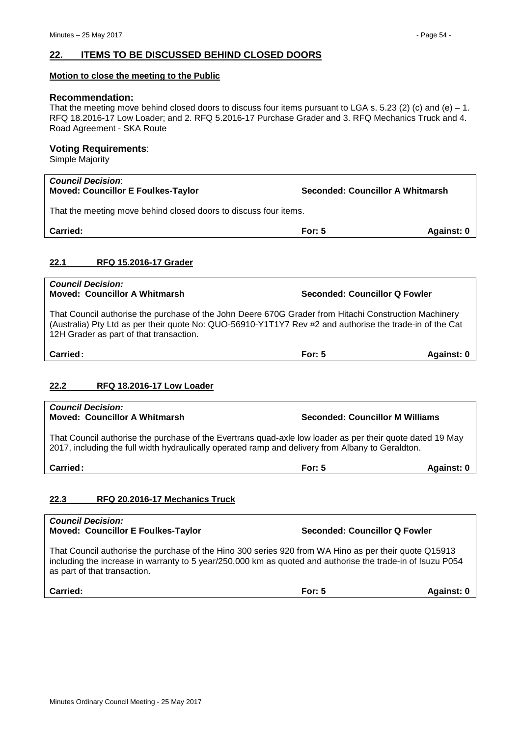# <span id="page-53-0"></span>**22. ITEMS TO BE DISCUSSED BEHIND CLOSED DOORS**

#### **Motion to close the meeting to the Public**

#### **Recommendation:**

That the meeting move behind closed doors to discuss four items pursuant to LGA s. 5.23 (2) (c) and (e)  $-1$ . RFQ 18.2016-17 Low Loader; and 2. RFQ 5.2016-17 Purchase Grader and 3. RFQ Mechanics Truck and 4. Road Agreement - SKA Route

# **Voting Requirements**:

Simple Majority

<span id="page-53-1"></span>

| <b>Council Decision:</b><br><b>Seconded: Councillor A Whitmarsh</b><br><b>Moved: Councillor E Foulkes-Taylor</b>                                                                                                                                                                                                                      |          |            |  |  |  |
|---------------------------------------------------------------------------------------------------------------------------------------------------------------------------------------------------------------------------------------------------------------------------------------------------------------------------------------|----------|------------|--|--|--|
| That the meeting move behind closed doors to discuss four items.                                                                                                                                                                                                                                                                      |          |            |  |  |  |
| <b>Carried:</b>                                                                                                                                                                                                                                                                                                                       | For: $5$ | Against: 0 |  |  |  |
| 22.1<br><b>RFQ 15.2016-17 Grader</b>                                                                                                                                                                                                                                                                                                  |          |            |  |  |  |
| <b>Council Decision:</b>                                                                                                                                                                                                                                                                                                              |          |            |  |  |  |
| <b>Moved: Councillor A Whitmarsh</b><br>Seconded: Councillor Q Fowler<br>That Council authorise the purchase of the John Deere 670G Grader from Hitachi Construction Machinery<br>(Australia) Pty Ltd as per their quote No: QUO-56910-Y1T1Y7 Rev #2 and authorise the trade-in of the Cat<br>12H Grader as part of that transaction. |          |            |  |  |  |

**Carried: For: 5 Against: 0**

# <span id="page-53-2"></span>**22.2 RFQ 18.2016-17 Low Loader**

<span id="page-53-3"></span>

| <b>Council Decision:</b><br><b>Moved: Councillor A Whitmarsh</b>                                                                                                                                                                                    | <b>Seconded: Councillor M Williams</b> |                   |  |  |
|-----------------------------------------------------------------------------------------------------------------------------------------------------------------------------------------------------------------------------------------------------|----------------------------------------|-------------------|--|--|
| That Council authorise the purchase of the Evertrans quad-axle low loader as per their quote dated 19 May<br>2017, including the full width hydraulically operated ramp and delivery from Albany to Geraldton.                                      |                                        |                   |  |  |
| Carried:                                                                                                                                                                                                                                            | For: $5$                               | Against: 0        |  |  |
| 22.3<br>RFQ 20.2016-17 Mechanics Truck                                                                                                                                                                                                              |                                        |                   |  |  |
| <b>Council Decision:</b><br>Moved: Councillor E Foulkes-Taylor                                                                                                                                                                                      | Seconded: Councillor Q Fowler          |                   |  |  |
| That Council authorise the purchase of the Hino 300 series 920 from WA Hino as per their quote Q15913<br>including the increase in warranty to 5 year/250,000 km as quoted and authorise the trade-in of Isuzu P054<br>as part of that transaction. |                                        |                   |  |  |
| Carried:                                                                                                                                                                                                                                            | For: $5$                               | <b>Against: 0</b> |  |  |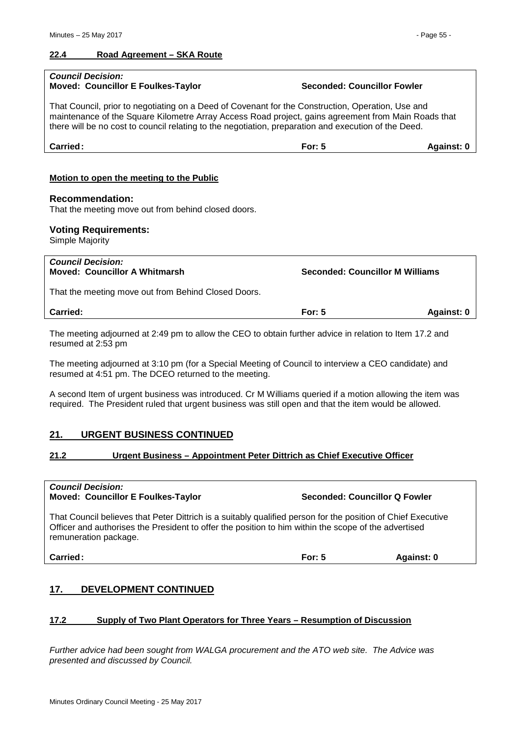#### <span id="page-54-0"></span>**22.4 Road Agreement – SKA Route**

| <b>Council Decision:</b>                                                                                |                                                                                                                                                                                                             |                                        |  |  |  |
|---------------------------------------------------------------------------------------------------------|-------------------------------------------------------------------------------------------------------------------------------------------------------------------------------------------------------------|----------------------------------------|--|--|--|
| <b>Moved: Councillor E Foulkes-Taylor</b>                                                               | <b>Seconded: Councillor Fowler</b>                                                                                                                                                                          |                                        |  |  |  |
|                                                                                                         |                                                                                                                                                                                                             |                                        |  |  |  |
| That Council, prior to negotiating on a Deed of Covenant for the Construction, Operation, Use and       |                                                                                                                                                                                                             |                                        |  |  |  |
|                                                                                                         |                                                                                                                                                                                                             |                                        |  |  |  |
|                                                                                                         | maintenance of the Square Kilometre Array Access Road project, gains agreement from Main Roads that<br>there will be no cost to council relating to the negotiation, preparation and execution of the Deed. |                                        |  |  |  |
|                                                                                                         |                                                                                                                                                                                                             |                                        |  |  |  |
| Carried:                                                                                                | For: $5$                                                                                                                                                                                                    | Against: 0                             |  |  |  |
|                                                                                                         |                                                                                                                                                                                                             |                                        |  |  |  |
|                                                                                                         |                                                                                                                                                                                                             |                                        |  |  |  |
| Motion to open the meeting to the Public                                                                |                                                                                                                                                                                                             |                                        |  |  |  |
|                                                                                                         |                                                                                                                                                                                                             |                                        |  |  |  |
| <b>Recommendation:</b>                                                                                  |                                                                                                                                                                                                             |                                        |  |  |  |
| That the meeting move out from behind closed doors.                                                     |                                                                                                                                                                                                             |                                        |  |  |  |
|                                                                                                         |                                                                                                                                                                                                             |                                        |  |  |  |
| <b>Voting Requirements:</b>                                                                             |                                                                                                                                                                                                             |                                        |  |  |  |
| Simple Majority                                                                                         |                                                                                                                                                                                                             |                                        |  |  |  |
|                                                                                                         |                                                                                                                                                                                                             |                                        |  |  |  |
| <b>Council Decision:</b>                                                                                |                                                                                                                                                                                                             |                                        |  |  |  |
| <b>Moved: Councillor A Whitmarsh</b>                                                                    |                                                                                                                                                                                                             | <b>Seconded: Councillor M Williams</b> |  |  |  |
|                                                                                                         |                                                                                                                                                                                                             |                                        |  |  |  |
| That the meeting move out from Behind Closed Doors.                                                     |                                                                                                                                                                                                             |                                        |  |  |  |
|                                                                                                         |                                                                                                                                                                                                             |                                        |  |  |  |
| Carried:                                                                                                | For: $5$                                                                                                                                                                                                    | Against: 0                             |  |  |  |
|                                                                                                         |                                                                                                                                                                                                             |                                        |  |  |  |
| The meeting adjourned at 2:49 pm to allow the CEO to obtain further advice in relation to Item 17.2 and |                                                                                                                                                                                                             |                                        |  |  |  |
| resumed at 2:53 pm                                                                                      |                                                                                                                                                                                                             |                                        |  |  |  |

The meeting adjourned at 3:10 pm (for a Special Meeting of Council to interview a CEO candidate) and resumed at 4:51 pm. The DCEO returned to the meeting.

A second Item of urgent business was introduced. Cr M Williams queried if a motion allowing the item was required. The President ruled that urgent business was still open and that the item would be allowed.

# <span id="page-54-1"></span>**21. URGENT BUSINESS CONTINUED**

# <span id="page-54-2"></span>**21.2 Urgent Business – Appointment Peter Dittrich as Chief Executive Officer**

| <b>Council Decision:</b><br><b>Moved: Councillor E Foulkes-Taylor</b>                                                                                                                                                                         | Seconded: Councillor Q Fowler |            |  |  |
|-----------------------------------------------------------------------------------------------------------------------------------------------------------------------------------------------------------------------------------------------|-------------------------------|------------|--|--|
| That Council believes that Peter Dittrich is a suitably qualified person for the position of Chief Executive<br>Officer and authorises the President to offer the position to him within the scope of the advertised<br>remuneration package. |                               |            |  |  |
| Carried:                                                                                                                                                                                                                                      | For: $5$                      | Against: 0 |  |  |

# <span id="page-54-3"></span>**17. DEVELOPMENT CONTINUED**

# <span id="page-54-4"></span>**17.2 Supply of Two Plant Operators for Three Years – Resumption of Discussion**

*Further advice had been sought from WALGA procurement and the ATO web site. The Advice was presented and discussed by Council.*